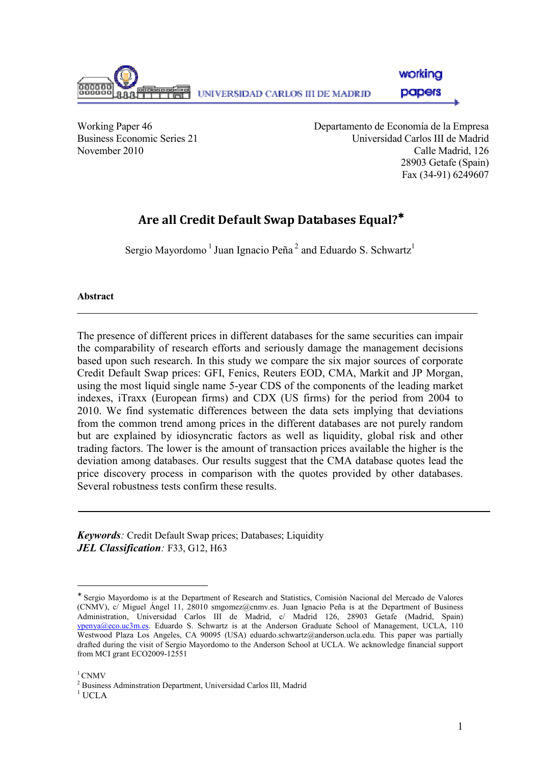

Working Paper 46 Departamento de Economía de la Empresa Business Economic Series 21 Universidad Carlos III de Madrid November 2010 Calle Madrid, 126 28903 Getafe (Spain) Fax (34-91) 6249607

# Are all Credit Default Swap Databases Equal?<sup>∗</sup>

Sergio Mayordomo<sup>1</sup> Juan Ignacio Peña<sup>2</sup> and Eduardo S. Schwartz<sup>1</sup>

Abstract

The presence of different prices in different databases for the same securities can impair the comparability of research efforts and seriously damage the management decisions based upon such research. In this study we compare the six major sources of corporate Credit Default Swap prices: GFI, Fenics, Reuters EOD, CMA, Markit and JP Morgan, using the most liquid single name 5-year CDS of the components of the leading market indexes, iTraxx (European firms) and CDX (US firms) for the period from 2004 to 2010. We find systematic differences between the data sets implying that deviations from the common trend among prices in the different databases are not purely random but are explained by idiosyncratic factors as well as liquidity, global risk and other trading factors. The lower is the amount of transaction prices available the higher is the deviation among databases. Our results suggest that the CMA database quotes lead the price discovery process in comparison with the quotes provided by other databases. Several robustness tests confirm these results.

Keywords: Credit Default Swap prices; Databases; Liquidity JEL Classification: F33, G12, H63

 $1$  CNMV

 $\overline{a}$ 

<sup>2</sup> Business Adminstration Department, Universidad Carlos III, Madrid

<sup>∗</sup> Sergio Mayordomo is at the Department of Research and Statistics, Comisión Nacional del Mercado de Valores (CNMV), c/ Miguel Ángel 11, 28010 smgomez@cnmv.es. Juan Ignacio Peña is at the Department of Business Administration, Universidad Carlos III de Madrid, c/ Madrid 126, 28903 Getafe (Madrid, Spain) ypenya@eco.uc3m.es. Eduardo S. Schwartz is at the Anderson Graduate School of Management, UCLA, 110 Westwood Plaza Los Angeles, CA 90095 (USA) eduardo.schwartz@anderson.ucla.edu. This paper was partially drafted during the visit of Sergio Mayordomo to the Anderson School at UCLA. We acknowledge financial support from MCI grant ECO2009-12551

 $1$  UCLA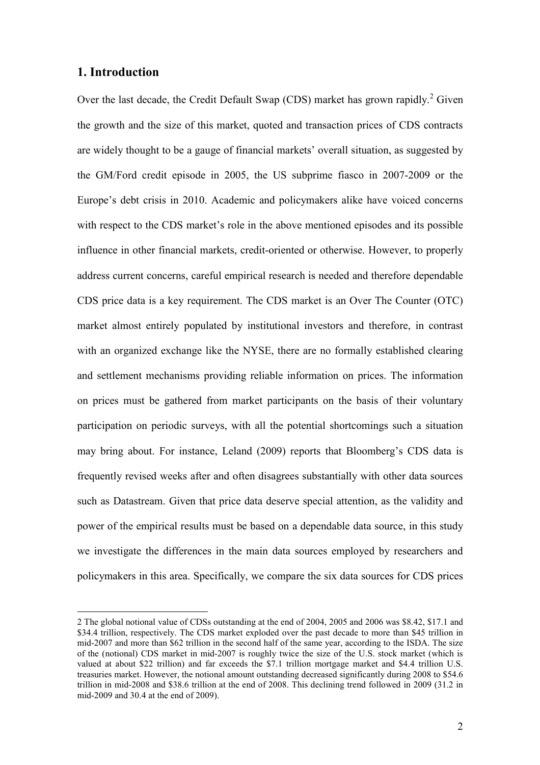## 1. Introduction

 $\overline{a}$ 

Over the last decade, the Credit Default Swap (CDS) market has grown rapidly. $^{2}$  Given the growth and the size of this market, quoted and transaction prices of CDS contracts are widely thought to be a gauge of financial markets' overall situation, as suggested by the GM/Ford credit episode in 2005, the US subprime fiasco in 2007-2009 or the Europe's debt crisis in 2010. Academic and policymakers alike have voiced concerns with respect to the CDS market's role in the above mentioned episodes and its possible influence in other financial markets, credit-oriented or otherwise. However, to properly address current concerns, careful empirical research is needed and therefore dependable CDS price data is a key requirement. The CDS market is an Over The Counter (OTC) market almost entirely populated by institutional investors and therefore, in contrast with an organized exchange like the NYSE, there are no formally established clearing and settlement mechanisms providing reliable information on prices. The information on prices must be gathered from market participants on the basis of their voluntary participation on periodic surveys, with all the potential shortcomings such a situation may bring about. For instance, Leland (2009) reports that Bloomberg's CDS data is frequently revised weeks after and often disagrees substantially with other data sources such as Datastream. Given that price data deserve special attention, as the validity and power of the empirical results must be based on a dependable data source, in this study we investigate the differences in the main data sources employed by researchers and policymakers in this area. Specifically, we compare the six data sources for CDS prices

<sup>2</sup> The global notional value of CDSs outstanding at the end of 2004, 2005 and 2006 was \$8.42, \$17.1 and \$34.4 trillion, respectively. The CDS market exploded over the past decade to more than \$45 trillion in mid-2007 and more than \$62 trillion in the second half of the same year, according to the ISDA. The size of the (notional) CDS market in mid-2007 is roughly twice the size of the U.S. stock market (which is valued at about \$22 trillion) and far exceeds the \$7.1 trillion mortgage market and \$4.4 trillion U.S. treasuries market. However, the notional amount outstanding decreased significantly during 2008 to \$54.6 trillion in mid-2008 and \$38.6 trillion at the end of 2008. This declining trend followed in 2009 (31.2 in mid-2009 and 30.4 at the end of 2009).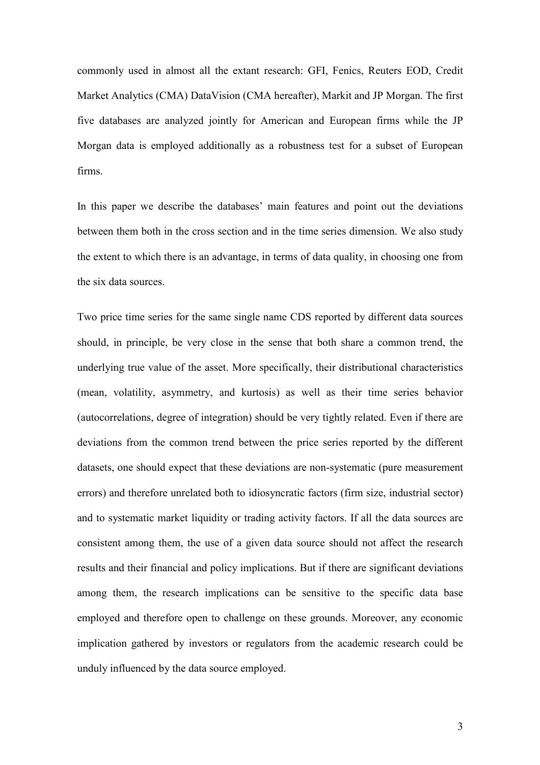commonly used in almost all the extant research: GFI, Fenics, Reuters EOD, Credit Market Analytics (CMA) DataVision (CMA hereafter), Markit and JP Morgan. The first five databases are analyzed jointly for American and European firms while the JP Morgan data is employed additionally as a robustness test for a subset of European firms.

In this paper we describe the databases' main features and point out the deviations between them both in the cross section and in the time series dimension. We also study the extent to which there is an advantage, in terms of data quality, in choosing one from the six data sources.

Two price time series for the same single name CDS reported by different data sources should, in principle, be very close in the sense that both share a common trend, the underlying true value of the asset. More specifically, their distributional characteristics (mean, volatility, asymmetry, and kurtosis) as well as their time series behavior (autocorrelations, degree of integration) should be very tightly related. Even if there are deviations from the common trend between the price series reported by the different datasets, one should expect that these deviations are non-systematic (pure measurement errors) and therefore unrelated both to idiosyncratic factors (firm size, industrial sector) and to systematic market liquidity or trading activity factors. If all the data sources are consistent among them, the use of a given data source should not affect the research results and their financial and policy implications. But if there are significant deviations among them, the research implications can be sensitive to the specific data base employed and therefore open to challenge on these grounds. Moreover, any economic implication gathered by investors or regulators from the academic research could be unduly influenced by the data source employed.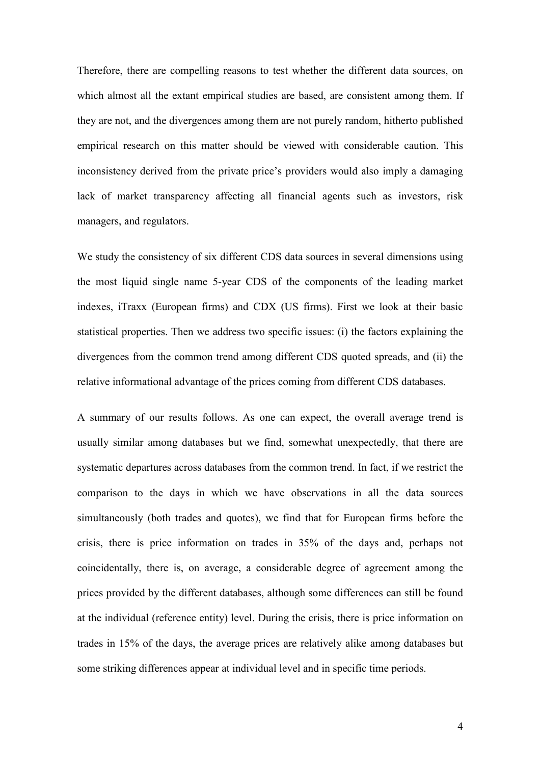Therefore, there are compelling reasons to test whether the different data sources, on which almost all the extant empirical studies are based, are consistent among them. If they are not, and the divergences among them are not purely random, hitherto published empirical research on this matter should be viewed with considerable caution. This inconsistency derived from the private price's providers would also imply a damaging lack of market transparency affecting all financial agents such as investors, risk managers, and regulators.

We study the consistency of six different CDS data sources in several dimensions using the most liquid single name 5-year CDS of the components of the leading market indexes, iTraxx (European firms) and CDX (US firms). First we look at their basic statistical properties. Then we address two specific issues: (i) the factors explaining the divergences from the common trend among different CDS quoted spreads, and (ii) the relative informational advantage of the prices coming from different CDS databases.

A summary of our results follows. As one can expect, the overall average trend is usually similar among databases but we find, somewhat unexpectedly, that there are systematic departures across databases from the common trend. In fact, if we restrict the comparison to the days in which we have observations in all the data sources simultaneously (both trades and quotes), we find that for European firms before the crisis, there is price information on trades in 35% of the days and, perhaps not coincidentally, there is, on average, a considerable degree of agreement among the prices provided by the different databases, although some differences can still be found at the individual (reference entity) level. During the crisis, there is price information on trades in 15% of the days, the average prices are relatively alike among databases but some striking differences appear at individual level and in specific time periods.

4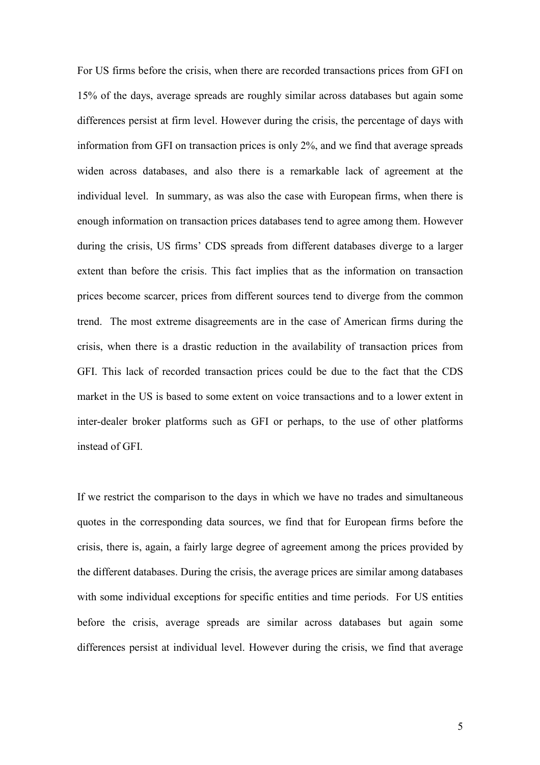For US firms before the crisis, when there are recorded transactions prices from GFI on 15% of the days, average spreads are roughly similar across databases but again some differences persist at firm level. However during the crisis, the percentage of days with information from GFI on transaction prices is only 2%, and we find that average spreads widen across databases, and also there is a remarkable lack of agreement at the individual level. In summary, as was also the case with European firms, when there is enough information on transaction prices databases tend to agree among them. However during the crisis, US firms' CDS spreads from different databases diverge to a larger extent than before the crisis. This fact implies that as the information on transaction prices become scarcer, prices from different sources tend to diverge from the common trend. The most extreme disagreements are in the case of American firms during the crisis, when there is a drastic reduction in the availability of transaction prices from GFI. This lack of recorded transaction prices could be due to the fact that the CDS market in the US is based to some extent on voice transactions and to a lower extent in inter-dealer broker platforms such as GFI or perhaps, to the use of other platforms instead of GFI.

If we restrict the comparison to the days in which we have no trades and simultaneous quotes in the corresponding data sources, we find that for European firms before the crisis, there is, again, a fairly large degree of agreement among the prices provided by the different databases. During the crisis, the average prices are similar among databases with some individual exceptions for specific entities and time periods. For US entities before the crisis, average spreads are similar across databases but again some differences persist at individual level. However during the crisis, we find that average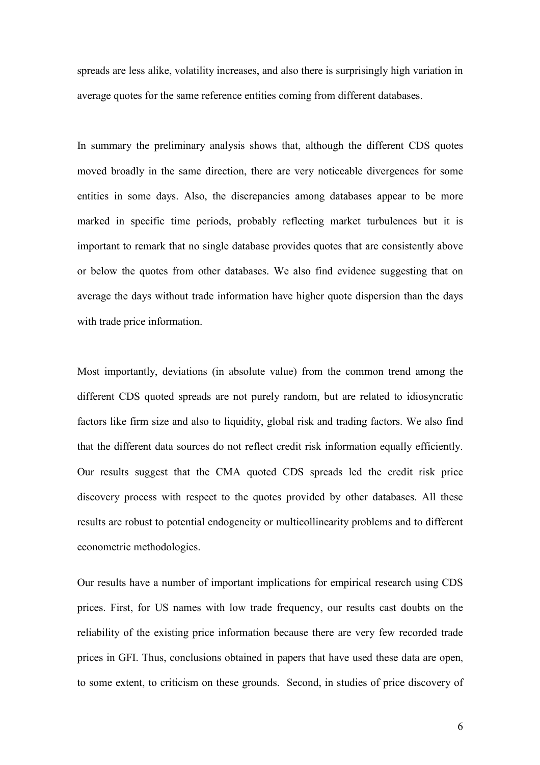spreads are less alike, volatility increases, and also there is surprisingly high variation in average quotes for the same reference entities coming from different databases.

In summary the preliminary analysis shows that, although the different CDS quotes moved broadly in the same direction, there are very noticeable divergences for some entities in some days. Also, the discrepancies among databases appear to be more marked in specific time periods, probably reflecting market turbulences but it is important to remark that no single database provides quotes that are consistently above or below the quotes from other databases. We also find evidence suggesting that on average the days without trade information have higher quote dispersion than the days with trade price information.

Most importantly, deviations (in absolute value) from the common trend among the different CDS quoted spreads are not purely random, but are related to idiosyncratic factors like firm size and also to liquidity, global risk and trading factors. We also find that the different data sources do not reflect credit risk information equally efficiently. Our results suggest that the CMA quoted CDS spreads led the credit risk price discovery process with respect to the quotes provided by other databases. All these results are robust to potential endogeneity or multicollinearity problems and to different econometric methodologies.

Our results have a number of important implications for empirical research using CDS prices. First, for US names with low trade frequency, our results cast doubts on the reliability of the existing price information because there are very few recorded trade prices in GFI. Thus, conclusions obtained in papers that have used these data are open, to some extent, to criticism on these grounds. Second, in studies of price discovery of

6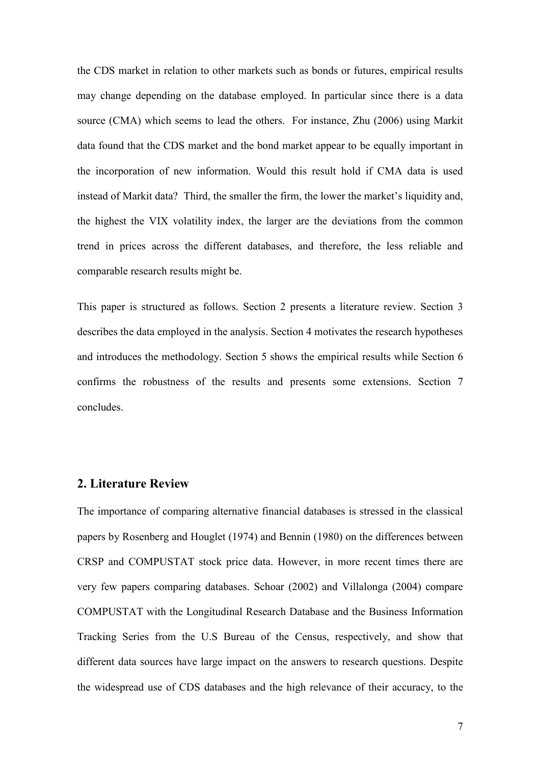the CDS market in relation to other markets such as bonds or futures, empirical results may change depending on the database employed. In particular since there is a data source (CMA) which seems to lead the others. For instance, Zhu (2006) using Markit data found that the CDS market and the bond market appear to be equally important in the incorporation of new information. Would this result hold if CMA data is used instead of Markit data? Third, the smaller the firm, the lower the market's liquidity and, the highest the VIX volatility index, the larger are the deviations from the common trend in prices across the different databases, and therefore, the less reliable and comparable research results might be.

This paper is structured as follows. Section 2 presents a literature review. Section 3 describes the data employed in the analysis. Section 4 motivates the research hypotheses and introduces the methodology. Section 5 shows the empirical results while Section 6 confirms the robustness of the results and presents some extensions. Section 7 concludes.

## 2. Literature Review

The importance of comparing alternative financial databases is stressed in the classical papers by Rosenberg and Houglet (1974) and Bennin (1980) on the differences between CRSP and COMPUSTAT stock price data. However, in more recent times there are very few papers comparing databases. Schoar (2002) and Villalonga (2004) compare COMPUSTAT with the Longitudinal Research Database and the Business Information Tracking Series from the U.S Bureau of the Census, respectively, and show that different data sources have large impact on the answers to research questions. Despite the widespread use of CDS databases and the high relevance of their accuracy, to the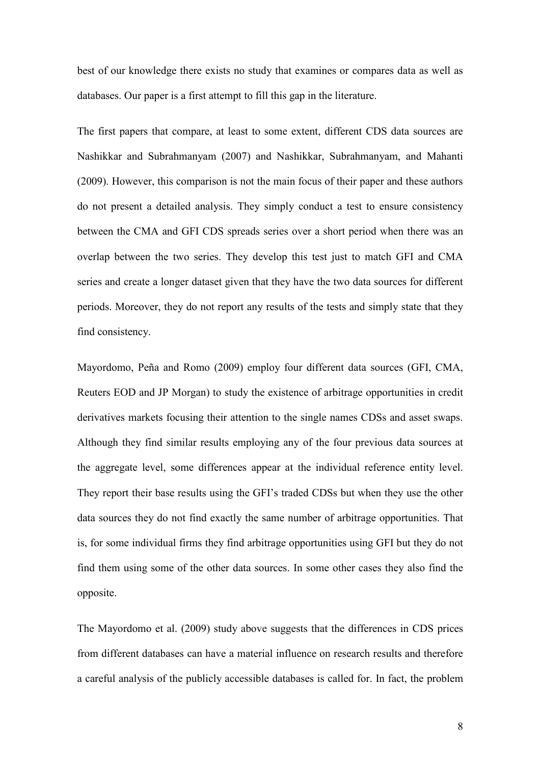best of our knowledge there exists no study that examines or compares data as well as databases. Our paper is a first attempt to fill this gap in the literature.

The first papers that compare, at least to some extent, different CDS data sources are Nashikkar and Subrahmanyam (2007) and Nashikkar, Subrahmanyam, and Mahanti (2009). However, this comparison is not the main focus of their paper and these authors do not present a detailed analysis. They simply conduct a test to ensure consistency between the CMA and GFI CDS spreads series over a short period when there was an overlap between the two series. They develop this test just to match GFI and CMA series and create a longer dataset given that they have the two data sources for different periods. Moreover, they do not report any results of the tests and simply state that they find consistency.

Mayordomo, Peña and Romo (2009) employ four different data sources (GFI, CMA, Reuters EOD and JP Morgan) to study the existence of arbitrage opportunities in credit derivatives markets focusing their attention to the single names CDSs and asset swaps. Although they find similar results employing any of the four previous data sources at the aggregate level, some differences appear at the individual reference entity level. They report their base results using the GFI's traded CDSs but when they use the other data sources they do not find exactly the same number of arbitrage opportunities. That is, for some individual firms they find arbitrage opportunities using GFI but they do not find them using some of the other data sources. In some other cases they also find the opposite.

The Mayordomo et al. (2009) study above suggests that the differences in CDS prices from different databases can have a material influence on research results and therefore a careful analysis of the publicly accessible databases is called for. In fact, the problem

8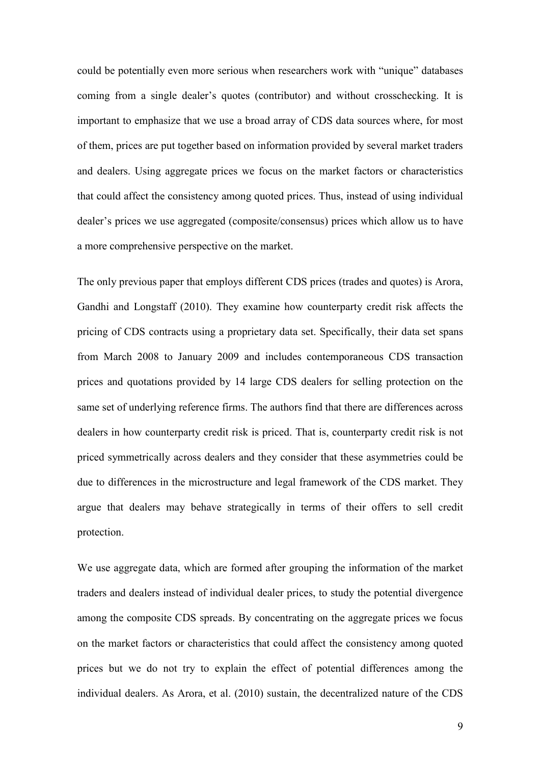could be potentially even more serious when researchers work with "unique" databases coming from a single dealer's quotes (contributor) and without crosschecking. It is important to emphasize that we use a broad array of CDS data sources where, for most of them, prices are put together based on information provided by several market traders and dealers. Using aggregate prices we focus on the market factors or characteristics that could affect the consistency among quoted prices. Thus, instead of using individual dealer's prices we use aggregated (composite/consensus) prices which allow us to have a more comprehensive perspective on the market.

The only previous paper that employs different CDS prices (trades and quotes) is Arora, Gandhi and Longstaff (2010). They examine how counterparty credit risk affects the pricing of CDS contracts using a proprietary data set. Specifically, their data set spans from March 2008 to January 2009 and includes contemporaneous CDS transaction prices and quotations provided by 14 large CDS dealers for selling protection on the same set of underlying reference firms. The authors find that there are differences across dealers in how counterparty credit risk is priced. That is, counterparty credit risk is not priced symmetrically across dealers and they consider that these asymmetries could be due to differences in the microstructure and legal framework of the CDS market. They argue that dealers may behave strategically in terms of their offers to sell credit protection.

We use aggregate data, which are formed after grouping the information of the market traders and dealers instead of individual dealer prices, to study the potential divergence among the composite CDS spreads. By concentrating on the aggregate prices we focus on the market factors or characteristics that could affect the consistency among quoted prices but we do not try to explain the effect of potential differences among the individual dealers. As Arora, et al. (2010) sustain, the decentralized nature of the CDS

9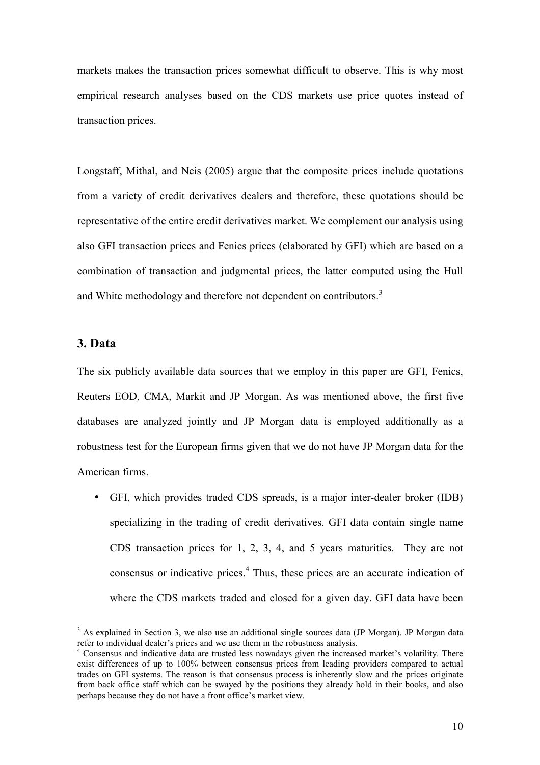markets makes the transaction prices somewhat difficult to observe. This is why most empirical research analyses based on the CDS markets use price quotes instead of transaction prices.

Longstaff, Mithal, and Neis (2005) argue that the composite prices include quotations from a variety of credit derivatives dealers and therefore, these quotations should be representative of the entire credit derivatives market. We complement our analysis using also GFI transaction prices and Fenics prices (elaborated by GFI) which are based on a combination of transaction and judgmental prices, the latter computed using the Hull and White methodology and therefore not dependent on contributors.<sup>3</sup>

## 3. Data

The six publicly available data sources that we employ in this paper are GFI, Fenics, Reuters EOD, CMA, Markit and JP Morgan. As was mentioned above, the first five databases are analyzed jointly and JP Morgan data is employed additionally as a robustness test for the European firms given that we do not have JP Morgan data for the American firms.

• GFI, which provides traded CDS spreads, is a major inter-dealer broker (IDB) specializing in the trading of credit derivatives. GFI data contain single name CDS transaction prices for 1, 2, 3, 4, and 5 years maturities. They are not consensus or indicative prices.<sup>4</sup> Thus, these prices are an accurate indication of where the CDS markets traded and closed for a given day. GFI data have been

<sup>&</sup>lt;sup>3</sup> As explained in Section 3, we also use an additional single sources data (JP Morgan). JP Morgan data refer to individual dealer's prices and we use them in the robustness analysis.

<sup>4</sup> Consensus and indicative data are trusted less nowadays given the increased market's volatility. There exist differences of up to 100% between consensus prices from leading providers compared to actual trades on GFI systems. The reason is that consensus process is inherently slow and the prices originate from back office staff which can be swayed by the positions they already hold in their books, and also perhaps because they do not have a front office's market view.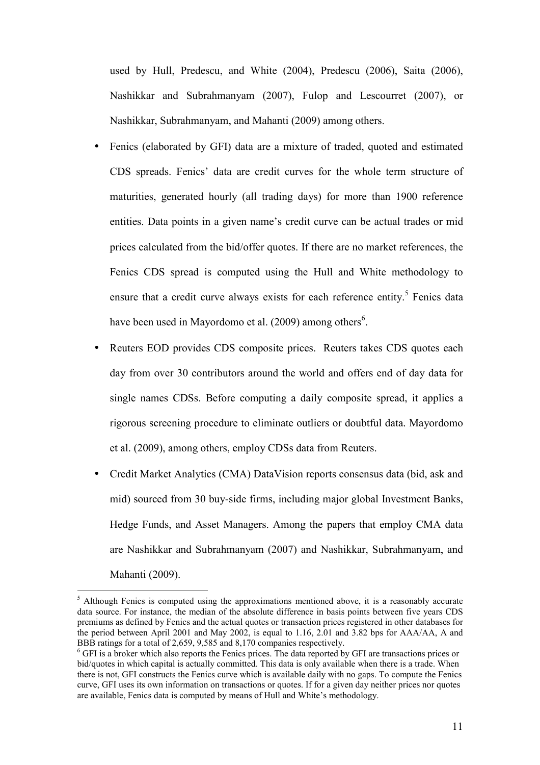used by Hull, Predescu, and White (2004), Predescu (2006), Saita (2006), Nashikkar and Subrahmanyam (2007), Fulop and Lescourret (2007), or Nashikkar, Subrahmanyam, and Mahanti (2009) among others.

- Fenics (elaborated by GFI) data are a mixture of traded, quoted and estimated CDS spreads. Fenics' data are credit curves for the whole term structure of maturities, generated hourly (all trading days) for more than 1900 reference entities. Data points in a given name's credit curve can be actual trades or mid prices calculated from the bid/offer quotes. If there are no market references, the Fenics CDS spread is computed using the Hull and White methodology to ensure that a credit curve always exists for each reference entity.<sup>5</sup> Fenics data have been used in Mayordomo et al. (2009) among others<sup>6</sup>.
- Reuters EOD provides CDS composite prices. Reuters takes CDS quotes each day from over 30 contributors around the world and offers end of day data for single names CDSs. Before computing a daily composite spread, it applies a rigorous screening procedure to eliminate outliers or doubtful data. Mayordomo et al. (2009), among others, employ CDSs data from Reuters.
- Credit Market Analytics (CMA) DataVision reports consensus data (bid, ask and mid) sourced from 30 buy-side firms, including major global Investment Banks, Hedge Funds, and Asset Managers. Among the papers that employ CMA data are Nashikkar and Subrahmanyam (2007) and Nashikkar, Subrahmanyam, and Mahanti (2009).

<sup>&</sup>lt;sup>5</sup> Although Fenics is computed using the approximations mentioned above, it is a reasonably accurate data source. For instance, the median of the absolute difference in basis points between five years CDS premiums as defined by Fenics and the actual quotes or transaction prices registered in other databases for the period between April 2001 and May 2002, is equal to 1.16, 2.01 and 3.82 bps for AAA/AA, A and BBB ratings for a total of 2,659, 9,585 and 8,170 companies respectively.

<sup>&</sup>lt;sup>6</sup> GFI is a broker which also reports the Fenics prices. The data reported by GFI are transactions prices or bid/quotes in which capital is actually committed. This data is only available when there is a trade. When there is not, GFI constructs the Fenics curve which is available daily with no gaps. To compute the Fenics curve, GFI uses its own information on transactions or quotes. If for a given day neither prices nor quotes are available, Fenics data is computed by means of Hull and White's methodology.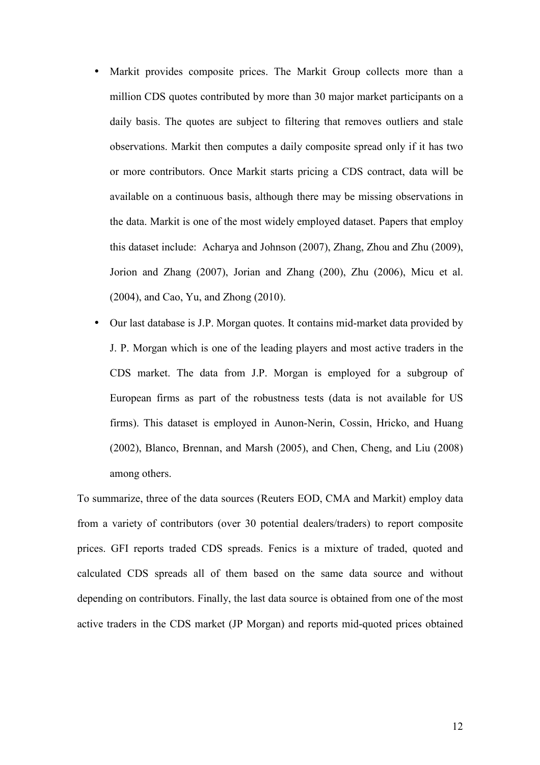- Markit provides composite prices. The Markit Group collects more than a million CDS quotes contributed by more than 30 major market participants on a daily basis. The quotes are subject to filtering that removes outliers and stale observations. Markit then computes a daily composite spread only if it has two or more contributors. Once Markit starts pricing a CDS contract, data will be available on a continuous basis, although there may be missing observations in the data. Markit is one of the most widely employed dataset. Papers that employ this dataset include: Acharya and Johnson (2007), Zhang, Zhou and Zhu (2009), Jorion and Zhang (2007), Jorian and Zhang (200), Zhu (2006), Micu et al. (2004), and Cao, Yu, and Zhong (2010).
- Our last database is J.P. Morgan quotes. It contains mid-market data provided by J. P. Morgan which is one of the leading players and most active traders in the CDS market. The data from J.P. Morgan is employed for a subgroup of European firms as part of the robustness tests (data is not available for US firms). This dataset is employed in Aunon-Nerin, Cossin, Hricko, and Huang (2002), Blanco, Brennan, and Marsh (2005), and Chen, Cheng, and Liu (2008) among others.

To summarize, three of the data sources (Reuters EOD, CMA and Markit) employ data from a variety of contributors (over 30 potential dealers/traders) to report composite prices. GFI reports traded CDS spreads. Fenics is a mixture of traded, quoted and calculated CDS spreads all of them based on the same data source and without depending on contributors. Finally, the last data source is obtained from one of the most active traders in the CDS market (JP Morgan) and reports mid-quoted prices obtained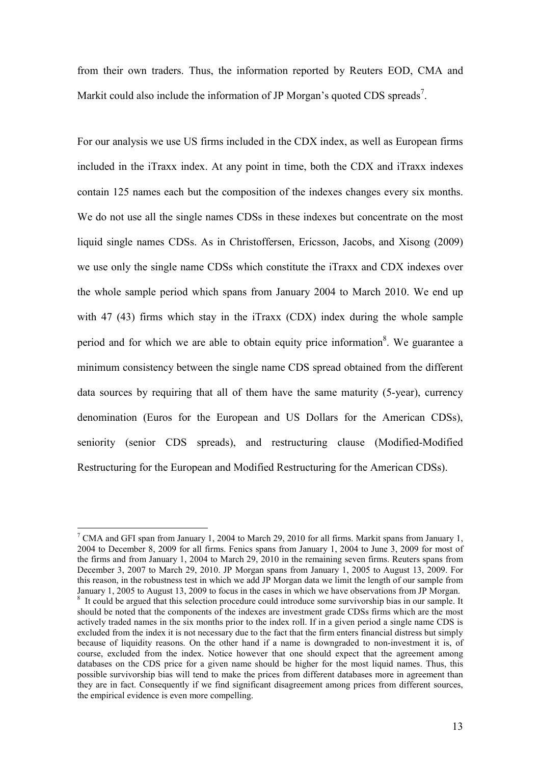from their own traders. Thus, the information reported by Reuters EOD, CMA and Markit could also include the information of JP Morgan's quoted CDS spreads<sup>7</sup>.

For our analysis we use US firms included in the CDX index, as well as European firms included in the iTraxx index. At any point in time, both the CDX and iTraxx indexes contain 125 names each but the composition of the indexes changes every six months. We do not use all the single names CDSs in these indexes but concentrate on the most liquid single names CDSs. As in Christoffersen, Ericsson, Jacobs, and Xisong (2009) we use only the single name CDSs which constitute the iTraxx and CDX indexes over the whole sample period which spans from January 2004 to March 2010. We end up with 47 (43) firms which stay in the iTraxx (CDX) index during the whole sample period and for which we are able to obtain equity price information<sup>8</sup>. We guarantee a minimum consistency between the single name CDS spread obtained from the different data sources by requiring that all of them have the same maturity (5-year), currency denomination (Euros for the European and US Dollars for the American CDSs), seniority (senior CDS spreads), and restructuring clause (Modified-Modified Restructuring for the European and Modified Restructuring for the American CDSs).

<sup>&</sup>lt;sup>7</sup> CMA and GFI span from January 1, 2004 to March 29, 2010 for all firms. Markit spans from January 1, 2004 to December 8, 2009 for all firms. Fenics spans from January 1, 2004 to June 3, 2009 for most of the firms and from January 1, 2004 to March 29, 2010 in the remaining seven firms. Reuters spans from December 3, 2007 to March 29, 2010. JP Morgan spans from January 1, 2005 to August 13, 2009. For this reason, in the robustness test in which we add JP Morgan data we limit the length of our sample from January 1, 2005 to August 13, 2009 to focus in the cases in which we have observations from JP Morgan. <sup>8</sup> It could be argued that this selection procedure could introduce some survivorship bias in our sample. It should be noted that the components of the indexes are investment grade CDSs firms which are the most actively traded names in the six months prior to the index roll. If in a given period a single name CDS is excluded from the index it is not necessary due to the fact that the firm enters financial distress but simply because of liquidity reasons. On the other hand if a name is downgraded to non-investment it is, of course, excluded from the index. Notice however that one should expect that the agreement among databases on the CDS price for a given name should be higher for the most liquid names. Thus, this possible survivorship bias will tend to make the prices from different databases more in agreement than they are in fact. Consequently if we find significant disagreement among prices from different sources, the empirical evidence is even more compelling.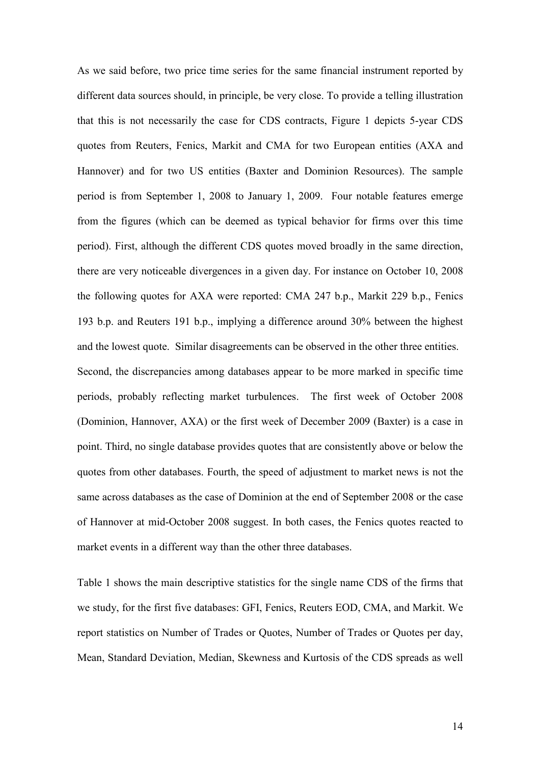As we said before, two price time series for the same financial instrument reported by different data sources should, in principle, be very close. To provide a telling illustration that this is not necessarily the case for CDS contracts, Figure 1 depicts 5-year CDS quotes from Reuters, Fenics, Markit and CMA for two European entities (AXA and Hannover) and for two US entities (Baxter and Dominion Resources). The sample period is from September 1, 2008 to January 1, 2009. Four notable features emerge from the figures (which can be deemed as typical behavior for firms over this time period). First, although the different CDS quotes moved broadly in the same direction, there are very noticeable divergences in a given day. For instance on October 10, 2008 the following quotes for AXA were reported: CMA 247 b.p., Markit 229 b.p., Fenics 193 b.p. and Reuters 191 b.p., implying a difference around 30% between the highest and the lowest quote. Similar disagreements can be observed in the other three entities. Second, the discrepancies among databases appear to be more marked in specific time periods, probably reflecting market turbulences. The first week of October 2008 (Dominion, Hannover, AXA) or the first week of December 2009 (Baxter) is a case in point. Third, no single database provides quotes that are consistently above or below the quotes from other databases. Fourth, the speed of adjustment to market news is not the same across databases as the case of Dominion at the end of September 2008 or the case of Hannover at mid-October 2008 suggest. In both cases, the Fenics quotes reacted to market events in a different way than the other three databases.

Table 1 shows the main descriptive statistics for the single name CDS of the firms that we study, for the first five databases: GFI, Fenics, Reuters EOD, CMA, and Markit. We report statistics on Number of Trades or Quotes, Number of Trades or Quotes per day, Mean, Standard Deviation, Median, Skewness and Kurtosis of the CDS spreads as well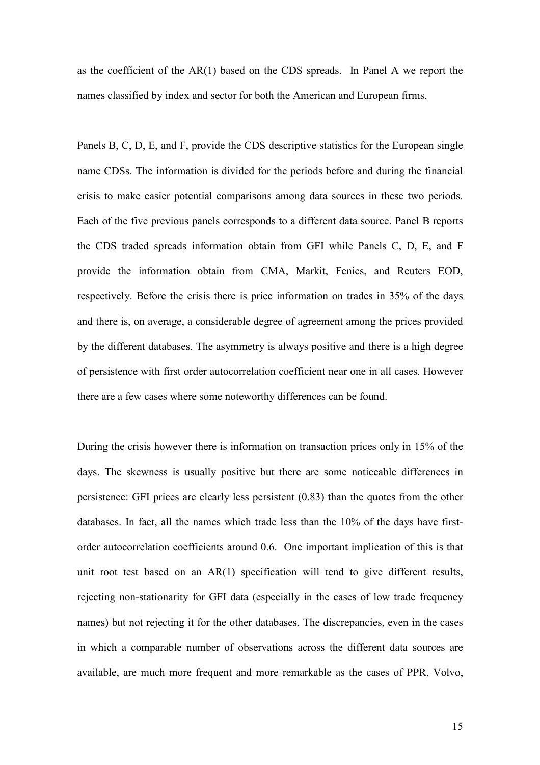as the coefficient of the AR(1) based on the CDS spreads. In Panel A we report the names classified by index and sector for both the American and European firms.

Panels B, C, D, E, and F, provide the CDS descriptive statistics for the European single name CDSs. The information is divided for the periods before and during the financial crisis to make easier potential comparisons among data sources in these two periods. Each of the five previous panels corresponds to a different data source. Panel B reports the CDS traded spreads information obtain from GFI while Panels C, D, E, and F provide the information obtain from CMA, Markit, Fenics, and Reuters EOD, respectively. Before the crisis there is price information on trades in 35% of the days and there is, on average, a considerable degree of agreement among the prices provided by the different databases. The asymmetry is always positive and there is a high degree of persistence with first order autocorrelation coefficient near one in all cases. However there are a few cases where some noteworthy differences can be found.

During the crisis however there is information on transaction prices only in 15% of the days. The skewness is usually positive but there are some noticeable differences in persistence: GFI prices are clearly less persistent (0.83) than the quotes from the other databases. In fact, all the names which trade less than the 10% of the days have firstorder autocorrelation coefficients around 0.6. One important implication of this is that unit root test based on an AR(1) specification will tend to give different results, rejecting non-stationarity for GFI data (especially in the cases of low trade frequency names) but not rejecting it for the other databases. The discrepancies, even in the cases in which a comparable number of observations across the different data sources are available, are much more frequent and more remarkable as the cases of PPR, Volvo,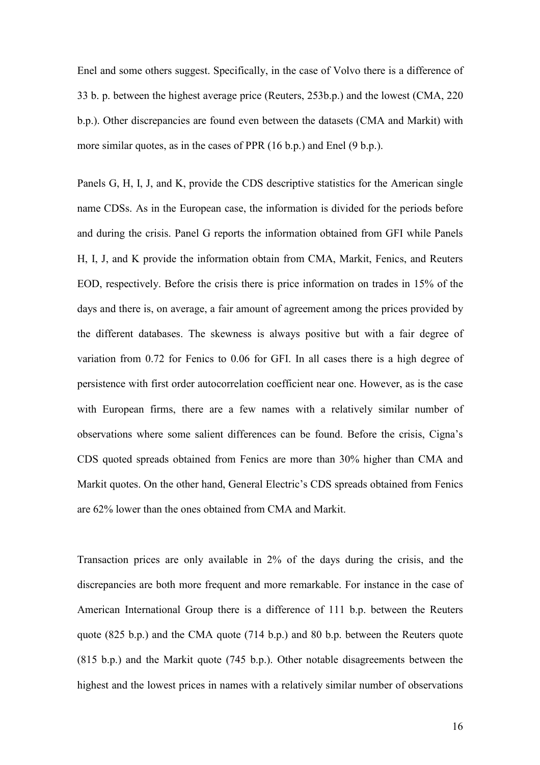Enel and some others suggest. Specifically, in the case of Volvo there is a difference of 33 b. p. between the highest average price (Reuters, 253b.p.) and the lowest (CMA, 220 b.p.). Other discrepancies are found even between the datasets (CMA and Markit) with more similar quotes, as in the cases of PPR (16 b.p.) and Enel (9 b.p.).

Panels G, H, I, J, and K, provide the CDS descriptive statistics for the American single name CDSs. As in the European case, the information is divided for the periods before and during the crisis. Panel G reports the information obtained from GFI while Panels H, I, J, and K provide the information obtain from CMA, Markit, Fenics, and Reuters EOD, respectively. Before the crisis there is price information on trades in 15% of the days and there is, on average, a fair amount of agreement among the prices provided by the different databases. The skewness is always positive but with a fair degree of variation from 0.72 for Fenics to 0.06 for GFI. In all cases there is a high degree of persistence with first order autocorrelation coefficient near one. However, as is the case with European firms, there are a few names with a relatively similar number of observations where some salient differences can be found. Before the crisis, Cigna's CDS quoted spreads obtained from Fenics are more than 30% higher than CMA and Markit quotes. On the other hand, General Electric's CDS spreads obtained from Fenics are 62% lower than the ones obtained from CMA and Markit.

Transaction prices are only available in 2% of the days during the crisis, and the discrepancies are both more frequent and more remarkable. For instance in the case of American International Group there is a difference of 111 b.p. between the Reuters quote (825 b.p.) and the CMA quote (714 b.p.) and 80 b.p. between the Reuters quote (815 b.p.) and the Markit quote (745 b.p.). Other notable disagreements between the highest and the lowest prices in names with a relatively similar number of observations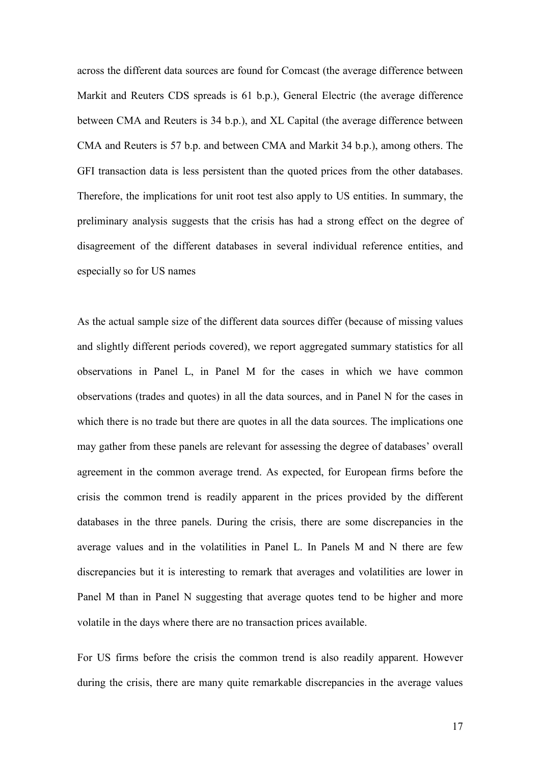across the different data sources are found for Comcast (the average difference between Markit and Reuters CDS spreads is 61 b.p.), General Electric (the average difference between CMA and Reuters is 34 b.p.), and XL Capital (the average difference between CMA and Reuters is 57 b.p. and between CMA and Markit 34 b.p.), among others. The GFI transaction data is less persistent than the quoted prices from the other databases. Therefore, the implications for unit root test also apply to US entities. In summary, the preliminary analysis suggests that the crisis has had a strong effect on the degree of disagreement of the different databases in several individual reference entities, and especially so for US names

As the actual sample size of the different data sources differ (because of missing values and slightly different periods covered), we report aggregated summary statistics for all observations in Panel L, in Panel M for the cases in which we have common observations (trades and quotes) in all the data sources, and in Panel N for the cases in which there is no trade but there are quotes in all the data sources. The implications one may gather from these panels are relevant for assessing the degree of databases' overall agreement in the common average trend. As expected, for European firms before the crisis the common trend is readily apparent in the prices provided by the different databases in the three panels. During the crisis, there are some discrepancies in the average values and in the volatilities in Panel L. In Panels M and N there are few discrepancies but it is interesting to remark that averages and volatilities are lower in Panel M than in Panel N suggesting that average quotes tend to be higher and more volatile in the days where there are no transaction prices available.

For US firms before the crisis the common trend is also readily apparent. However during the crisis, there are many quite remarkable discrepancies in the average values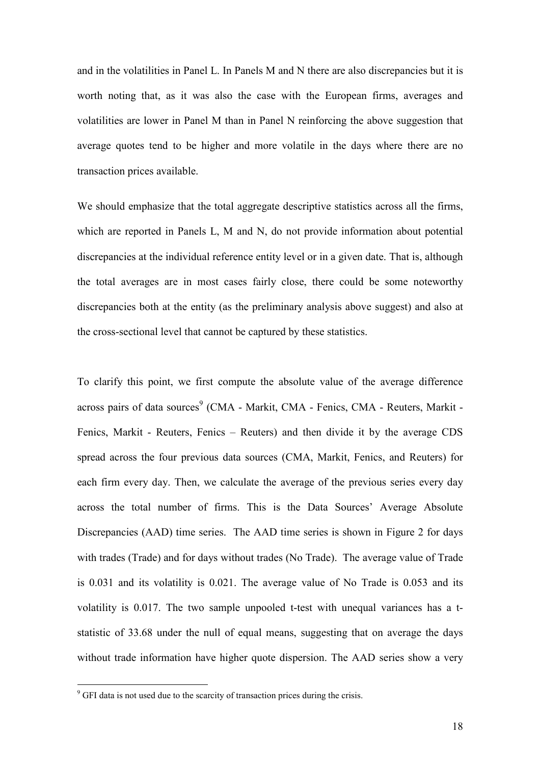and in the volatilities in Panel L. In Panels M and N there are also discrepancies but it is worth noting that, as it was also the case with the European firms, averages and volatilities are lower in Panel M than in Panel N reinforcing the above suggestion that average quotes tend to be higher and more volatile in the days where there are no transaction prices available.

We should emphasize that the total aggregate descriptive statistics across all the firms, which are reported in Panels L, M and N, do not provide information about potential discrepancies at the individual reference entity level or in a given date. That is, although the total averages are in most cases fairly close, there could be some noteworthy discrepancies both at the entity (as the preliminary analysis above suggest) and also at the cross-sectional level that cannot be captured by these statistics.

To clarify this point, we first compute the absolute value of the average difference across pairs of data sources<sup>9</sup> (CMA - Markit, CMA - Fenics, CMA - Reuters, Markit -Fenics, Markit - Reuters, Fenics – Reuters) and then divide it by the average CDS spread across the four previous data sources (CMA, Markit, Fenics, and Reuters) for each firm every day. Then, we calculate the average of the previous series every day across the total number of firms. This is the Data Sources' Average Absolute Discrepancies (AAD) time series. The AAD time series is shown in Figure 2 for days with trades (Trade) and for days without trades (No Trade). The average value of Trade is 0.031 and its volatility is 0.021. The average value of No Trade is 0.053 and its volatility is 0.017. The two sample unpooled t-test with unequal variances has a tstatistic of 33.68 under the null of equal means, suggesting that on average the days without trade information have higher quote dispersion. The AAD series show a very

<sup>&</sup>lt;sup>9</sup> GFI data is not used due to the scarcity of transaction prices during the crisis.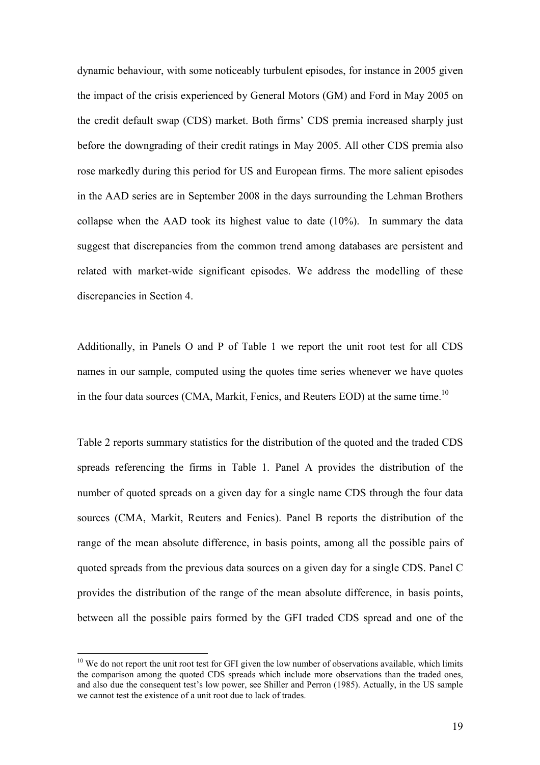dynamic behaviour, with some noticeably turbulent episodes, for instance in 2005 given the impact of the crisis experienced by General Motors (GM) and Ford in May 2005 on the credit default swap (CDS) market. Both firms' CDS premia increased sharply just before the downgrading of their credit ratings in May 2005. All other CDS premia also rose markedly during this period for US and European firms. The more salient episodes in the AAD series are in September 2008 in the days surrounding the Lehman Brothers collapse when the AAD took its highest value to date (10%). In summary the data suggest that discrepancies from the common trend among databases are persistent and related with market-wide significant episodes. We address the modelling of these discrepancies in Section 4.

Additionally, in Panels O and P of Table 1 we report the unit root test for all CDS names in our sample, computed using the quotes time series whenever we have quotes in the four data sources (CMA, Markit, Fenics, and Reuters EOD) at the same time.<sup>10</sup>

Table 2 reports summary statistics for the distribution of the quoted and the traded CDS spreads referencing the firms in Table 1. Panel A provides the distribution of the number of quoted spreads on a given day for a single name CDS through the four data sources (CMA, Markit, Reuters and Fenics). Panel B reports the distribution of the range of the mean absolute difference, in basis points, among all the possible pairs of quoted spreads from the previous data sources on a given day for a single CDS. Panel C provides the distribution of the range of the mean absolute difference, in basis points, between all the possible pairs formed by the GFI traded CDS spread and one of the

<sup>&</sup>lt;sup>10</sup> We do not report the unit root test for GFI given the low number of observations available, which limits the comparison among the quoted CDS spreads which include more observations than the traded ones, and also due the consequent test's low power, see Shiller and Perron (1985). Actually, in the US sample we cannot test the existence of a unit root due to lack of trades.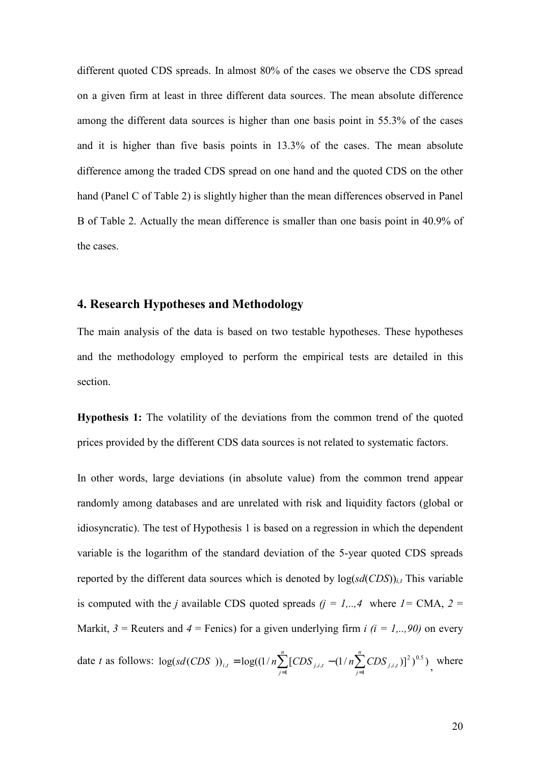different quoted CDS spreads. In almost 80% of the cases we observe the CDS spread on a given firm at least in three different data sources. The mean absolute difference among the different data sources is higher than one basis point in 55.3% of the cases and it is higher than five basis points in 13.3% of the cases. The mean absolute difference among the traded CDS spread on one hand and the quoted CDS on the other hand (Panel C of Table 2) is slightly higher than the mean differences observed in Panel B of Table 2. Actually the mean difference is smaller than one basis point in 40.9% of the cases.

## 4. Research Hypotheses and Methodology

The main analysis of the data is based on two testable hypotheses. These hypotheses and the methodology employed to perform the empirical tests are detailed in this section.

Hypothesis 1: The volatility of the deviations from the common trend of the quoted prices provided by the different CDS data sources is not related to systematic factors.

In other words, large deviations (in absolute value) from the common trend appear randomly among databases and are unrelated with risk and liquidity factors (global or idiosyncratic). The test of Hypothesis 1 is based on a regression in which the dependent variable is the logarithm of the standard deviation of the 5-year quoted CDS spreads reported by the different data sources which is denoted by  $log(sd(CDS))_{it}$  This variable is computed with the j available CDS quoted spreads  $(j = 1,..,4)$  where  $I = CMA$ ,  $2 =$ Markit,  $3$  = Reuters and  $4$  = Fenics) for a given underlying firm  $i$  ( $i = 1,..,90$ ) on every date t as follows:  $\log(s d(CDS))_{it} = \log((1/n) \sum [CDS]_{it} - (1/n) \sum [CDS]_{it} ]^2)^{0.5}$ 1 ,,  $_{i,t} = \log((1/n)\sum_{j=1}^{n} [CDS_{j,i,t} - (1/n)\sum_{j=1}^{n}$  $=\log((1/n)^{n}/[CDS_{i}]_{i} - (1/n)^{n}/[CDS_{i}]_{i}$ j  $j, i, t$ n j  $sd(CDS)_{i,t} = log((1/n)\sum_{i=1}^{t} [CDS_{j,i,t} - (1/n\sum_{i=1}^{t} CDS_{j,i,t})]^2)^{0.5})$ , where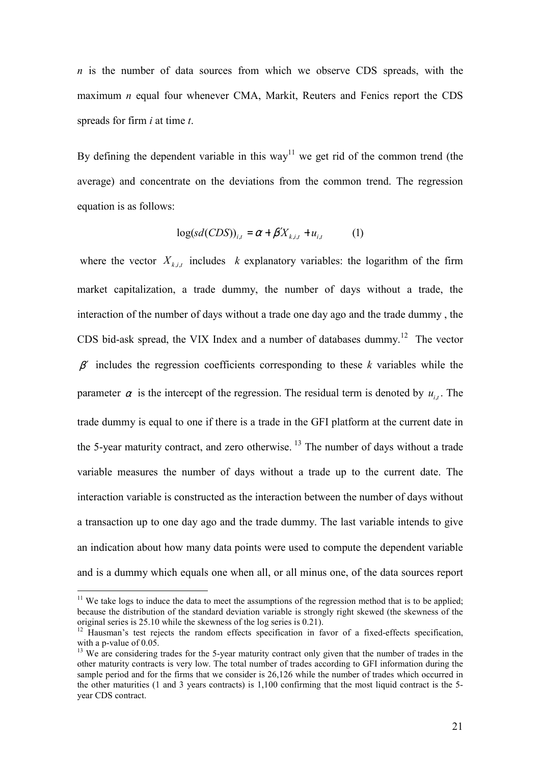$n$  is the number of data sources from which we observe CDS spreads, with the maximum  $n$  equal four whenever CMA, Markit, Reuters and Fenics report the CDS spreads for firm  $i$  at time  $t$ .

By defining the dependent variable in this way<sup>11</sup> we get rid of the common trend (the average) and concentrate on the deviations from the common trend. The regression equation is as follows:

$$
\log(sd(CDS))_{i,t} = \alpha + \beta' X_{k,i,t} + u_{i,t} \tag{1}
$$

where the vector  $X_{k,i,t}$  includes k explanatory variables: the logarithm of the firm market capitalization, a trade dummy, the number of days without a trade, the interaction of the number of days without a trade one day ago and the trade dummy , the CDS bid-ask spread, the VIX Index and a number of databases dummy.<sup>12</sup> The vector  $\beta'$  includes the regression coefficients corresponding to these k variables while the parameter  $\alpha$  is the intercept of the regression. The residual term is denoted by  $u_{i,t}$ . The trade dummy is equal to one if there is a trade in the GFI platform at the current date in the 5-year maturity contract, and zero otherwise.<sup>13</sup> The number of days without a trade variable measures the number of days without a trade up to the current date. The interaction variable is constructed as the interaction between the number of days without a transaction up to one day ago and the trade dummy. The last variable intends to give an indication about how many data points were used to compute the dependent variable and is a dummy which equals one when all, or all minus one, of the data sources report

 $11$  We take logs to induce the data to meet the assumptions of the regression method that is to be applied; because the distribution of the standard deviation variable is strongly right skewed (the skewness of the original series is 25.10 while the skewness of the log series is 0.21).

<sup>&</sup>lt;sup>12</sup> Hausman's test rejects the random effects specification in favor of a fixed-effects specification, with a p-value of  $0.05$ .

<sup>&</sup>lt;sup>13</sup> We are considering trades for the 5-year maturity contract only given that the number of trades in the other maturity contracts is very low. The total number of trades according to GFI information during the sample period and for the firms that we consider is 26,126 while the number of trades which occurred in the other maturities (1 and 3 years contracts) is 1,100 confirming that the most liquid contract is the 5 year CDS contract.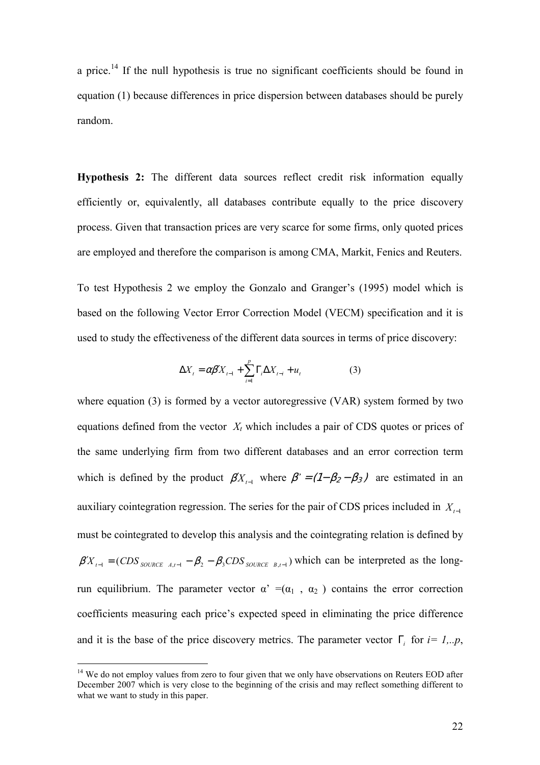a price.<sup>14</sup> If the null hypothesis is true no significant coefficients should be found in equation (1) because differences in price dispersion between databases should be purely random.

Hypothesis 2: The different data sources reflect credit risk information equally efficiently or, equivalently, all databases contribute equally to the price discovery process. Given that transaction prices are very scarce for some firms, only quoted prices are employed and therefore the comparison is among CMA, Markit, Fenics and Reuters.

To test Hypothesis 2 we employ the Gonzalo and Granger's (1995) model which is based on the following Vector Error Correction Model (VECM) specification and it is used to study the effectiveness of the different data sources in terms of price discovery:

$$
\Delta X_t = \alpha \beta' X_{t-1} + \sum_{i=1}^p \Gamma_i \Delta X_{t-i} + u_t
$$
 (3)

where equation (3) is formed by a vector autoregressive (VAR) system formed by two equations defined from the vector  $X_t$  which includes a pair of CDS quotes or prices of the same underlying firm from two different databases and an error correction term which is defined by the product  $\beta'X_{t-1}$  where  $\beta' = (1 - \beta_2 - \beta_3)$  are estimated in an auxiliary cointegration regression. The series for the pair of CDS prices included in  $X_{t-1}$ must be cointegrated to develop this analysis and the cointegrating relation is defined by  $\beta' X_{t-1} = (CDS_{\text{SOLRCE}} A_{t-1} - \beta_2 - \beta_3 CDS_{\text{SOLRCE}} B_{t-1})$  which can be interpreted as the longrun equilibrium. The parameter vector  $\alpha' = (\alpha_1, \alpha_2)$  contains the error correction coefficients measuring each price's expected speed in eliminating the price difference and it is the base of the price discovery metrics. The parameter vector  $\Gamma_i$  for  $i = 1,..p$ ,

 $14$  We do not employ values from zero to four given that we only have observations on Reuters EOD after December 2007 which is very close to the beginning of the crisis and may reflect something different to what we want to study in this paper.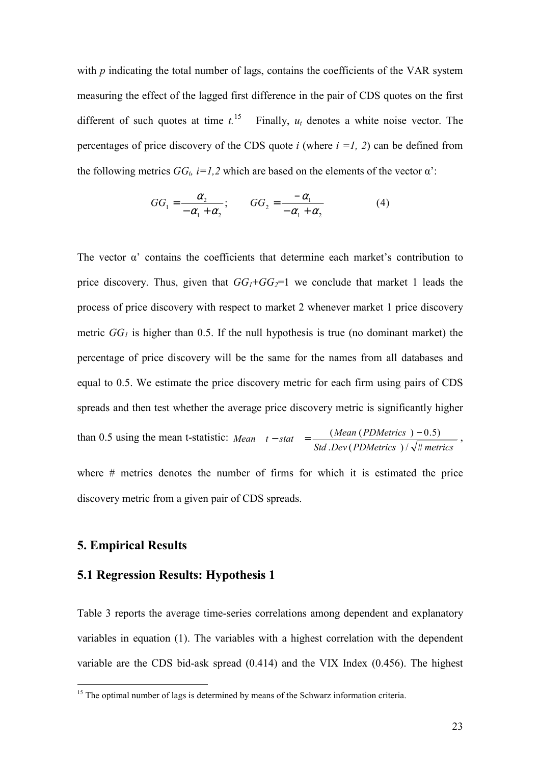with  $p$  indicating the total number of lags, contains the coefficients of the VAR system measuring the effect of the lagged first difference in the pair of CDS quotes on the first different of such quotes at time  $t^{15}$  Finally,  $u_t$  denotes a white noise vector. The percentages of price discovery of the CDS quote *i* (where  $i = 1, 2$ ) can be defined from the following metrics  $GG_i$ ,  $i=1,2$  which are based on the elements of the vector  $\alpha$ ':

$$
GG_1 = \frac{\alpha_2}{-\alpha_1 + \alpha_2}; \qquad GG_2 = \frac{-\alpha_1}{-\alpha_1 + \alpha_2} \tag{4}
$$

The vector  $\alpha'$  contains the coefficients that determine each market's contribution to price discovery. Thus, given that  $GG_1 + GG_2 = 1$  we conclude that market 1 leads the process of price discovery with respect to market 2 whenever market 1 price discovery metric  $GG<sub>l</sub>$  is higher than 0.5. If the null hypothesis is true (no dominant market) the percentage of price discovery will be the same for the names from all databases and equal to 0.5. We estimate the price discovery metric for each firm using pairs of CDS spreads and then test whether the average price discovery metric is significantly higher than 0.5 using the mean t-statistic: Std .Dev (PDMetrics ) /  $\sqrt{\#}$  metrics Mean  $t - stat = \frac{(Mean (PDMetric)$  $. Dev (PDMetrics) / \sqrt{t}$ ( ( ) − )5.0 − = , where # metrics denotes the number of firms for which it is estimated the price

## 5. Empirical Results

 $\overline{a}$ 

## 5.1 Regression Results: Hypothesis 1

discovery metric from a given pair of CDS spreads.

Table 3 reports the average time-series correlations among dependent and explanatory variables in equation (1). The variables with a highest correlation with the dependent variable are the CDS bid-ask spread (0.414) and the VIX Index (0.456). The highest

<sup>&</sup>lt;sup>15</sup> The optimal number of lags is determined by means of the Schwarz information criteria.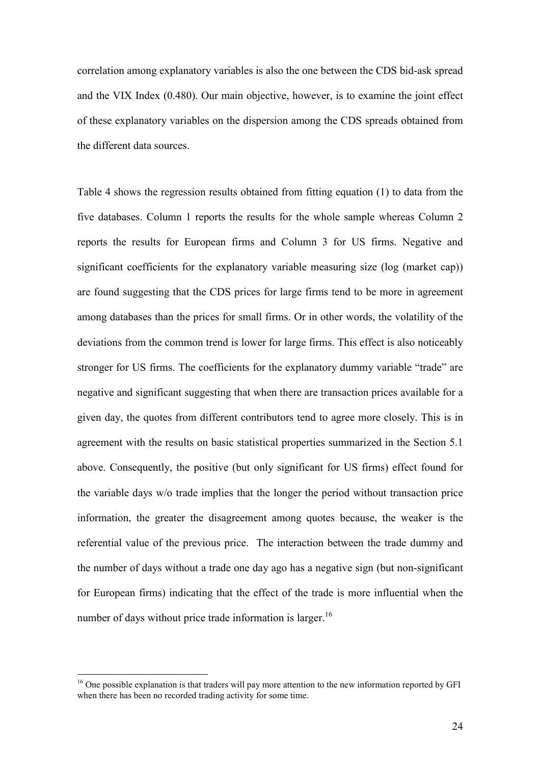correlation among explanatory variables is also the one between the CDS bid-ask spread and the VIX Index (0.480). Our main objective, however, is to examine the joint effect of these explanatory variables on the dispersion among the CDS spreads obtained from the different data sources.

Table 4 shows the regression results obtained from fitting equation (1) to data from the five databases. Column 1 reports the results for the whole sample whereas Column 2 reports the results for European firms and Column 3 for US firms. Negative and significant coefficients for the explanatory variable measuring size (log (market cap)) are found suggesting that the CDS prices for large firms tend to be more in agreement among databases than the prices for small firms. Or in other words, the volatility of the deviations from the common trend is lower for large firms. This effect is also noticeably stronger for US firms. The coefficients for the explanatory dummy variable "trade" are negative and significant suggesting that when there are transaction prices available for a given day, the quotes from different contributors tend to agree more closely. This is in agreement with the results on basic statistical properties summarized in the Section 5.1 above. Consequently, the positive (but only significant for US firms) effect found for the variable days w/o trade implies that the longer the period without transaction price information, the greater the disagreement among quotes because, the weaker is the referential value of the previous price. The interaction between the trade dummy and the number of days without a trade one day ago has a negative sign (but non-significant for European firms) indicating that the effect of the trade is more influential when the number of days without price trade information is larger.<sup>16</sup>

 $16$  One possible explanation is that traders will pay more attention to the new information reported by GFI when there has been no recorded trading activity for some time.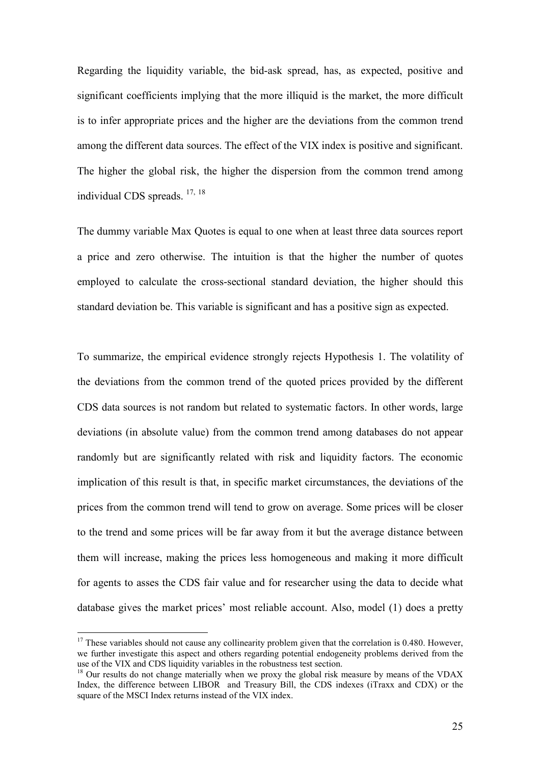Regarding the liquidity variable, the bid-ask spread, has, as expected, positive and significant coefficients implying that the more illiquid is the market, the more difficult is to infer appropriate prices and the higher are the deviations from the common trend among the different data sources. The effect of the VIX index is positive and significant. The higher the global risk, the higher the dispersion from the common trend among individual CDS spreads.<sup>17, 18</sup>

The dummy variable Max Quotes is equal to one when at least three data sources report a price and zero otherwise. The intuition is that the higher the number of quotes employed to calculate the cross-sectional standard deviation, the higher should this standard deviation be. This variable is significant and has a positive sign as expected.

To summarize, the empirical evidence strongly rejects Hypothesis 1. The volatility of the deviations from the common trend of the quoted prices provided by the different CDS data sources is not random but related to systematic factors. In other words, large deviations (in absolute value) from the common trend among databases do not appear randomly but are significantly related with risk and liquidity factors. The economic implication of this result is that, in specific market circumstances, the deviations of the prices from the common trend will tend to grow on average. Some prices will be closer to the trend and some prices will be far away from it but the average distance between them will increase, making the prices less homogeneous and making it more difficult for agents to asses the CDS fair value and for researcher using the data to decide what database gives the market prices' most reliable account. Also, model (1) does a pretty

 $17$  These variables should not cause any collinearity problem given that the correlation is 0.480. However, we further investigate this aspect and others regarding potential endogeneity problems derived from the use of the VIX and CDS liquidity variables in the robustness test section.

<sup>&</sup>lt;sup>18</sup> Our results do not change materially when we proxy the global risk measure by means of the VDAX Index, the difference between LIBOR and Treasury Bill, the CDS indexes (iTraxx and CDX) or the square of the MSCI Index returns instead of the VIX index.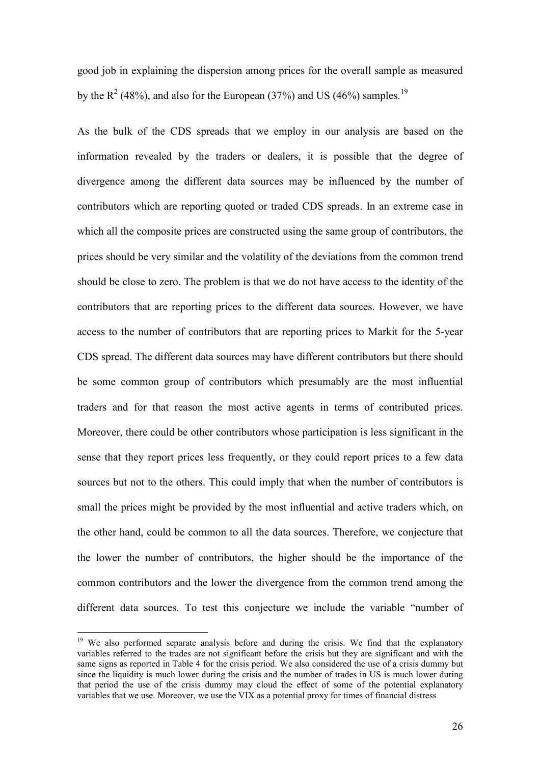good job in explaining the dispersion among prices for the overall sample as measured by the R<sup>2</sup> (48%), and also for the European (37%) and US (46%) samples.<sup>19</sup>

As the bulk of the CDS spreads that we employ in our analysis are based on the information revealed by the traders or dealers, it is possible that the degree of divergence among the different data sources may be influenced by the number of contributors which are reporting quoted or traded CDS spreads. In an extreme case in which all the composite prices are constructed using the same group of contributors, the prices should be very similar and the volatility of the deviations from the common trend should be close to zero. The problem is that we do not have access to the identity of the contributors that are reporting prices to the different data sources. However, we have access to the number of contributors that are reporting prices to Markit for the 5-year CDS spread. The different data sources may have different contributors but there should be some common group of contributors which presumably are the most influential traders and for that reason the most active agents in terms of contributed prices. Moreover, there could be other contributors whose participation is less significant in the sense that they report prices less frequently, or they could report prices to a few data sources but not to the others. This could imply that when the number of contributors is small the prices might be provided by the most influential and active traders which, on the other hand, could be common to all the data sources. Therefore, we conjecture that the lower the number of contributors, the higher should be the importance of the common contributors and the lower the divergence from the common trend among the different data sources. To test this conjecture we include the variable "number of

<sup>&</sup>lt;sup>19</sup> We also performed separate analysis before and during the crisis. We find that the explanatory variables referred to the trades are not significant before the crisis but they are significant and with the same signs as reported in Table 4 for the crisis period. We also considered the use of a crisis dummy but since the liquidity is much lower during the crisis and the number of trades in US is much lower during that period the use of the crisis dummy may cloud the effect of some of the potential explanatory variables that we use. Moreover, we use the VIX as a potential proxy for times of financial distress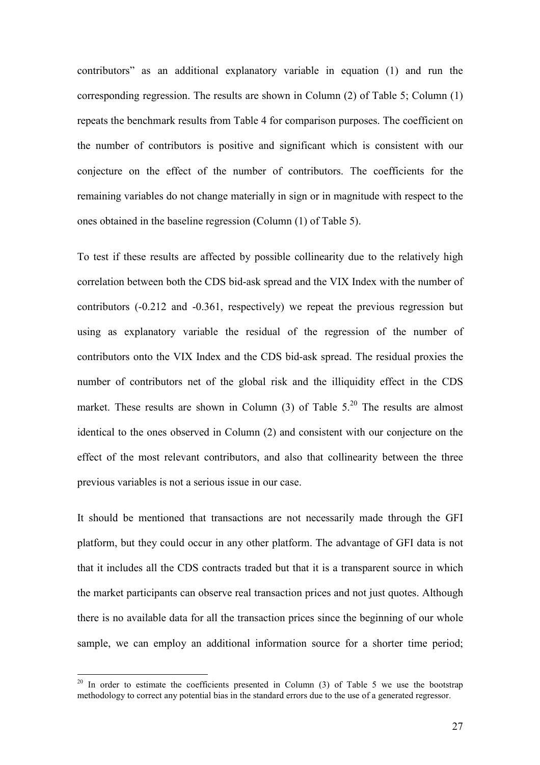contributors" as an additional explanatory variable in equation (1) and run the corresponding regression. The results are shown in Column (2) of Table 5; Column (1) repeats the benchmark results from Table 4 for comparison purposes. The coefficient on the number of contributors is positive and significant which is consistent with our conjecture on the effect of the number of contributors. The coefficients for the remaining variables do not change materially in sign or in magnitude with respect to the ones obtained in the baseline regression (Column (1) of Table 5).

To test if these results are affected by possible collinearity due to the relatively high correlation between both the CDS bid-ask spread and the VIX Index with the number of contributors (-0.212 and -0.361, respectively) we repeat the previous regression but using as explanatory variable the residual of the regression of the number of contributors onto the VIX Index and the CDS bid-ask spread. The residual proxies the number of contributors net of the global risk and the illiquidity effect in the CDS market. These results are shown in Column  $(3)$  of Table  $5<sup>20</sup>$  The results are almost identical to the ones observed in Column (2) and consistent with our conjecture on the effect of the most relevant contributors, and also that collinearity between the three previous variables is not a serious issue in our case.

It should be mentioned that transactions are not necessarily made through the GFI platform, but they could occur in any other platform. The advantage of GFI data is not that it includes all the CDS contracts traded but that it is a transparent source in which the market participants can observe real transaction prices and not just quotes. Although there is no available data for all the transaction prices since the beginning of our whole sample, we can employ an additional information source for a shorter time period;

 $20$  In order to estimate the coefficients presented in Column (3) of Table 5 we use the bootstrap methodology to correct any potential bias in the standard errors due to the use of a generated regressor.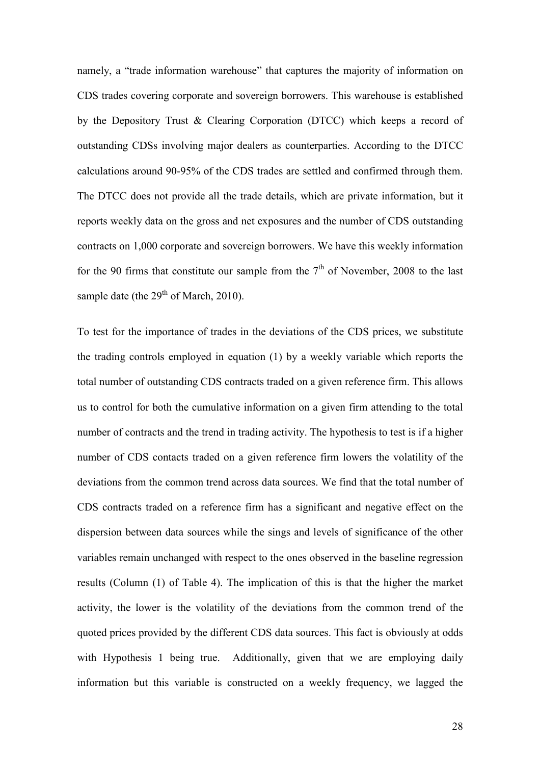namely, a "trade information warehouse" that captures the majority of information on CDS trades covering corporate and sovereign borrowers. This warehouse is established by the Depository Trust & Clearing Corporation (DTCC) which keeps a record of outstanding CDSs involving major dealers as counterparties. According to the DTCC calculations around 90-95% of the CDS trades are settled and confirmed through them. The DTCC does not provide all the trade details, which are private information, but it reports weekly data on the gross and net exposures and the number of CDS outstanding contracts on 1,000 corporate and sovereign borrowers. We have this weekly information for the 90 firms that constitute our sample from the  $7<sup>th</sup>$  of November, 2008 to the last sample date (the  $29<sup>th</sup>$  of March, 2010).

To test for the importance of trades in the deviations of the CDS prices, we substitute the trading controls employed in equation (1) by a weekly variable which reports the total number of outstanding CDS contracts traded on a given reference firm. This allows us to control for both the cumulative information on a given firm attending to the total number of contracts and the trend in trading activity. The hypothesis to test is if a higher number of CDS contacts traded on a given reference firm lowers the volatility of the deviations from the common trend across data sources. We find that the total number of CDS contracts traded on a reference firm has a significant and negative effect on the dispersion between data sources while the sings and levels of significance of the other variables remain unchanged with respect to the ones observed in the baseline regression results (Column (1) of Table 4). The implication of this is that the higher the market activity, the lower is the volatility of the deviations from the common trend of the quoted prices provided by the different CDS data sources. This fact is obviously at odds with Hypothesis 1 being true. Additionally, given that we are employing daily information but this variable is constructed on a weekly frequency, we lagged the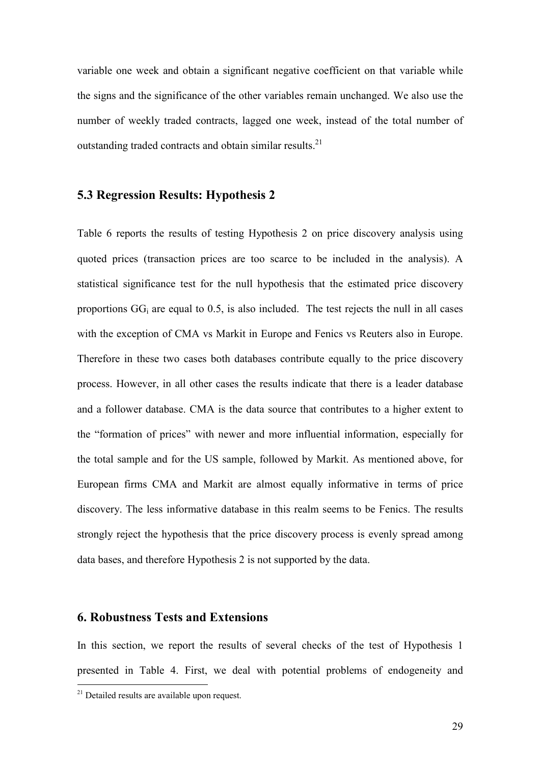variable one week and obtain a significant negative coefficient on that variable while the signs and the significance of the other variables remain unchanged. We also use the number of weekly traded contracts, lagged one week, instead of the total number of outstanding traded contracts and obtain similar results. $21$ 

## 5.3 Regression Results: Hypothesis 2

Table 6 reports the results of testing Hypothesis 2 on price discovery analysis using quoted prices (transaction prices are too scarce to be included in the analysis). A statistical significance test for the null hypothesis that the estimated price discovery proportions  $GG_i$  are equal to 0.5, is also included. The test rejects the null in all cases with the exception of CMA vs Markit in Europe and Fenics vs Reuters also in Europe. Therefore in these two cases both databases contribute equally to the price discovery process. However, in all other cases the results indicate that there is a leader database and a follower database. CMA is the data source that contributes to a higher extent to the "formation of prices" with newer and more influential information, especially for the total sample and for the US sample, followed by Markit. As mentioned above, for European firms CMA and Markit are almost equally informative in terms of price discovery. The less informative database in this realm seems to be Fenics. The results strongly reject the hypothesis that the price discovery process is evenly spread among data bases, and therefore Hypothesis 2 is not supported by the data.

## 6. Robustness Tests and Extensions

In this section, we report the results of several checks of the test of Hypothesis 1 presented in Table 4. First, we deal with potential problems of endogeneity and

<sup>&</sup>lt;sup>21</sup> Detailed results are available upon request.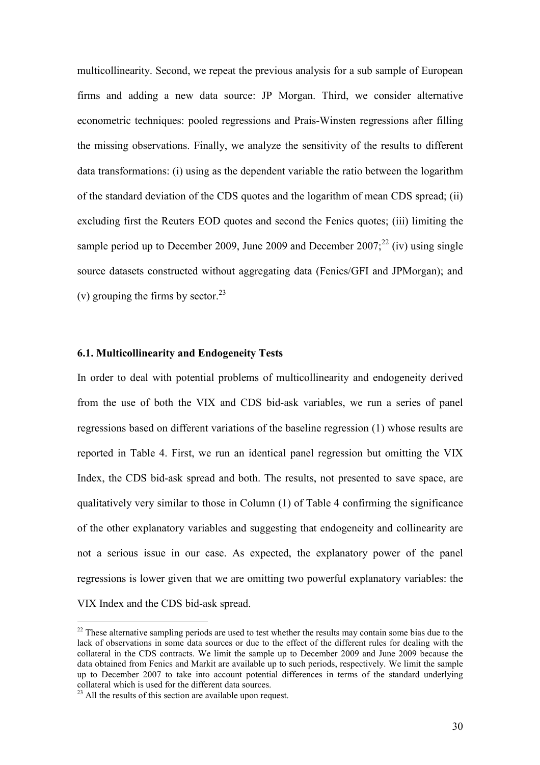multicollinearity. Second, we repeat the previous analysis for a sub sample of European firms and adding a new data source: JP Morgan. Third, we consider alternative econometric techniques: pooled regressions and Prais-Winsten regressions after filling the missing observations. Finally, we analyze the sensitivity of the results to different data transformations: (i) using as the dependent variable the ratio between the logarithm of the standard deviation of the CDS quotes and the logarithm of mean CDS spread; (ii) excluding first the Reuters EOD quotes and second the Fenics quotes; (iii) limiting the sample period up to December 2009, June 2009 and December 2007;<sup>22</sup> (iv) using single source datasets constructed without aggregating data (Fenics/GFI and JPMorgan); and (v) grouping the firms by sector.<sup>23</sup>

## 6.1. Multicollinearity and Endogeneity Tests

In order to deal with potential problems of multicollinearity and endogeneity derived from the use of both the VIX and CDS bid-ask variables, we run a series of panel regressions based on different variations of the baseline regression (1) whose results are reported in Table 4. First, we run an identical panel regression but omitting the VIX Index, the CDS bid-ask spread and both. The results, not presented to save space, are qualitatively very similar to those in Column (1) of Table 4 confirming the significance of the other explanatory variables and suggesting that endogeneity and collinearity are not a serious issue in our case. As expected, the explanatory power of the panel regressions is lower given that we are omitting two powerful explanatory variables: the VIX Index and the CDS bid-ask spread.

 $22$  These alternative sampling periods are used to test whether the results may contain some bias due to the lack of observations in some data sources or due to the effect of the different rules for dealing with the collateral in the CDS contracts. We limit the sample up to December 2009 and June 2009 because the data obtained from Fenics and Markit are available up to such periods, respectively. We limit the sample up to December 2007 to take into account potential differences in terms of the standard underlying collateral which is used for the different data sources.

 $23$  All the results of this section are available upon request.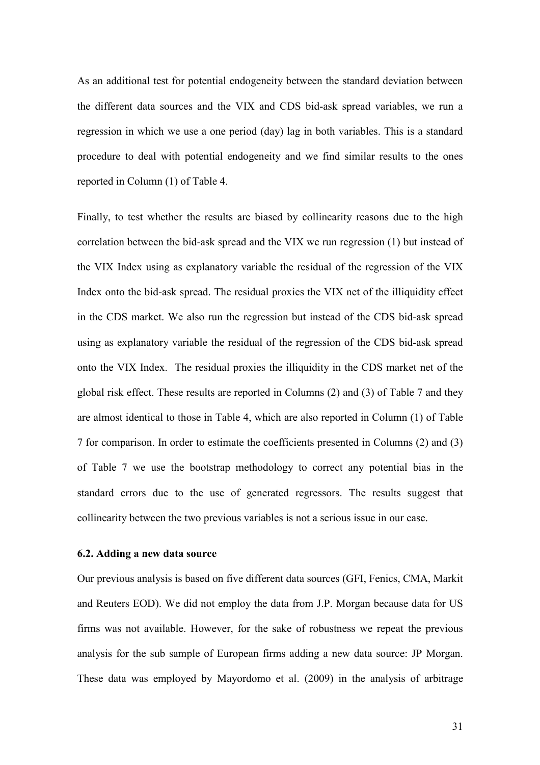As an additional test for potential endogeneity between the standard deviation between the different data sources and the VIX and CDS bid-ask spread variables, we run a regression in which we use a one period (day) lag in both variables. This is a standard procedure to deal with potential endogeneity and we find similar results to the ones reported in Column (1) of Table 4.

Finally, to test whether the results are biased by collinearity reasons due to the high correlation between the bid-ask spread and the VIX we run regression (1) but instead of the VIX Index using as explanatory variable the residual of the regression of the VIX Index onto the bid-ask spread. The residual proxies the VIX net of the illiquidity effect in the CDS market. We also run the regression but instead of the CDS bid-ask spread using as explanatory variable the residual of the regression of the CDS bid-ask spread onto the VIX Index. The residual proxies the illiquidity in the CDS market net of the global risk effect. These results are reported in Columns (2) and (3) of Table 7 and they are almost identical to those in Table 4, which are also reported in Column (1) of Table 7 for comparison. In order to estimate the coefficients presented in Columns (2) and (3) of Table 7 we use the bootstrap methodology to correct any potential bias in the standard errors due to the use of generated regressors. The results suggest that collinearity between the two previous variables is not a serious issue in our case.

### 6.2. Adding a new data source

Our previous analysis is based on five different data sources (GFI, Fenics, CMA, Markit and Reuters EOD). We did not employ the data from J.P. Morgan because data for US firms was not available. However, for the sake of robustness we repeat the previous analysis for the sub sample of European firms adding a new data source: JP Morgan. These data was employed by Mayordomo et al. (2009) in the analysis of arbitrage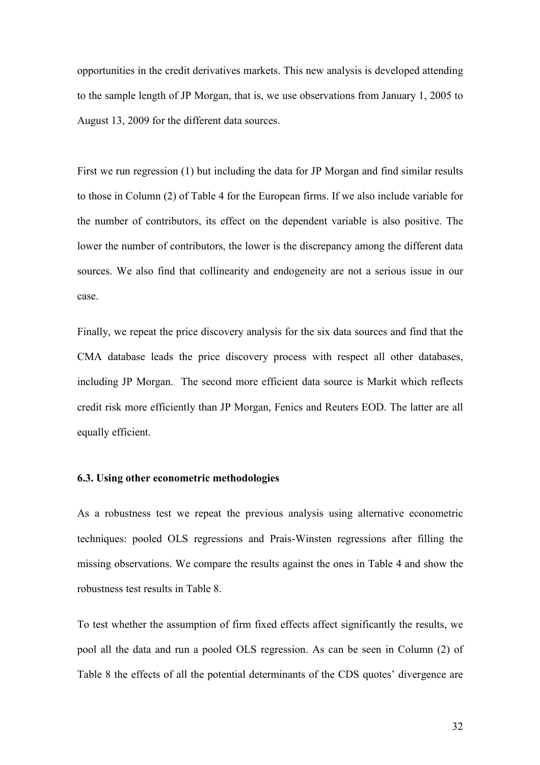opportunities in the credit derivatives markets. This new analysis is developed attending to the sample length of JP Morgan, that is, we use observations from January 1, 2005 to August 13, 2009 for the different data sources.

First we run regression (1) but including the data for JP Morgan and find similar results to those in Column (2) of Table 4 for the European firms. If we also include variable for the number of contributors, its effect on the dependent variable is also positive. The lower the number of contributors, the lower is the discrepancy among the different data sources. We also find that collinearity and endogeneity are not a serious issue in our case.

Finally, we repeat the price discovery analysis for the six data sources and find that the CMA database leads the price discovery process with respect all other databases, including JP Morgan. The second more efficient data source is Markit which reflects credit risk more efficiently than JP Morgan, Fenics and Reuters EOD. The latter are all equally efficient.

### 6.3. Using other econometric methodologies

As a robustness test we repeat the previous analysis using alternative econometric techniques: pooled OLS regressions and Prais-Winsten regressions after filling the missing observations. We compare the results against the ones in Table 4 and show the robustness test results in Table 8.

To test whether the assumption of firm fixed effects affect significantly the results, we pool all the data and run a pooled OLS regression. As can be seen in Column (2) of Table 8 the effects of all the potential determinants of the CDS quotes' divergence are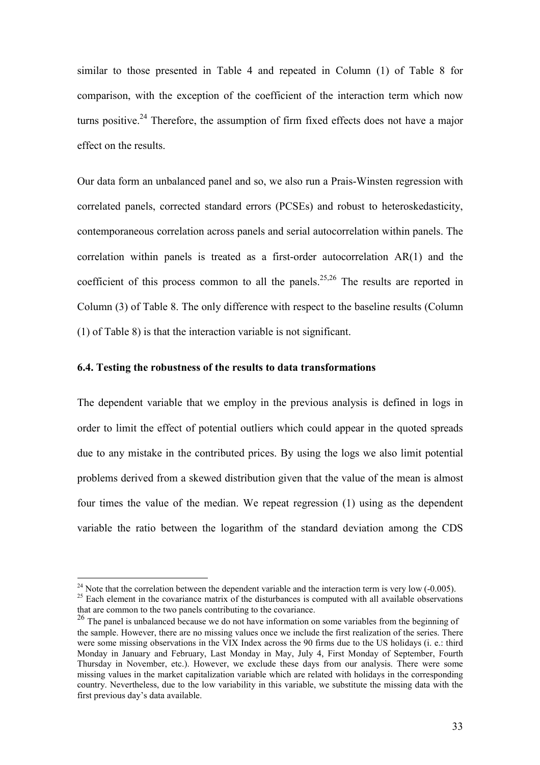similar to those presented in Table 4 and repeated in Column (1) of Table 8 for comparison, with the exception of the coefficient of the interaction term which now turns positive.<sup>24</sup> Therefore, the assumption of firm fixed effects does not have a major effect on the results.

Our data form an unbalanced panel and so, we also run a Prais-Winsten regression with correlated panels, corrected standard errors (PCSEs) and robust to heteroskedasticity, contemporaneous correlation across panels and serial autocorrelation within panels. The correlation within panels is treated as a first-order autocorrelation AR(1) and the coefficient of this process common to all the panels.<sup>25,26</sup> The results are reported in Column (3) of Table 8. The only difference with respect to the baseline results (Column (1) of Table 8) is that the interaction variable is not significant.

### 6.4. Testing the robustness of the results to data transformations

The dependent variable that we employ in the previous analysis is defined in logs in order to limit the effect of potential outliers which could appear in the quoted spreads due to any mistake in the contributed prices. By using the logs we also limit potential problems derived from a skewed distribution given that the value of the mean is almost four times the value of the median. We repeat regression (1) using as the dependent variable the ratio between the logarithm of the standard deviation among the CDS

<sup>&</sup>lt;sup>24</sup> Note that the correlation between the dependent variable and the interaction term is very low  $(-0.005)$ .

 $25$  Each element in the covariance matrix of the disturbances is computed with all available observations that are common to the two panels contributing to the covariance.

<sup>&</sup>lt;sup>26</sup> The panel is unbalanced because we do not have information on some variables from the beginning of the sample. However, there are no missing values once we include the first realization of the series. There were some missing observations in the VIX Index across the 90 firms due to the US holidays (i. e.: third Monday in January and February, Last Monday in May, July 4, First Monday of September, Fourth Thursday in November, etc.). However, we exclude these days from our analysis. There were some missing values in the market capitalization variable which are related with holidays in the corresponding country. Nevertheless, due to the low variability in this variable, we substitute the missing data with the first previous day's data available.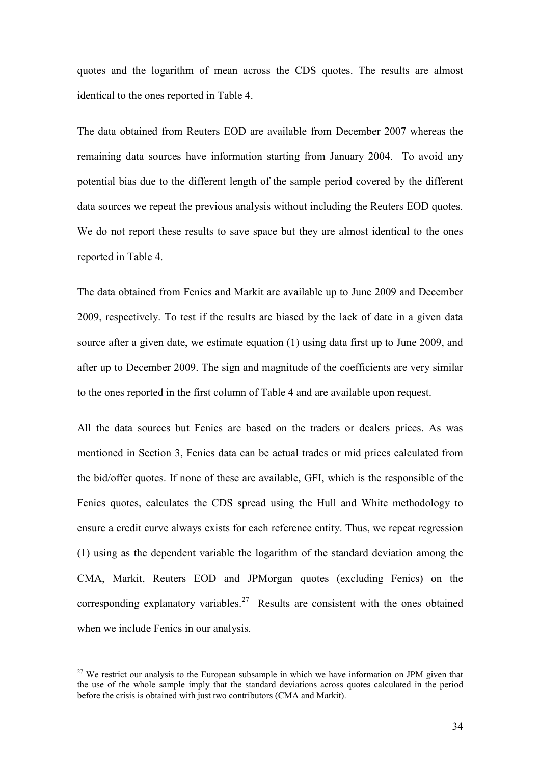quotes and the logarithm of mean across the CDS quotes. The results are almost identical to the ones reported in Table 4.

The data obtained from Reuters EOD are available from December 2007 whereas the remaining data sources have information starting from January 2004. To avoid any potential bias due to the different length of the sample period covered by the different data sources we repeat the previous analysis without including the Reuters EOD quotes. We do not report these results to save space but they are almost identical to the ones reported in Table 4.

The data obtained from Fenics and Markit are available up to June 2009 and December 2009, respectively. To test if the results are biased by the lack of date in a given data source after a given date, we estimate equation (1) using data first up to June 2009, and after up to December 2009. The sign and magnitude of the coefficients are very similar to the ones reported in the first column of Table 4 and are available upon request.

All the data sources but Fenics are based on the traders or dealers prices. As was mentioned in Section 3, Fenics data can be actual trades or mid prices calculated from the bid/offer quotes. If none of these are available, GFI, which is the responsible of the Fenics quotes, calculates the CDS spread using the Hull and White methodology to ensure a credit curve always exists for each reference entity. Thus, we repeat regression (1) using as the dependent variable the logarithm of the standard deviation among the CMA, Markit, Reuters EOD and JPMorgan quotes (excluding Fenics) on the corresponding explanatory variables.<sup>27</sup> Results are consistent with the ones obtained when we include Fenics in our analysis.

 $27$  We restrict our analysis to the European subsample in which we have information on JPM given that the use of the whole sample imply that the standard deviations across quotes calculated in the period before the crisis is obtained with just two contributors (CMA and Markit).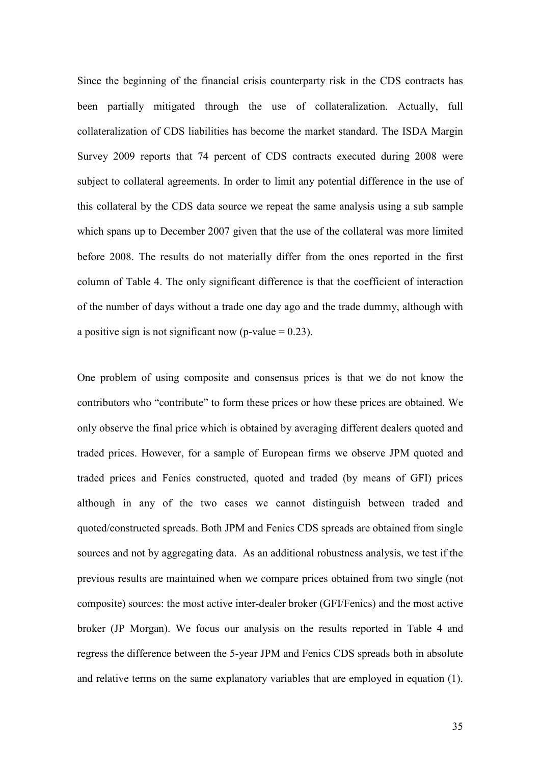Since the beginning of the financial crisis counterparty risk in the CDS contracts has been partially mitigated through the use of collateralization. Actually, full collateralization of CDS liabilities has become the market standard. The ISDA Margin Survey 2009 reports that 74 percent of CDS contracts executed during 2008 were subject to collateral agreements. In order to limit any potential difference in the use of this collateral by the CDS data source we repeat the same analysis using a sub sample which spans up to December 2007 given that the use of the collateral was more limited before 2008. The results do not materially differ from the ones reported in the first column of Table 4. The only significant difference is that the coefficient of interaction of the number of days without a trade one day ago and the trade dummy, although with a positive sign is not significant now (p-value  $= 0.23$ ).

One problem of using composite and consensus prices is that we do not know the contributors who "contribute" to form these prices or how these prices are obtained. We only observe the final price which is obtained by averaging different dealers quoted and traded prices. However, for a sample of European firms we observe JPM quoted and traded prices and Fenics constructed, quoted and traded (by means of GFI) prices although in any of the two cases we cannot distinguish between traded and quoted/constructed spreads. Both JPM and Fenics CDS spreads are obtained from single sources and not by aggregating data. As an additional robustness analysis, we test if the previous results are maintained when we compare prices obtained from two single (not composite) sources: the most active inter-dealer broker (GFI/Fenics) and the most active broker (JP Morgan). We focus our analysis on the results reported in Table 4 and regress the difference between the 5-year JPM and Fenics CDS spreads both in absolute and relative terms on the same explanatory variables that are employed in equation (1).

35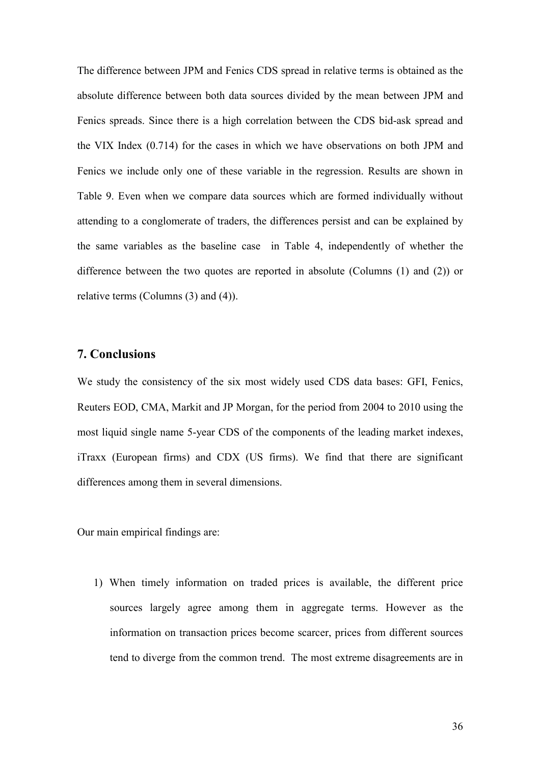The difference between JPM and Fenics CDS spread in relative terms is obtained as the absolute difference between both data sources divided by the mean between JPM and Fenics spreads. Since there is a high correlation between the CDS bid-ask spread and the VIX Index (0.714) for the cases in which we have observations on both JPM and Fenics we include only one of these variable in the regression. Results are shown in Table 9. Even when we compare data sources which are formed individually without attending to a conglomerate of traders, the differences persist and can be explained by the same variables as the baseline case in Table 4, independently of whether the difference between the two quotes are reported in absolute (Columns (1) and (2)) or relative terms (Columns (3) and (4)).

## 7. Conclusions

We study the consistency of the six most widely used CDS data bases: GFI, Fenics, Reuters EOD, CMA, Markit and JP Morgan, for the period from 2004 to 2010 using the most liquid single name 5-year CDS of the components of the leading market indexes, iTraxx (European firms) and CDX (US firms). We find that there are significant differences among them in several dimensions.

Our main empirical findings are:

1) When timely information on traded prices is available, the different price sources largely agree among them in aggregate terms. However as the information on transaction prices become scarcer, prices from different sources tend to diverge from the common trend. The most extreme disagreements are in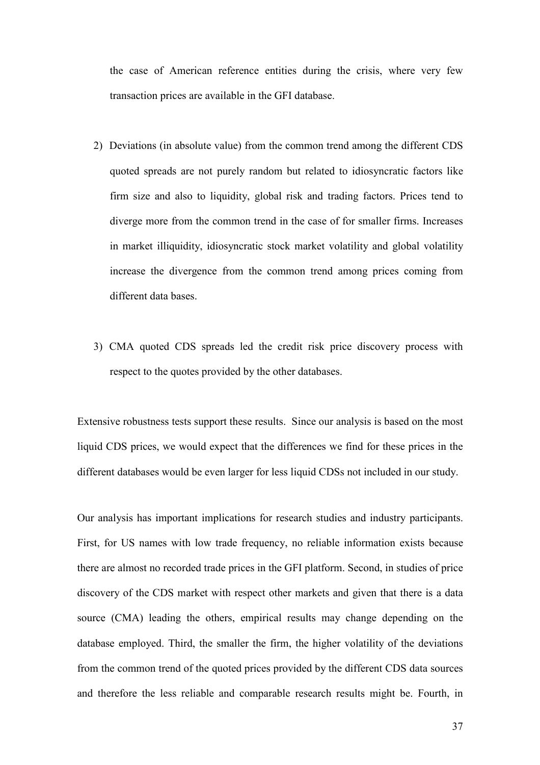the case of American reference entities during the crisis, where very few transaction prices are available in the GFI database.

- 2) Deviations (in absolute value) from the common trend among the different CDS quoted spreads are not purely random but related to idiosyncratic factors like firm size and also to liquidity, global risk and trading factors. Prices tend to diverge more from the common trend in the case of for smaller firms. Increases in market illiquidity, idiosyncratic stock market volatility and global volatility increase the divergence from the common trend among prices coming from different data bases.
- 3) CMA quoted CDS spreads led the credit risk price discovery process with respect to the quotes provided by the other databases.

Extensive robustness tests support these results. Since our analysis is based on the most liquid CDS prices, we would expect that the differences we find for these prices in the different databases would be even larger for less liquid CDSs not included in our study.

Our analysis has important implications for research studies and industry participants. First, for US names with low trade frequency, no reliable information exists because there are almost no recorded trade prices in the GFI platform. Second, in studies of price discovery of the CDS market with respect other markets and given that there is a data source (CMA) leading the others, empirical results may change depending on the database employed. Third, the smaller the firm, the higher volatility of the deviations from the common trend of the quoted prices provided by the different CDS data sources and therefore the less reliable and comparable research results might be. Fourth, in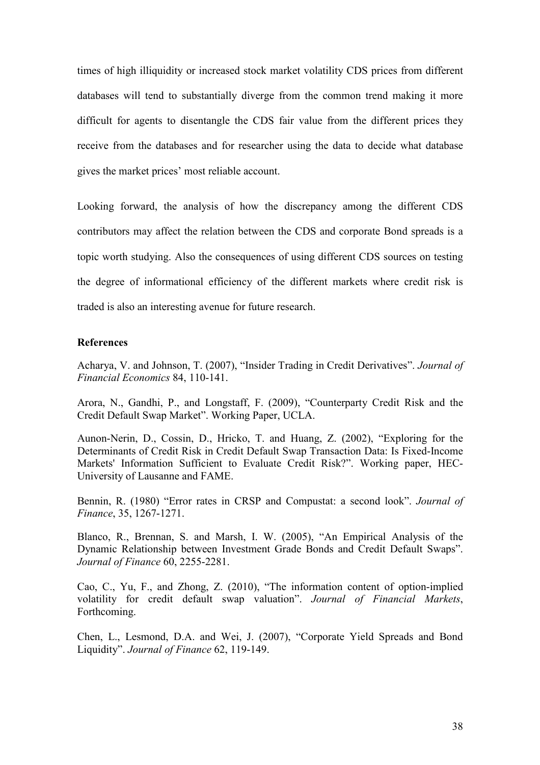times of high illiquidity or increased stock market volatility CDS prices from different databases will tend to substantially diverge from the common trend making it more difficult for agents to disentangle the CDS fair value from the different prices they receive from the databases and for researcher using the data to decide what database gives the market prices' most reliable account.

Looking forward, the analysis of how the discrepancy among the different CDS contributors may affect the relation between the CDS and corporate Bond spreads is a topic worth studying. Also the consequences of using different CDS sources on testing the degree of informational efficiency of the different markets where credit risk is traded is also an interesting avenue for future research.

### **References**

Acharya, V. and Johnson, T. (2007), "Insider Trading in Credit Derivatives". Journal of Financial Economics 84, 110-141.

Arora, N., Gandhi, P., and Longstaff, F. (2009), "Counterparty Credit Risk and the Credit Default Swap Market". Working Paper, UCLA.

Aunon-Nerin, D., Cossin, D., Hricko, T. and Huang, Z. (2002), "Exploring for the Determinants of Credit Risk in Credit Default Swap Transaction Data: Is Fixed-Income Markets' Information Sufficient to Evaluate Credit Risk?". Working paper, HEC-University of Lausanne and FAME.

Bennin, R. (1980) "Error rates in CRSP and Compustat: a second look". Journal of Finance, 35, 1267-1271.

Blanco, R., Brennan, S. and Marsh, I. W. (2005), "An Empirical Analysis of the Dynamic Relationship between Investment Grade Bonds and Credit Default Swaps". Journal of Finance 60, 2255-2281.

Cao, C., Yu, F., and Zhong, Z. (2010), "The information content of option-implied volatility for credit default swap valuation". Journal of Financial Markets, Forthcoming.

Chen, L., Lesmond, D.A. and Wei, J. (2007), "Corporate Yield Spreads and Bond Liquidity". Journal of Finance 62, 119-149.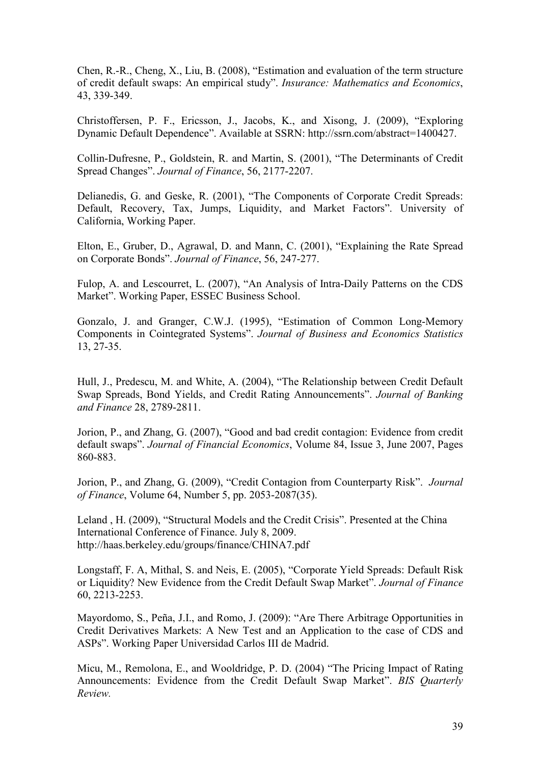Chen, R.-R., Cheng, X., Liu, B. (2008), "Estimation and evaluation of the term structure of credit default swaps: An empirical study". Insurance: Mathematics and Economics, 43, 339-349.

Christoffersen, P. F., Ericsson, J., Jacobs, K., and Xisong, J. (2009), "Exploring Dynamic Default Dependence". Available at SSRN: http://ssrn.com/abstract=1400427.

Collin-Dufresne, P., Goldstein, R. and Martin, S. (2001), "The Determinants of Credit Spread Changes". Journal of Finance, 56, 2177-2207.

Delianedis, G. and Geske, R. (2001), "The Components of Corporate Credit Spreads: Default, Recovery, Tax, Jumps, Liquidity, and Market Factors". University of California, Working Paper.

Elton, E., Gruber, D., Agrawal, D. and Mann, C. (2001), "Explaining the Rate Spread on Corporate Bonds". Journal of Finance, 56, 247-277.

Fulop, A. and Lescourret, L. (2007), "An Analysis of Intra-Daily Patterns on the CDS Market". Working Paper, ESSEC Business School.

Gonzalo, J. and Granger, C.W.J. (1995), "Estimation of Common Long-Memory Components in Cointegrated Systems". Journal of Business and Economics Statistics 13, 27-35.

Hull, J., Predescu, M. and White, A. (2004), "The Relationship between Credit Default Swap Spreads, Bond Yields, and Credit Rating Announcements". Journal of Banking and Finance 28, 2789-2811.

Jorion, P., and Zhang, G. (2007), "Good and bad credit contagion: Evidence from credit default swaps". Journal of Financial Economics, Volume 84, Issue 3, June 2007, Pages 860-883.

Jorion, P., and Zhang, G. (2009), "Credit Contagion from Counterparty Risk". Journal of Finance, Volume 64, Number 5, pp. 2053-2087(35).

Leland , H. (2009), "Structural Models and the Credit Crisis". Presented at the China International Conference of Finance. July 8, 2009. http://haas.berkeley.edu/groups/finance/CHINA7.pdf

Longstaff, F. A, Mithal, S. and Neis, E. (2005), "Corporate Yield Spreads: Default Risk or Liquidity? New Evidence from the Credit Default Swap Market". Journal of Finance 60, 2213-2253.

Mayordomo, S., Peña, J.I., and Romo, J. (2009): "Are There Arbitrage Opportunities in Credit Derivatives Markets: A New Test and an Application to the case of CDS and ASPs". Working Paper Universidad Carlos III de Madrid.

Micu, M., Remolona, E., and Wooldridge, P. D. (2004) "The Pricing Impact of Rating Announcements: Evidence from the Credit Default Swap Market". BIS Quarterly Review.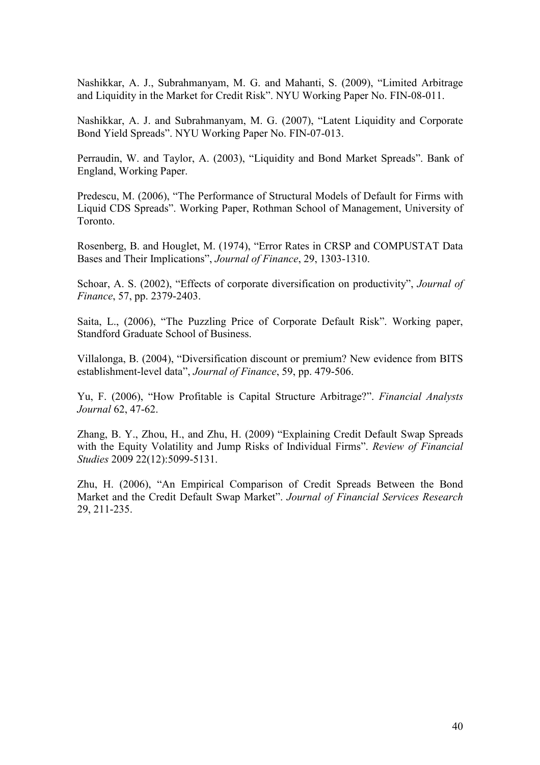Nashikkar, A. J., Subrahmanyam, M. G. and Mahanti, S. (2009), "Limited Arbitrage and Liquidity in the Market for Credit Risk". NYU Working Paper No. FIN-08-011.

Nashikkar, A. J. and Subrahmanyam, M. G. (2007), "Latent Liquidity and Corporate Bond Yield Spreads". NYU Working Paper No. FIN-07-013.

Perraudin, W. and Taylor, A. (2003), "Liquidity and Bond Market Spreads". Bank of England, Working Paper.

Predescu, M. (2006), "The Performance of Structural Models of Default for Firms with Liquid CDS Spreads". Working Paper, Rothman School of Management, University of Toronto.

Rosenberg, B. and Houglet, M. (1974), "Error Rates in CRSP and COMPUSTAT Data Bases and Their Implications", Journal of Finance, 29, 1303-1310.

Schoar, A. S. (2002), "Effects of corporate diversification on productivity", Journal of Finance, 57, pp. 2379-2403.

Saita, L., (2006), "The Puzzling Price of Corporate Default Risk". Working paper, Standford Graduate School of Business.

Villalonga, B. (2004), "Diversification discount or premium? New evidence from BITS establishment-level data", Journal of Finance, 59, pp. 479-506.

Yu, F. (2006), "How Profitable is Capital Structure Arbitrage?". Financial Analysts Journal 62, 47-62.

Zhang, B. Y., Zhou, H., and Zhu, H. (2009) "Explaining Credit Default Swap Spreads with the Equity Volatility and Jump Risks of Individual Firms". Review of Financial Studies 2009 22(12):5099-5131.

Zhu, H. (2006), "An Empirical Comparison of Credit Spreads Between the Bond Market and the Credit Default Swap Market". Journal of Financial Services Research 29, 211-235.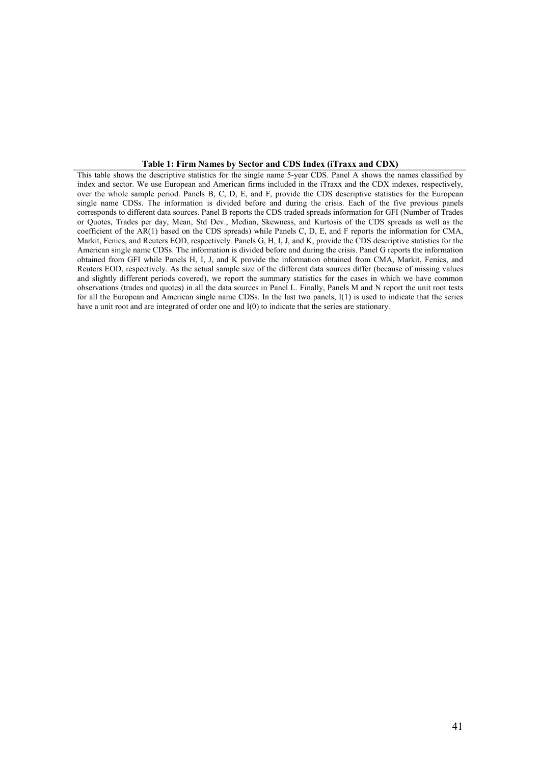#### Table 1: Firm Names by Sector and CDS Index (iTraxx and CDX)

This table shows the descriptive statistics for the single name 5-year CDS. Panel A shows the names classified by index and sector. We use European and American firms included in the iTraxx and the CDX indexes, respectively, over the whole sample period. Panels B, C, D, E, and F, provide the CDS descriptive statistics for the European single name CDSs. The information is divided before and during the crisis. Each of the five previous panels corresponds to different data sources. Panel B reports the CDS traded spreads information for GFI (Number of Trades or Quotes, Trades per day, Mean, Std Dev., Median, Skewness, and Kurtosis of the CDS spreads as well as the coefficient of the AR(1) based on the CDS spreads) while Panels C, D, E, and F reports the information for CMA, Markit, Fenics, and Reuters EOD, respectively. Panels G, H, I, J, and K, provide the CDS descriptive statistics for the American single name CDSs. The information is divided before and during the crisis. Panel G reports the information obtained from GFI while Panels H, I, J, and K provide the information obtained from CMA, Markit, Fenics, and Reuters EOD, respectively. As the actual sample size of the different data sources differ (because of missing values and slightly different periods covered), we report the summary statistics for the cases in which we have common observations (trades and quotes) in all the data sources in Panel L. Finally, Panels M and N report the unit root tests for all the European and American single name CDSs. In the last two panels, I(1) is used to indicate that the series have a unit root and are integrated of order one and I(0) to indicate that the series are stationary.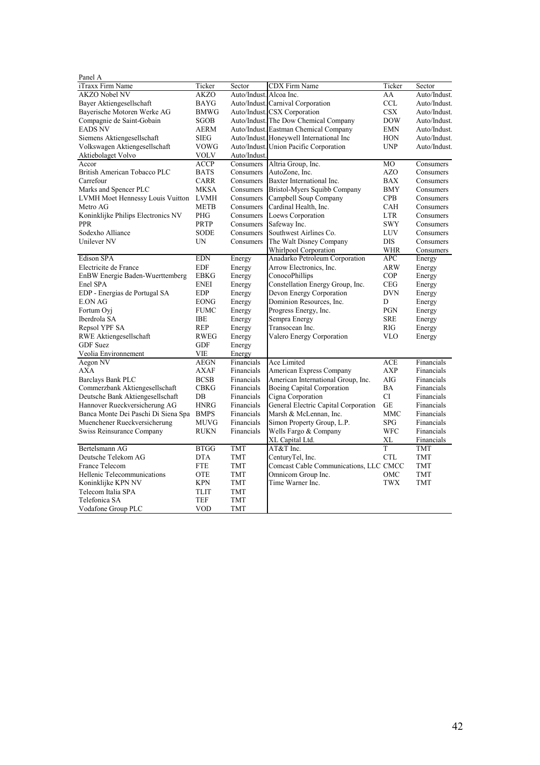| Panel A                                  |             |                         |                                          |            |              |
|------------------------------------------|-------------|-------------------------|------------------------------------------|------------|--------------|
| iTraxx Firm Name                         | Ticker      | Sector                  | <b>CDX</b> Firm Name                     | Ticker     | Sector       |
| <b>AKZO Nobel NV</b>                     | <b>AKZO</b> | Auto/Indust. Alcoa Inc. |                                          | AA         | Auto/Indust. |
| Bayer Aktiengesellschaft                 | BAYG        |                         | Auto/Indust. Carnival Corporation        | <b>CCL</b> | Auto/Indust. |
| Bayerische Motoren Werke AG              | <b>BMWG</b> |                         | Auto/Indust. CSX Corporation             | CSX        | Auto/Indust. |
| Compagnie de Saint-Gobain                | SGOB        |                         | Auto/Indust. The Dow Chemical Company    | <b>DOW</b> | Auto/Indust. |
| <b>EADS NV</b>                           | <b>AERM</b> |                         | Auto/Indust. Eastman Chemical Company    | <b>EMN</b> | Auto/Indust. |
| Siemens Aktiengesellschaft               | SIEG        |                         | Auto/Indust. Honeywell International Inc | <b>HON</b> | Auto/Indust. |
| Volkswagen Aktiengesellschaft            | <b>VOWG</b> |                         | Auto/Indust. Union Pacific Corporation   | <b>UNP</b> | Auto/Indust. |
| Aktiebolaget Volvo                       | <b>VOLV</b> | Auto/Indust.            |                                          |            |              |
| Accor                                    | <b>ACCP</b> | Consumers               | Altria Group, Inc.                       | MO         | Consumers    |
| British American Tobacco PLC             | <b>BATS</b> | Consumers               | AutoZone, Inc.                           | AZO        | Consumers    |
| Carrefour                                | <b>CARR</b> | Consumers               | Baxter International Inc.                | <b>BAX</b> | Consumers    |
| Marks and Spencer PLC                    | <b>MKSA</b> | Consumers               | Bristol-Myers Squibb Company             | <b>BMY</b> | Consumers    |
| LVMH Moet Hennessy Louis Vuitton LVMH    |             | Consumers               | Campbell Soup Company                    | <b>CPB</b> | Consumers    |
| Metro AG                                 | <b>METB</b> | Consumers               | Cardinal Health, Inc.                    | <b>CAH</b> | Consumers    |
| Koninklijke Philips Electronics NV       | PHG         | Consumers               | Loews Corporation                        | <b>LTR</b> | Consumers    |
| <b>PPR</b>                               | <b>PRTP</b> | Consumers               | Safeway Inc.                             | <b>SWY</b> | Consumers    |
| Sodexho Alliance                         | <b>SODE</b> | Consumers               | Southwest Airlines Co.                   | <b>LUV</b> | Consumers    |
| Unilever <sub>NV</sub>                   | UN          | Consumers               | The Walt Disney Company                  | DIS        | Consumers    |
|                                          |             |                         | Whirlpool Corporation                    | WHR        | Consumers    |
| Edison SPA                               | <b>EDN</b>  | Energy                  | Anadarko Petroleum Corporation           | <b>APC</b> | Energy       |
| Electricite de France                    | <b>EDF</b>  | Energy                  | Arrow Electronics, Inc.                  | ARW        | Energy       |
| EnBW Energie Baden-Wuerttemberg          | <b>EBKG</b> | Energy                  | ConocoPhillips                           | <b>COP</b> | Energy       |
| Enel SPA                                 | <b>ENEI</b> | Energy                  | Constellation Energy Group, Inc.         | <b>CEG</b> | Energy       |
| EDP - Energias de Portugal SA            | <b>EDP</b>  | Energy                  | Devon Energy Corporation                 | <b>DVN</b> | Energy       |
| <b>E.ON AG</b>                           | <b>EONG</b> | Energy                  | Dominion Resources, Inc.                 | D          | Energy       |
| Fortum Ovi                               | <b>FUMC</b> | Energy                  | Progress Energy, Inc.                    | PGN        | Energy       |
| Iberdrola SA                             | IBE         | Energy                  | Sempra Energy                            | <b>SRE</b> | Energy       |
| Repsol YPF SA                            | <b>REP</b>  | Energy                  | Transocean Inc.                          | RIG        | Energy       |
| RWE Aktiengesellschaft                   | <b>RWEG</b> | Energy                  | Valero Energy Corporation                | <b>VLO</b> | Energy       |
| <b>GDF</b> Suez                          | <b>GDF</b>  | Energy                  |                                          |            |              |
| Veolia Environnement                     | <b>VIE</b>  | Energy                  |                                          |            |              |
| Aegon NV                                 | <b>AEGN</b> | Financials              | Ace Limited                              | <b>ACE</b> | Financials   |
| <b>AXA</b>                               | <b>AXAF</b> | Financials              | American Express Company                 | AXP        | Financials   |
| Barclays Bank PLC                        | <b>BCSB</b> | Financials              | American International Group, Inc.       | AIG        | Financials   |
| Commerzbank Aktiengesellschaft           | <b>CBKG</b> | Financials              | <b>Boeing Capital Corporation</b>        | BA         | Financials   |
| Deutsche Bank Aktiengesellschaft         | <b>DB</b>   | Financials              | Cigna Corporation                        | СI         | Financials   |
| Hannover Rueckversicherung AG            | <b>HNRG</b> | Financials              | General Electric Capital Corporation     | <b>GE</b>  | Financials   |
| Banca Monte Dei Paschi Di Siena Spa BMPS |             | Financials              | Marsh & McLennan, Inc.                   | <b>MMC</b> | Financials   |
| Muenchener Rueckversicherung             | <b>MUVG</b> | Financials              | Simon Property Group, L.P.               | <b>SPG</b> | Financials   |
| Swiss Reinsurance Company                | <b>RUKN</b> | Financials              | Wells Fargo & Company                    | <b>WFC</b> | Financials   |
|                                          |             |                         | XL Capital Ltd.                          | XL         | Financials   |
| Bertelsmann AG                           | <b>BTGG</b> | <b>TMT</b>              | AT&T Inc.                                | T          | <b>TMT</b>   |
| Deutsche Telekom AG                      | <b>DTA</b>  | <b>TMT</b>              | CenturyTel, Inc.                         | <b>CTL</b> | <b>TMT</b>   |
| France Telecom                           | <b>FTE</b>  | <b>TMT</b>              | Comcast Cable Communications, LLC CMCC   |            | <b>TMT</b>   |
| Hellenic Telecommunications              | <b>OTE</b>  | <b>TMT</b>              | Omnicom Group Inc.                       | OMC        | <b>TMT</b>   |
| Koninklijke KPN NV                       | <b>KPN</b>  | <b>TMT</b>              | Time Warner Inc.                         | <b>TWX</b> | <b>TMT</b>   |
| Telecom Italia SPA                       | <b>TLIT</b> | <b>TMT</b>              |                                          |            |              |
| Telefonica SA                            | <b>TEF</b>  | <b>TMT</b>              |                                          |            |              |
| Vodafone Group PLC                       | <b>VOD</b>  | <b>TMT</b>              |                                          |            |              |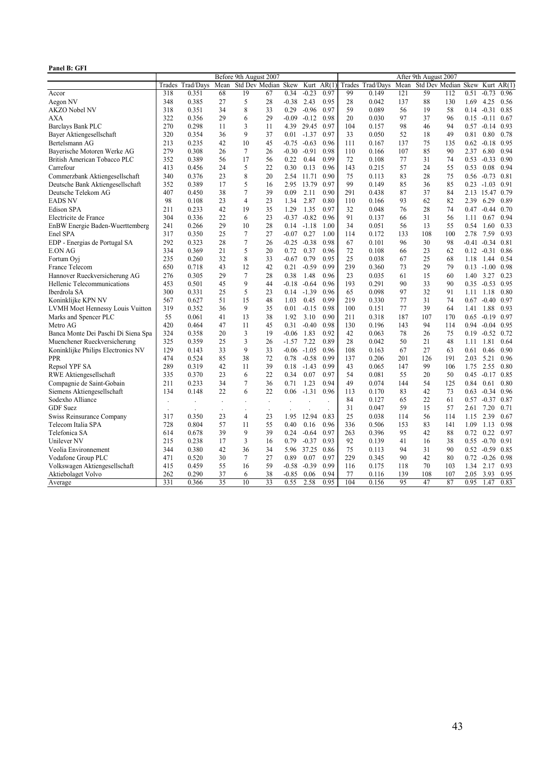#### Panel B: GFI

|                                     | Before 9th August 2007<br>After 9th August 2007 |           |      |                |         |         |         |       |        |           |      |                                |     |      |                |      |
|-------------------------------------|-------------------------------------------------|-----------|------|----------------|---------|---------|---------|-------|--------|-----------|------|--------------------------------|-----|------|----------------|------|
|                                     | Trades                                          | Trad/Days | Mean | Std Dev Median |         | Skew    | Kurt    | AR(1) | Trades | Trad/Days | Mean | Std Dev Median Skew Kurt AR(1) |     |      |                |      |
| Accor                               | 318                                             | 0.351     | 68   | 19             | 67      | 0.34    | $-0.23$ | 0.97  | 99     | 0.149     | 121  | 59                             | 112 | 0.51 | $-0.73$        | 0.96 |
| Aegon NV                            | 348                                             | 0.385     | 27   | 5              | 28      | $-0.38$ | 2.43    | 0.95  | 28     | 0.042     | 137  | 88                             | 130 | 1.69 | 4.25           | 0.56 |
| AKZO Nobel NV                       | 318                                             | 0.351     | 34   | 8              | 33      | 0.29    | $-0.96$ | 0.97  | 59     | 0.089     | 56   | 19                             | 58  |      | $0.14 - 0.31$  | 0.85 |
| AXA                                 | 322                                             | 0.356     | 29   | 6              | 29      | $-0.09$ | $-0.12$ | 0.98  | 20     | 0.030     | 97   | 37                             | 96  |      | $0.15 - 0.11$  | 0.67 |
| Barclays Bank PLC                   | 270                                             | 0.298     | 11   | 3              | 11      | 4.39    | 29.45   | 0.97  | 104    | 0.157     | 98   | 46                             | 94  |      | $0.57 - 0.14$  | 0.93 |
| Bayer Aktiengesellschaft            | 320                                             | 0.354     | 36   | 9              | 37      | 0.01    | $-1.37$ | 0.97  | 33     | 0.050     | 52   | 18                             | 49  | 0.81 | 0.80           | 0.78 |
| Bertelsmann AG                      | 213                                             | 0.235     | 42   | 10             | 45      | $-0.75$ | $-0.63$ | 0.96  | 111    | 0.167     | 137  | 75                             | 135 | 0.62 | $-0.18$        | 0.95 |
| Bayerische Motoren Werke AG         | 279                                             | 0.308     | 26   | 7              | 26      | $-0.30$ | $-0.91$ | 0.98  | 110    | 0.166     | 107  | 85                             | 90  | 2.37 | 6.80           | 0.94 |
| British American Tobacco PLC        | 352                                             | 0.389     | 56   | 17             | 56      | 0.22    | 0.44    | 0.99  | 72     | 0.108     | 77   | 31                             | 74  | 0.53 | $-0.33$        | 0.90 |
| Carrefour                           | 413                                             | 0.456     | 24   | 5              | 22      | 0.30    | 0.13    | 0.96  | 143    | 0.215     | 57   | 24                             | 55  | 0.53 | 0.08           | 0.94 |
| Commerzbank Aktiengesellschaft      | 340                                             | 0.376     | 23   | 8              | 20      | 2.54    | 11.71   | 0.90  | 75     | 0.113     | 83   | 28                             | 75  | 0.56 | $-0.73$        | 0.81 |
| Deutsche Bank Aktiengesellschaft    | 352                                             | 0.389     | 17   | 5              | 16      | 2.95    | 13.79   | 0.97  | 99     | 0.149     | 85   | 36                             | 85  | 0.23 | $-1.03$        | 0.91 |
| Deutsche Telekom AG                 | 407                                             | 0.450     | 38   | 7              | 39      | 0.09    | 2.11    | 0.90  | 291    | 0.438     | 87   | 37                             | 84  | 2.13 | 15.47          | 0.79 |
| EADS NV                             | 98                                              | 0.108     | 23   | $\overline{4}$ | 23      | 1.34    | 2.87    | 0.80  | 110    | 0.166     | 93   | 62                             | 82  | 2.39 | 6.29           | 0.89 |
| Edison SPA                          | 211                                             | 0.233     | 42   | 19             | 35      | 1.29    | 1.35    | 0.97  | 32     | 0.048     | 76   | 28                             | 74  | 0.47 | $-0.44$        | 0.70 |
| Electricite de France               | 304                                             | 0.336     | 22   | 6              | 23      | $-0.37$ | $-0.82$ | 0.96  | 91     | 0.137     | 66   | 31                             | 56  | 1.11 | 0.67           | 0.94 |
| EnBW Energie Baden-Wuerttemberg     | 241                                             | 0.266     | 29   | 10             | 28      | 0.14    | $-1.18$ | 1.00  | 34     | 0.051     | 56   | 13                             | 55  | 0.54 | 1.60           | 0.33 |
| Enel SPA                            | 317                                             | 0.350     | 25   | 7              | 27      | $-0.07$ | 0.27    | 1.00  | 114    | 0.172     | 133  | 108                            | 100 | 2.78 | 7.59           | 0.93 |
| EDP - Energias de Portugal SA       | 292                                             | 0.323     | 28   | 7              | 26      | $-0.25$ | $-0.38$ | 0.98  | 67     | 0.101     | 96   | 30                             | 98  |      | $-0.41 - 0.34$ | 0.81 |
| E.ON AG                             | 334                                             | 0.369     | 21   | 5              | 20      | 0.72    | 0.37    | 0.96  | 72     | 0.108     | 66   | 23                             | 62  |      | $0.12 -0.31$   | 0.86 |
| Fortum Oyj                          | 235                                             | 0.260     | 32   | 8              | 33      | $-0.67$ | 0.79    | 0.95  | 25     | 0.038     | 67   | 25                             | 68  | 1.18 | 1.44           | 0.54 |
| France Telecom                      | 650                                             | 0.718     | 43   | 12             | 42      | 0.21    | $-0.59$ | 0.99  | 239    | 0.360     | 73   | 29                             | 79  |      | $0.13 - 1.00$  | 0.98 |
| Hannover Rueckversicherung AG       | 276                                             | 0.305     | 29   | 7              | 28      | 0.38    | 1.48    | 0.96  | 23     | 0.035     | 61   | 15                             | 60  | 1.40 | 3.27           | 0.23 |
| Hellenic Telecommunications         | 453                                             | 0.501     | 45   | 9              | 44      | $-0.18$ | $-0.64$ | 0.96  | 193    | 0.291     | 90   | 33                             | 90  | 0.35 | $-0.53$        | 0.95 |
| Iberdrola SA                        | 300                                             | 0.331     | 25   | 5              | 23      | 0.14    | $-1.39$ | 0.96  | 65     | 0.098     | 97   | 32                             | 91  | 1.11 | 1.18           | 0.80 |
| Koninklijke KPN NV                  | 567                                             | 0.627     | 51   | 15             | 48      | 1.03    | 0.45    | 0.99  | 219    | 0.330     | 77   | 31                             | 74  | 0.67 | $-0.40$        | 0.97 |
| LVMH Moet Hennessy Louis Vuitton    | 319                                             | 0.352     | 36   | 9              | 35      | 0.01    | $-0.15$ | 0.98  | 100    | 0.151     | 77   | 39                             | 64  | 1.41 | 1.88           | 0.93 |
| Marks and Spencer PLC               | 55                                              | 0.061     | 41   | 13             | 38      | 1.92    | 3.10    | 0.90  | 211    | 0.318     | 187  | 107                            | 170 | 0.65 | $-0.19$        | 0.97 |
| Metro AG                            | 420                                             | 0.464     | 47   | 11             | 45      | 0.31    | $-0.40$ | 0.98  | 130    | 0.196     | 143  | 94                             | 114 | 0.94 | $-0.04$        | 0.95 |
| Banca Monte Dei Paschi Di Siena Spa | 324                                             | 0.358     | 20   | 3              | 19      | $-0.06$ | 1.83    | 0.92  | 42     | 0.063     | 78   | 26                             | 75  | 0.19 | $-0.52$        | 0.72 |
| Muenchener Rueckversicherung        | 325                                             | 0.359     | 25   | 3              | 26      | $-1.57$ | 7.22    | 0.89  | 28     | 0.042     | 50   | 21                             | 48  | 1.11 | 1.81           | 0.64 |
| Koninklijke Philips Electronics NV  | 129                                             | 0.143     | 33   | 9              | 33      | $-0.06$ | $-1.05$ | 0.96  | 108    | 0.163     | 67   | 27                             | 63  | 0.61 | 0.46           | 0.90 |
| PPR                                 | 474                                             | 0.524     | 85   | 38             | 72      | 0.78    | $-0.58$ | 0.99  | 137    | 0.206     | 201  | 126                            | 191 | 2.03 | 5.21           | 0.96 |
| Repsol YPF SA                       | 289                                             | 0.319     | 42   | 11             | 39      | 0.18    | $-1.43$ | 0.99  | 43     | 0.065     | 147  | 99                             | 106 | 1.75 | 2.55           | 0.80 |
| RWE Aktiengesellschaft              | 335                                             | 0.370     | 23   | 6              | 22      | 0.34    | 0.07    | 0.97  | 54     | 0.081     | 55   | 20                             | 50  | 0.45 | $-0.17$        | 0.85 |
| Compagnie de Saint-Gobain           | 211                                             | 0.233     | 34   | 7              | 36      | 0.71    | 1.23    | 0.94  | 49     | 0.074     | 144  | 54                             | 125 | 0.84 | 0.61           | 0.80 |
| Siemens Aktiengesellschaft          | 134                                             | 0.148     | 22   | 6              | 22      | 0.06    | $-1.31$ | 0.96  | 113    | 0.170     | 83   | 42                             | 73  | 0.63 | $-0.34$        | 0.96 |
| Sodexho Alliance                    |                                                 |           |      |                | $\cdot$ |         |         |       | 84     | 0.127     | 65   | 22                             | 61  | 0.57 | $-0.37$        | 0.87 |
| <b>GDF</b> Suez                     |                                                 |           |      |                |         |         |         |       | 31     | 0.047     | 59   | 15                             | 57  | 2.61 | 7.20           | 0.71 |
| Swiss Reinsurance Company           | 317                                             | 0.350     | 23   | $\overline{4}$ | 23      | 1.95    | 12.94   | 0.83  | 25     | 0.038     | 114  | 56                             | 114 | 1.15 | 2.39           | 0.67 |
| Telecom Italia SPA                  | 728                                             | 0.804     | 57   | 11             | 55      | 0.40    | 0.16    | 0.96  | 336    | 0.506     | 153  | 83                             | 141 | 1.09 | 1.13           | 0.98 |
| Telefonica SA                       | 614                                             | 0.678     | 39   | 9              | 39      | 0.24    | $-0.64$ | 0.97  | 263    | 0.396     | 95   | 42                             | 88  | 0.72 | 0.22           | 0.97 |
| Unilever NV                         | 215                                             | 0.238     | 17   | 3              | 16      | 0.79    | $-0.37$ | 0.93  | 92     | 0.139     | 41   | 16                             | 38  | 0.55 | $-0.70$        | 0.91 |
| Veolia Environnement                | 344                                             | 0.380     | 42   | 36             | 34      | 5.96    | 37.25   | 0.86  | 75     | 0.113     | 94   | 31                             | 90  | 0.52 | $-0.59$        | 0.85 |
| Vodafone Group PLC                  | 471                                             | 0.520     | 30   | 7              | 27      | 0.89    | 0.07    | 0.97  | 229    | 0.345     | 90   | 42                             | 80  |      | $0.72 - 0.26$  | 0.98 |
| Volkswagen Aktiengesellschaft       | 415                                             | 0.459     | 55   | 16             | 59      | $-0.58$ | $-0.39$ | 0.99  | 116    | 0.175     | 118  | 70                             | 103 | 1.34 | 2.17           | 0.93 |
| Aktiebolaget Volvo                  | 262                                             | 0.290     | 37   | 6              | 38      | $-0.85$ | 0.06    | 0.94  | 77     | 0.116     | 139  | 108                            | 107 | 2.05 | 3.93           | 0.95 |
| Average                             | 331                                             | 0.366     | 35   | 10             | 33      | 0.55    | 2.58    | 0.95  | 104    | 0.156     | 95   | 47                             | 87  | 0.95 | 1.47           | 0.83 |
|                                     |                                                 |           |      |                |         |         |         |       |        |           |      |                                |     |      |                |      |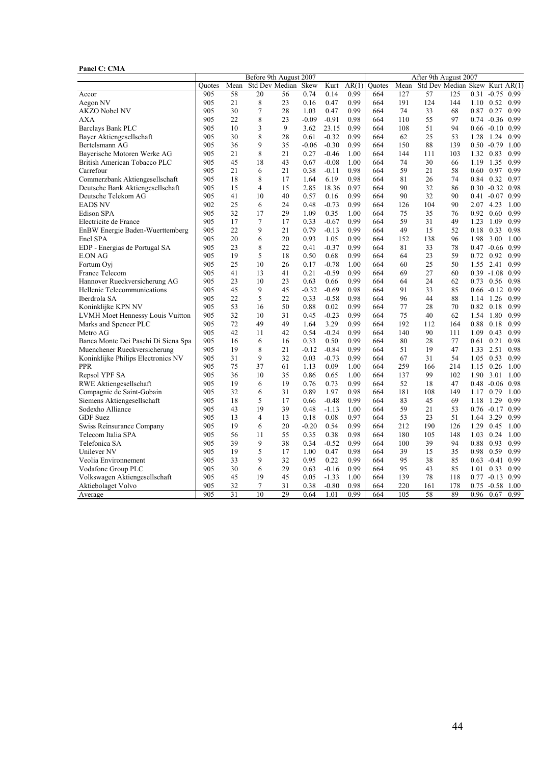### Panel C: CMA

|                                     |        |      | Before 9th August 2007 |    |         |         |       |        |      | After 9th August 2007          |     |      |                    |      |
|-------------------------------------|--------|------|------------------------|----|---------|---------|-------|--------|------|--------------------------------|-----|------|--------------------|------|
|                                     | Quotes | Mean | Std Dev Median         |    | Skew    | Kurt    | AR(1) | Quotes | Mean | Std Dev Median Skew Kurt AR(1) |     |      |                    |      |
| Accor                               | 905    | 58   | 20                     | 56 | 0.74    | 0.14    | 0.99  | 664    | 127  | 57                             | 125 | 0.31 | $-0.75$            | 0.99 |
| Aegon NV                            | 905    | 21   | 8                      | 23 | 0.16    | 0.47    | 0.99  | 664    | 191  | 124                            | 144 |      | $1.10 \quad 0.52$  | 0.99 |
| <b>AKZO Nobel NV</b>                | 905    | 30   | $\overline{7}$         | 28 | 1.03    | 0.47    | 0.99  | 664    | 74   | 33                             | 68  |      | 0.87 0.27          | 0.99 |
| <b>AXA</b>                          | 905    | 22   | 8                      | 23 | $-0.09$ | $-0.91$ | 0.98  | 664    | 110  | 55                             | 97  |      | $0.74 - 0.36$      | 0.99 |
| <b>Barclays Bank PLC</b>            | 905    | 10   | 3                      | 9  | 3.62    | 23.15   | 0.99  | 664    | 108  | 51                             | 94  |      | $0.66 - 0.10$      | 0.99 |
| Bayer Aktiengesellschaft            | 905    | 30   | 8                      | 28 | 0.61    | $-0.32$ | 0.99  | 664    | 62   | 25                             | 53  |      | 1.28 1.24          | 0.99 |
| Bertelsmann AG                      | 905    | 36   | 9                      | 35 | $-0.06$ | $-0.30$ | 0.99  | 664    | 150  | 88                             | 139 |      | $0.50 - 0.79$      | 1.00 |
| Bayerische Motoren Werke AG         | 905    | 21   | 8                      | 21 | 0.27    | $-0.46$ | 1.00  | 664    | 144  | 111                            | 103 |      | 1.32 0.83          | 0.99 |
| British American Tobacco PLC        | 905    | 45   | 18                     | 43 | 0.67    | $-0.08$ | 1.00  | 664    | 74   | 30                             | 66  |      | 1.19 1.35          | 0.99 |
| Carrefour                           | 905    | 21   | 6                      | 21 | 0.38    | $-0.11$ | 0.98  | 664    | 59   | 21                             | 58  |      | $0.60$ 0.97        | 0.99 |
| Commerzbank Aktiengesellschaft      | 905    | 18   | 8                      | 17 | 1.64    | 6.19    | 0.98  | 664    | 81   | 26                             | 74  |      | 0.84 0.32          | 0.97 |
| Deutsche Bank Aktiengesellschaft    | 905    | 15   | 4                      | 15 | 2.85    | 18.36   | 0.97  | 664    | 90   | 32                             | 86  |      | $0.30 - 0.32 0.98$ |      |
| Deutsche Telekom AG                 | 905    | 41   | 10                     | 40 | 0.57    | 0.16    | 0.99  | 664    | 90   | 32                             | 90  |      | $0.41 - 0.07$      | 0.99 |
| <b>EADS NV</b>                      | 902    | 25   | 6                      | 24 | 0.48    | $-0.73$ | 0.99  | 664    | 126  | 104                            | 90  |      | 2.07 4.23          | 1.00 |
| <b>Edison SPA</b>                   | 905    | 32   | 17                     | 29 | 1.09    | 0.35    | 1.00  | 664    | 75   | 35                             | 76  |      | $0.92 \quad 0.60$  | 0.99 |
| Electricite de France               | 905    | 17   | $\overline{7}$         | 17 | 0.33    | $-0.67$ | 0.99  | 664    | 59   | 31                             | 49  | 1.23 | 1.09               | 0.99 |
| EnBW Energie Baden-Wuerttemberg     | 905    | 22   | 9                      | 21 | 0.79    | $-0.13$ | 0.99  | 664    | 49   | 15                             | 52  | 0.18 | 0.33               | 0.98 |
| Enel SPA                            | 905    | 20   | 6                      | 20 | 0.93    | 1.05    | 0.99  | 664    | 152  | 138                            | 96  | 1.98 | 3.00               | 1.00 |
| EDP - Energias de Portugal SA       | 905    | 23   | 8                      | 22 | 0.41    | $-0.37$ | 0.99  | 664    | 81   | 33                             | 78  |      | $0.47 - 0.66$      | 0.99 |
| E.ON AG                             | 905    | 19   | 5                      | 18 | 0.50    | 0.68    | 0.99  | 664    | 64   | 23                             | 59  |      | 0.72 0.92          | 0.99 |
| Fortum Oyj                          | 905    | 25   | 10                     | 26 | 0.17    | $-0.78$ | 1.00  | 664    | 60   | 25                             | 50  |      | 1.55 2.41          | 0.99 |
| France Telecom                      | 905    | 41   | 13                     | 41 | 0.21    | $-0.59$ | 0.99  | 664    | 69   | 27                             | 60  |      | $0.39 - 1.08$      | 0.99 |
| Hannover Rueckversicherung AG       | 905    | 23   | 10                     | 23 | 0.63    | 0.66    | 0.99  | 664    | 64   | 24                             | 62  |      | 0.73 0.56          | 0.98 |
| Hellenic Telecommunications         | 905    | 45   | 9                      | 45 | $-0.32$ | $-0.69$ | 0.98  | 664    | 91   | 33                             | 85  |      | $0.66 - 0.12$      | 0.99 |
| Iberdrola SA                        | 905    | 22   | 5                      | 22 | 0.33    | $-0.58$ | 0.98  | 664    | 96   | 44                             | 88  |      | 1.14 1.26          | 0.99 |
| Koninklijke KPN NV                  | 905    | 53   | 16                     | 50 | 0.88    | 0.02    | 0.99  | 664    | 77   | 28                             | 70  |      | $0.82$ 0.18        | 0.99 |
| LVMH Moet Hennessy Louis Vuitton    | 905    | 32   | 10                     | 31 | 0.45    | $-0.23$ | 0.99  | 664    | 75   | 40                             | 62  |      | 1.54 1.80          | 0.99 |
| Marks and Spencer PLC               | 905    | 72   | 49                     | 49 | 1.64    | 3.29    | 0.99  | 664    | 192  | 112                            | 164 | 0.88 | 0.18               | 0.99 |
| Metro AG                            | 905    | 42   | 11                     | 42 | 0.54    | $-0.24$ | 0.99  | 664    | 140  | 90                             | 111 |      | $1.09$ 0.43        | 0.99 |
| Banca Monte Dei Paschi Di Siena Spa | 905    | 16   | 6                      | 16 | 0.33    | 0.50    | 0.99  | 664    | 80   | 28                             | 77  |      | $0.61$ $0.21$      | 0.98 |
| Muenchener Rueckversicherung        | 905    | 19   | 8                      | 21 | $-0.12$ | $-0.84$ | 0.99  | 664    | 51   | 19                             | 47  |      | 1.33 2.51          | 0.98 |
| Koninklijke Philips Electronics NV  | 905    | 31   | 9                      | 32 | 0.03    | $-0.73$ | 0.99  | 664    | 67   | 31                             | 54  |      | $1.05 \quad 0.53$  | 0.99 |
| <b>PPR</b>                          | 905    | 75   | 37                     | 61 | 1.13    | 0.09    | 1.00  | 664    | 259  | 166                            | 214 |      | 1.15 0.26          | 1.00 |
| Repsol YPF SA                       | 905    | 36   | 10                     | 35 | 0.86    | 0.65    | 1.00  | 664    | 137  | 99                             | 102 |      | 1.90 3.01          | 1.00 |
| RWE Aktiengesellschaft              | 905    | 19   | 6                      | 19 | 0.76    | 0.73    | 0.99  | 664    | 52   | 18                             | 47  |      | $0.48 - 0.06 0.98$ |      |
| Compagnie de Saint-Gobain           | 905    | 32   | 6                      | 31 | 0.89    | 1.97    | 0.98  | 664    | 181  | 108                            | 149 | 1.17 | 0.79               | 1.00 |
| Siemens Aktiengesellschaft          | 905    | 18   | 5                      | 17 | 0.66    | $-0.48$ | 0.99  | 664    | 83   | 45                             | 69  |      | 1.18 1.29          | 0.99 |
| Sodexho Alliance                    | 905    | 43   | 19                     | 39 | 0.48    | $-1.13$ | 1.00  | 664    | 59   | 21                             | 53  |      | $0.76 - 0.17$      | 0.99 |
| <b>GDF</b> Suez                     | 905    | 13   | 4                      | 13 | 0.18    | 0.08    | 0.97  | 664    | 53   | 23                             | 51  |      | 1.64 3.29          | 0.99 |
| Swiss Reinsurance Company           | 905    | 19   | 6                      | 20 | $-0.20$ | 0.54    | 0.99  | 664    | 212  | 190                            | 126 | 1.29 | 0.45               | 1.00 |
| Telecom Italia SPA                  | 905    | 56   | 11                     | 55 | 0.35    | 0.38    | 0.98  | 664    | 180  | 105                            | 148 |      | $1.03 \quad 0.24$  | 1.00 |
| Telefonica SA                       | 905    | 39   | 9                      | 38 | 0.34    | $-0.52$ | 0.99  | 664    | 100  | 39                             | 94  |      | 0.88 0.93          | 0.99 |
| Unilever <sub>NV</sub>              | 905    | 19   | 5                      | 17 | 1.00    | 0.47    | 0.98  | 664    | 39   | 15                             | 35  |      | 0.98 0.59          | 0.99 |
| Veolia Environnement                | 905    | 33   | 9                      | 32 | 0.95    | 0.22    | 0.99  | 664    | 95   | 38                             | 85  |      | $0.63 - 0.41$      | 0.99 |
| Vodafone Group PLC                  | 905    | 30   | 6                      | 29 | 0.63    | $-0.16$ | 0.99  | 664    | 95   | 43                             | 85  |      | $1.01 \quad 0.33$  | 0.99 |
| Volkswagen Aktiengesellschaft       | 905    | 45   | 19                     | 45 | 0.05    | $-1.33$ | 1.00  | 664    | 139  | 78                             | 118 |      | $0.77 - 0.13$ 0.99 |      |
| Aktiebolaget Volvo                  | 905    | 32   | 7                      | 31 | 0.38    | $-0.80$ | 0.98  | 664    | 220  | 161                            | 178 |      | $0.75 - 0.58$      | 1.00 |
| Average                             | 905    | 31   | 10                     | 29 | 0.64    | 1.01    | 0.99  | 664    | 105  | 58                             | 89  | 0.96 | 0.67               | 0.99 |
|                                     |        |      |                        |    |         |         |       |        |      |                                |     |      |                    |      |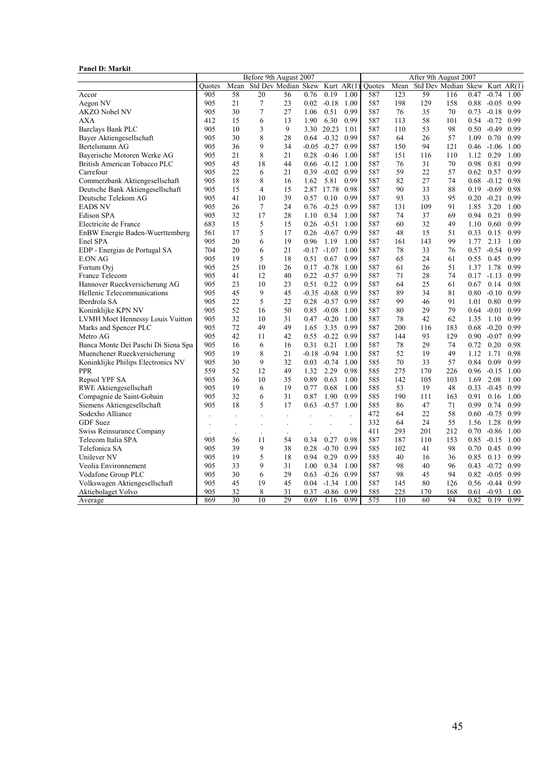#### Panel D: Markit

|                                     |        |                      | Before 9th August 2007   |              |                      |                      |                | After 9th August 2007 |      |     |                                |      |                   |      |
|-------------------------------------|--------|----------------------|--------------------------|--------------|----------------------|----------------------|----------------|-----------------------|------|-----|--------------------------------|------|-------------------|------|
|                                     | Ouotes | Mean                 | Std Dev Median Skew      |              |                      |                      | Kurt $AR(1)$   | Ouotes                | Mean |     | Std Dev Median Skew Kurt AR(1) |      |                   |      |
| Accor                               | 905    | 58                   | 20                       | 56           | 0.76                 | 0.19                 | 1.00           | 587                   | 123  | 59  | 116                            | 0.47 | $-0.74$           | 1.00 |
| Aegon NV                            | 905    | 21                   | $\tau$                   | 23           | 0.02                 | $-0.18$              | 1.00           | 587                   | 198  | 129 | 158                            | 0.88 | $-0.05$ 0.99      |      |
| <b>AKZO Nobel NV</b>                | 905    | 30                   | 7                        | 27           | 1.06                 | 0.51                 | 0.99           | 587                   | 76   | 35  | 70                             | 0.73 | $-0.18$           | 0.99 |
| <b>AXA</b>                          | 412    | 15                   | 6                        | 13           | 1.90                 | 6.30                 | 0.99           | 587                   | 113  | 58  | 101                            | 0.54 | $-0.72$           | 0.99 |
| Barclays Bank PLC                   | 905    | 10                   | 3                        | 9            |                      | 3.30 20.23           | 1.01           | 587                   | 110  | 53  | 98                             | 0.50 | $-0.49$           | 0.99 |
| Bayer Aktiengesellschaft            | 905    | 30                   | 8                        | 28           | 0.64                 | $-0.32$              | 0.99           | 587                   | 64   | 26  | 57                             | 1.09 | 0.70              | 0.99 |
| Bertelsmann AG                      | 905    | 36                   | 9                        | 34           |                      | $-0.05 -0.27$        | 0.99           | 587                   | 150  | 94  | 121                            | 0.46 | $-1.06$           | 1.00 |
| Bayerische Motoren Werke AG         | 905    | 21                   | 8                        | 21           | 0.28                 | $-0.46$              | 1.00           | 587                   | 151  | 116 | 110                            | 1.12 | 0.29              | 1.00 |
| British American Tobacco PLC        | 905    | 45                   | 18                       | 44           | 0.66                 | $-0.12$              | 1.00           | 587                   | 76   | 31  | 70                             | 0.98 | 0.81              | 0.99 |
| Carrefour                           | 905    | 22                   | 6                        | 21           | 0.39                 | $-0.02$              | 0.99           | 587                   | 59   | 22  | 57                             | 0.62 | 0.57              | 0.99 |
| Commerzbank Aktiengesellschaft      | 905    | 18                   | 8                        | 16           | 1.62                 | 5.81                 | 0.99           | 587                   | 82   | 27  | 74                             | 0.68 | $-0.12$ 0.98      |      |
| Deutsche Bank Aktiengesellschaft    | 905    | 15                   | 4                        | 15           | 2.87                 | 17.78                | 0.98           | 587                   | 90   | 33  | 88                             | 0.19 | $-0.69$           | 0.98 |
| Deutsche Telekom AG                 | 905    | 41                   | 10                       | 39           | 0.57                 | 0.10                 | 0.99           | 587                   | 93   | 33  | 95                             | 0.20 | $-0.21$ 0.99      |      |
| <b>EADS NV</b>                      | 905    | 26                   | $\tau$                   | 24           | 0.76                 | $-0.25$              | 0.99           | 587                   | 131  | 109 | 91                             | 1.85 | 3.20              | 1.00 |
| Edison SPA                          | 905    | 32                   | 17                       | 28           | 1.10                 | 0.34                 | 1.00           | 587                   | 74   | 37  | 69                             | 0.94 | 0.21              | 0.99 |
| Electricite de France               | 683    | 15                   | 5                        | 15           | 0.26                 | $-0.51$              | 1.00           | 587                   | 60   | 32  | 49                             | 1.10 | 0.60              | 0.99 |
| EnBW Energie Baden-Wuerttemberg     | 561    | 17                   | 5                        | 17           | 0.26                 | $-0.67$              | 0.99           | 587                   | 48   | 15  | 51                             | 0.33 | 0.15              | 0.99 |
| Enel SPA                            | 905    | 20                   | 6                        | 19           | 0.96                 | 1.19                 | 1.00           | 587                   | 161  | 143 | 99                             | 1.77 | 2.13              | 1.00 |
| EDP - Energias de Portugal SA       | 704    | 20                   | 6                        | 21           |                      | $-0.17 -1.07$        | 1.00           | 587                   | 78   | 33  | 76                             | 0.57 | $-0.54$           | 0.99 |
| <b>E.ON AG</b>                      | 905    | 19                   | 5                        | 18           | 0.51                 | 0.67                 | 0.99           | 587                   | 65   | 24  | 61                             | 0.55 | 0.45              | 0.99 |
| Fortum Oyj                          | 905    | 25                   | 10                       | 26           | 0.17                 | $-0.78$              | 1.00           | 587                   | 61   | 26  | 51                             | 1.37 | 1.78              | 0.99 |
| France Telecom                      | 905    | 41                   | 12                       | 40           | 0.22                 | $-0.57$              | 0.99           | 587                   | 71   | 28  | 74                             | 0.17 | $-1.13$           | 0.99 |
| Hannover Rueckversicherung AG       | 905    | 23                   | 10                       | 23           | 0.51                 | 0.22                 | 0.99           | 587                   | 64   | 25  | 61                             | 0.67 | 0.14              | 0.98 |
| Hellenic Telecommunications         | 905    | 45                   | 9                        | 45           | $-0.35$              | $-0.68$              | 0.99           | 587                   | 89   | 34  | 81                             | 0.80 | $-0.10$           | 0.99 |
| Iberdrola SA                        | 905    | 22                   | 5                        | 22           | 0.28                 | $-0.57$              | 0.99           | 587                   | 99   | 46  | 91                             | 1.01 | 0.80              | 0.99 |
| Koninklijke KPN NV                  | 905    | 52                   | 16                       | 50           | 0.85                 | $-0.08$              | 1.00           | 587                   | 80   | 29  | 79                             | 0.64 | $-0.01$           | 0.99 |
| LVMH Moet Hennessy Louis Vuitton    | 905    | 32                   | 10                       | 31           | 0.47                 | $-0.20$              | 1.00           | 587                   | 78   | 42  | 62                             | 1.35 | 1.10              | 0.99 |
| Marks and Spencer PLC               | 905    | 72                   | 49                       | 49           | 1.65                 | 3.35                 | 0.99           | 587                   | 200  | 116 | 183                            | 0.68 | $-0.20$           | 0.99 |
| Metro AG                            | 905    | 42                   | 11                       | 42           | 0.55                 | $-0.22$              | 0.99           | 587                   | 144  | 93  | 129                            | 0.90 | $-0.07$ 0.99      |      |
| Banca Monte Dei Paschi Di Siena Spa | 905    | 16                   | 6                        | 16           | 0.31                 | 0.21                 | 1.00           | 587                   | 78   | 29  | 74                             | 0.72 | 0.20              | 0.98 |
| Muenchener Rueckversicherung        | 905    | 19                   | 8                        | 21           |                      | $-0.18 - 0.94$       | 1.00           | 587                   | 52   | 19  | 49                             | 1.12 | 1.71              | 0.98 |
| Koninklijke Philips Electronics NV  | 905    | 30                   | 9                        | 32           | 0.03                 | $-0.74$              | 1.00           | 585                   | 70   | 33  | 57                             | 0.84 | 0.09              | 0.99 |
| <b>PPR</b>                          | 559    | 52                   | 12                       | 49           | 1.32                 | 2.29                 | 0.98           | 585                   | 275  | 170 | 226                            | 0.96 | $-0.15$ 1.00      |      |
| Repsol YPF SA                       | 905    | 36                   | 10                       | 35           | 0.89                 | 0.63                 | 1.00           | 585                   | 142  | 105 | 103                            | 1.69 | 2.08              | 1.00 |
| RWE Aktiengesellschaft              | 905    | 19                   | 6                        | 19           | 0.77                 | 0.68                 | 1.00           | 585                   | 53   | 19  | 48                             | 0.33 | $-0.45$ 0.99      |      |
| Compagnie de Saint-Gobain           | 905    | 32                   | 6                        | 31           | 0.87                 | 1.90                 | 0.99           | 585                   | 190  | 111 | 163                            | 0.91 | 0.16              | 1.00 |
| Siemens Aktiengesellschaft          | 905    | 18                   | 5                        | 17           | 0.63                 | $-0.57$              | 1.00           | 585                   | 86   | 47  | 71                             | 0.99 | 0.74              | 0.99 |
| Sodexho Alliance                    |        |                      |                          |              |                      |                      |                | 472                   | 64   | 22  | 58                             |      | $-0.75$           | 0.99 |
| <b>GDF</b> Suez                     |        | $\overline{a}$       |                          |              |                      |                      |                | 332                   | 64   | 24  | 55                             | 0.60 | 1.28              | 0.99 |
|                                     |        | $\overline{a}$       |                          | $\mathbf{r}$ | $\ddot{\phantom{a}}$ | $\ddot{\phantom{a}}$ | $\overline{a}$ |                       |      |     |                                | 1.56 |                   |      |
| Swiss Reinsurance Company           |        | $\ddot{\phantom{a}}$ | $\overline{\phantom{a}}$ |              |                      |                      |                | 411                   | 293  | 201 | 212                            | 0.70 | $-0.86$           | 1.00 |
| Telecom Italia SPA                  | 905    | 56                   | 11                       | 54           | 0.34                 | 0.27                 | 0.98           | 587                   | 187  | 110 | 153                            | 0.85 | $-0.15$ 1.00      |      |
| Telefonica SA                       | 905    | 39                   | 9                        | 38           | 0.28                 | $-0.70$              | 0.99           | 585                   | 102  | 41  | 98                             | 0.70 | 0.45              | 0.99 |
| Unilever NV                         | 905    | 19                   | 5                        | 18           | 0.94                 | 0.29                 | 0.99           | 585                   | 40   | 16  | 36                             | 0.85 | 0.13              | 0.99 |
| Veolia Environnement                | 905    | 33                   | 9                        | 31           | 1.00                 | 0.34                 | 1.00           | 587                   | 98   | 40  | 96                             | 0.43 | $-0.72$           | 0.99 |
| Vodafone Group PLC                  | 905    | 30                   | 6                        | 29           | 0.63                 | $-0.26$              | 0.99           | 587                   | 98   | 45  | 94                             |      | $0.82 -0.05 0.99$ |      |
| Volkswagen Aktiengesellschaft       | 905    | 45                   | 19                       | 45           | 0.04                 | $-1.34$              | 1.00           | 587                   | 145  | 80  | 126                            |      | $0.56 - 0.44$     | 0.99 |
| Aktiebolaget Volvo                  | 905    | 32                   | 8                        | 31           | 0.37                 | $-0.86$              | 0.99           | 585                   | 225  | 170 | 168                            | 0.61 | $-0.93$           | 1.00 |
| Average                             | 869    | 30                   | 10                       | 29           | 0.69                 | 1.16                 | 0.99           | 575                   | 110  | 60  | 94                             | 0.82 | 0.19              | 0.99 |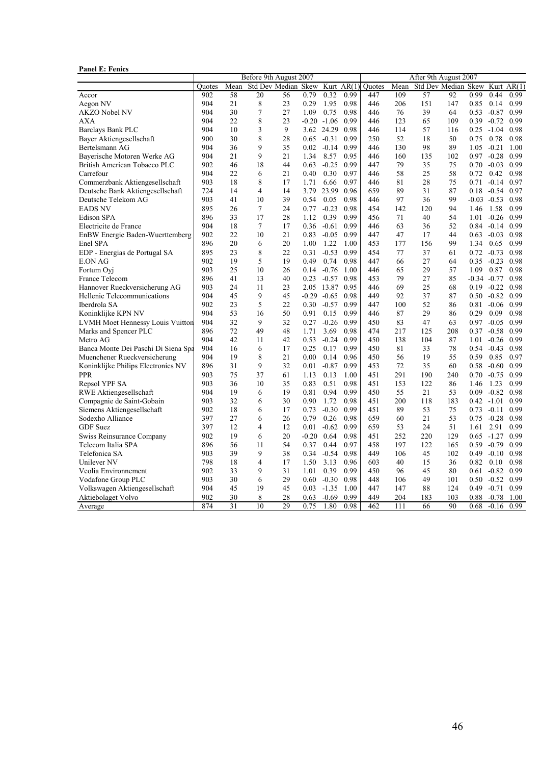#### Panel E: Fenics

|                                         |        |                 | Before 9th August 2007 |    |         |               |              |        |      | After 9th August 2007 |     |      |                   |              |
|-----------------------------------------|--------|-----------------|------------------------|----|---------|---------------|--------------|--------|------|-----------------------|-----|------|-------------------|--------------|
|                                         | Ouotes | Mean            | Std Dev Median Skew    |    |         |               | Kurt $AR(1)$ | Quotes | Mean | Std Dev Median Skew   |     |      |                   | Kurt $AR(1)$ |
| Accor                                   | 902    | 58              | 20                     | 56 | 0.79    | 0.32          | 0.99         | 447    | 109  | 57                    | 92  | 0.99 | 0.44              | 0.99         |
| Aegon NV                                | 904    | 21              | 8                      | 23 | 0.29    | 1.95          | 0.98         | 446    | 206  | 151                   | 147 | 0.85 | 0.14              | 0.99         |
| AKZO Nobel NV                           | 904    | 30              | $\tau$                 | 27 | 1.09    | 0.75          | 0.98         | 446    | 76   | 39                    | 64  | 0.53 | $-0.87$           | 0.99         |
| AXA                                     | 904    | 22              | 8                      | 23 |         | $-0.20 -1.06$ | 0.99         | 446    | 123  | 65                    | 109 | 0.39 | $-0.72$           | 0.99         |
| <b>Barclays Bank PLC</b>                | 904    | 10              | 3                      | 9  |         | 3.62 24.29    | 0.98         | 446    | 114  | 57                    | 116 | 0.25 | $-1.04$           | 0.98         |
| Bayer Aktiengesellschaft                | 900    | 30              | 8                      | 28 | 0.65    | $-0.31$       | 0.99         | 250    | 52   | 18                    | 50  | 0.75 | 0.78              | 0.98         |
| Bertelsmann AG                          | 904    | 36              | 9                      | 35 | 0.02    | $-0.14$       | 0.99         | 446    | 130  | 98                    | 89  | 1.05 | $-0.21$           | 1.00         |
| Bayerische Motoren Werke AG             | 904    | 21              | 9                      | 21 | 1.34    | 8.57          | 0.95         | 446    | 160  | 135                   | 102 | 0.97 | $-0.28$           | 0.99         |
| <b>British American Tobacco PLC</b>     | 902    | 46              | 18                     | 44 | 0.63    | $-0.25$       | 0.99         | 447    | 79   | 35                    | 75  | 0.70 | $-0.03$           | 0.99         |
| Carrefour                               | 904    | 22              | 6                      | 21 | 0.40    | 0.30          | 0.97         | 446    | 58   | 25                    | 58  | 0.72 | 0.42              | 0.98         |
| Commerzbank Aktiengesellschaft          | 903    | 18              | 8                      | 17 | 1.71    | 6.66          | 0.97         | 446    | 81   | 28                    | 75  | 0.71 | $-0.14$ 0.97      |              |
| Deutsche Bank Aktiengesellschaft        | 724    | 14              | 4                      | 14 | 3.79    | 23.99         | 0.96         | 659    | 89   | 31                    | 87  | 0.18 | $-0.54$           | 0.97         |
| Deutsche Telekom AG                     | 903    | 41              | 10                     | 39 | 0.54    | 0.05          | 0.98         | 446    | 97   | 36                    | 99  |      | $-0.03 -0.53$     | 0.98         |
| <b>EADS NV</b>                          | 895    | 26              | $\overline{7}$         | 24 | 0.77    | $-0.23$       | 0.98         | 454    | 142  | 120                   | 94  | 1.46 | 1.58              | 0.99         |
| <b>Edison SPA</b>                       | 896    | 33              | 17                     | 28 | 1.12    | 0.39          | 0.99         | 456    | 71   | 40                    | 54  | 1.01 | $-0.26$           | 0.99         |
| Electricite de France                   | 904    | 18              | $\overline{7}$         | 17 | 0.36    | $-0.61$       | 0.99         | 446    | 63   | 36                    | 52  | 0.84 | $-0.14$           | 0.99         |
| EnBW Energie Baden-Wuerttemberg         | 902    | 22              | 10                     | 21 | 0.83    | $-0.05$       | 0.99         | 447    | 47   | 17                    | 44  | 0.63 | $-0.03$           | 0.98         |
| Enel SPA                                | 896    | 20              | 6                      | 20 | 1.00    | 1.22          | 1.00         | 453    | 177  | 156                   | 99  | 1.34 | 0.65              | 0.99         |
| EDP - Energias de Portugal SA           | 895    | 23              | 8                      | 22 | 0.31    | $-0.53$       | 0.99         | 454    | 77   | 37                    | 61  | 0.72 | $-0.73$           | 0.98         |
| <b>E.ON AG</b>                          | 902    | 19              | 5                      | 19 | 0.49    | 0.74          | 0.98         | 447    | 66   | 27                    | 64  | 0.35 | $-0.23$           | 0.98         |
| Fortum Oyj                              | 903    | 25              | 10                     | 26 | 0.14    | $-0.76$       | 1.00         | 446    | 65   | 29                    | 57  | 1.09 | 0.87              | 0.98         |
| France Telecom                          | 896    | 41              | 13                     | 40 | 0.23    | $-0.57$       | 0.98         | 453    | 79   | 27                    | 85  |      | $-0.34 -0.77$     | 0.98         |
| Hannover Rueckversicherung AG           | 903    | 24              | 11                     | 23 | 2.05    | 13.87         | 0.95         | 446    | 69   | 25                    | 68  | 0.19 | $-0.22$           | 0.98         |
| Hellenic Telecommunications             | 904    | 45              | 9                      | 45 | $-0.29$ | $-0.65$       | 0.98         | 449    | 92   | 37                    | 87  | 0.50 | $-0.82$           | 0.99         |
| Iberdrola SA                            | 902    | 23              | 5                      | 22 | 0.30    | $-0.57$       | 0.99         | 447    | 100  | 52                    | 86  | 0.81 | $-0.06$ 0.99      |              |
| Koninklijke KPN NV                      | 904    | 53              | 16                     | 50 | 0.91    | 0.15          | 0.99         | 446    | 87   | 29                    | 86  | 0.29 | 0.09              | 0.98         |
| <b>LVMH Moet Hennessy Louis Vuitton</b> | 904    | 32              | 9                      | 32 | 0.27    | $-0.26$       | 0.99         | 450    | 83   | 47                    | 63  | 0.97 | $-0.05$ 0.99      |              |
| Marks and Spencer PLC                   | 896    | 72              | 49                     | 48 | 1.71    | 3.69          | 0.98         | 474    | 217  | 125                   | 208 | 0.37 | $-0.58$           | 0.99         |
| Metro AG                                | 904    | 42              | 11                     | 42 | 0.53    | $-0.24$       | 0.99         | 450    | 138  | 104                   | 87  | 1.01 | $-0.26$ 0.99      |              |
| Banca Monte Dei Paschi Di Siena Spa     | 904    | 16              | 6                      | 17 | 0.25    | 0.17          | 0.99         | 450    | 81   | 33                    | 78  | 0.54 | $-0.43$           | 0.98         |
| Muenchener Rueckversicherung            | 904    | 19              | 8                      | 21 | 0.00    | 0.14          | 0.96         | 450    | 56   | 19                    | 55  | 0.59 | 0.85              | 0.97         |
| Koninklijke Philips Electronics NV      | 896    | 31              | 9                      | 32 | 0.01    | $-0.87$       | 0.99         | 453    | 72   | 35                    | 60  | 0.58 | $-0.60$           | 0.99         |
| <b>PPR</b>                              | 903    | 75              | 37                     | 61 | 1.13    | 0.13          | 1.00         | 451    | 291  | 190                   | 240 | 0.70 | $-0.75$           | 0.99         |
| Repsol YPF SA                           | 903    | 36              | 10                     | 35 | 0.83    | 0.51          | 0.98         | 451    | 153  | 122                   | 86  | 1.46 | 1.23              | 0.99         |
| RWE Aktiengesellschaft                  | 904    | 19              | 6                      | 19 | 0.81    | 0.94          | 0.99         | 450    | 55   | 21                    | 53  | 0.09 | $-0.82$ 0.98      |              |
| Compagnie de Saint-Gobain               | 903    | 32              | 6                      | 30 | 0.90    | 1.72          | 0.98         | 451    | 200  | 118                   | 183 |      | $0.42 -1.01$      | 0.99         |
| Siemens Aktiengesellschaft              | 902    | 18              | 6                      | 17 | 0.73    | $-0.30$       | 0.99         | 451    | 89   | 53                    | 75  | 0.73 | $-0.11$           | 0.99         |
| Sodexho Alliance                        | 397    | 27              | 6                      | 26 | 0.79    | 0.26          | 0.98         | 659    | 60   | 21                    | 53  | 0.75 | $-0.28$           | 0.98         |
| GDF Suez                                | 397    | 12              | 4                      | 12 | 0.01    | $-0.62$       | 0.99         | 659    | 53   | 24                    | 51  | 1.61 | 2.91              | 0.99         |
| Swiss Reinsurance Company               | 902    | 19              | 6                      | 20 | $-0.20$ | 0.64          | 0.98         | 451    | 252  | 220                   | 129 | 0.65 | $-1.27$           | 0.99         |
| Telecom Italia SPA                      | 896    | 56              | 11                     | 54 | 0.37    | 0.44          | 0.97         | 458    | 197  | 122                   | 165 | 0.59 | $-0.79$ 0.99      |              |
| Telefonica SA                           | 903    | 39              | 9                      | 38 | 0.34    | $-0.54$       | 0.98         | 449    | 106  | 45                    | 102 | 0.49 | $-0.10$           | 0.98         |
| Unilever NV                             | 798    | 18              | 4                      | 17 | 1.50    | 3.13          | 0.96         | 603    | 40   | 15                    | 36  | 0.82 | 0.10              | 0.98         |
| Veolia Environnement                    | 902    | 33              | 9                      | 31 | 1.01    | 0.39          | 0.99         | 450    | 96   | 45                    | 80  | 0.61 | $-0.82$           | 0.99         |
| Vodafone Group PLC                      | 903    | 30              | 6                      | 29 | 0.60    | $-0.30$       | 0.98         | 448    | 106  | 49                    | 101 |      | $0.50 -0.52 0.99$ |              |
| Volkswagen Aktiengesellschaft           | 904    | 45              | 19                     | 45 | 0.03    | $-1.35$       | 1.00         | 447    | 147  | 88                    | 124 | 0.49 | $-0.71$           | 0.99         |
| Aktiebolaget Volvo                      | 902    | 30              | 8                      | 28 | 0.63    | $-0.69$       | 0.99         | 449    | 204  | 183                   | 103 | 0.88 | $-0.78$           | 1.00         |
| Average                                 | 874    | $\overline{31}$ | 10                     | 29 | 0.75    | 1.80          | 0.98         | 462    | 111  | 66                    | 90  | 0.68 | $-0.16$           | 0.99         |
|                                         |        |                 |                        |    |         |               |              |        |      |                       |     |      |                   |              |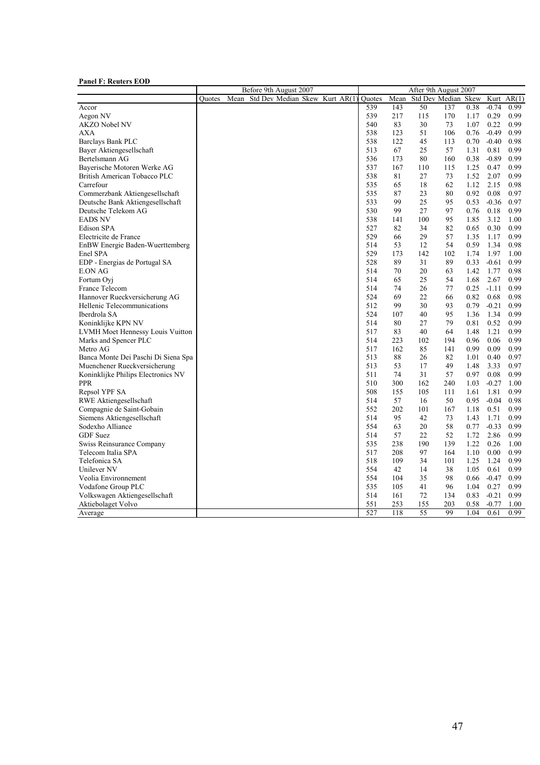### Panel F: Reuters EOD

|                                         |        |      | Before 9th August 2007 |                                |        |      | After 9th August 2007 |     |      |         |              |
|-----------------------------------------|--------|------|------------------------|--------------------------------|--------|------|-----------------------|-----|------|---------|--------------|
|                                         | Ouotes | Mean |                        | Std Dev Median Skew Kurt AR(1) | Ouotes | Mean | Std Dev Median        |     | Skew |         | Kurt $AR(1)$ |
| Accor                                   |        |      |                        |                                | 539    | 143  | 50                    | 137 | 0.38 | $-0.74$ | 0.99         |
| Aegon NV                                |        |      |                        |                                | 539    | 217  | 115                   | 170 | 1.17 | 0.29    | 0.99         |
| <b>AKZO Nobel NV</b>                    |        |      |                        |                                | 540    | 83   | 30                    | 73  | 1.07 | 0.22    | 0.99         |
| <b>AXA</b>                              |        |      |                        |                                | 538    | 123  | 51                    | 106 | 0.76 | $-0.49$ | 0.99         |
| Barclays Bank PLC                       |        |      |                        |                                | 538    | 122  | 45                    | 113 | 0.70 | $-0.40$ | 0.98         |
| Bayer Aktiengesellschaft                |        |      |                        |                                | 513    | 67   | 25                    | 57  | 1.31 | 0.81    | 0.99         |
| Bertelsmann AG                          |        |      |                        |                                | 536    | 173  | 80                    | 160 | 0.38 | $-0.89$ | 0.99         |
| Bayerische Motoren Werke AG             |        |      |                        |                                | 537    | 167  | 110                   | 115 | 1.25 | 0.47    | 0.99         |
| British American Tobacco PLC            |        |      |                        |                                | 538    | 81   | 27                    | 73  | 1.52 | 2.07    | 0.99         |
| Carrefour                               |        |      |                        |                                | 535    | 65   | 18                    | 62  | 1.12 | 2.15    | 0.98         |
| Commerzbank Aktiengesellschaft          |        |      |                        |                                | 535    | 87   | 23                    | 80  | 0.92 | 0.08    | 0.97         |
| Deutsche Bank Aktiengesellschaft        |        |      |                        |                                | 533    | 99   | 25                    | 95  | 0.53 | $-0.36$ | 0.97         |
| Deutsche Telekom AG                     |        |      |                        |                                | 530    | 99   | 27                    | 97  | 0.76 | 0.18    | 0.99         |
| <b>EADS NV</b>                          |        |      |                        |                                | 538    | 141  | 100                   | 95  | 1.85 | 3.12    | 1.00         |
| Edison SPA                              |        |      |                        |                                | 527    | 82   | 34                    | 82  | 0.65 | 0.30    | 0.99         |
| Electricite de France                   |        |      |                        |                                | 529    | 66   | 29                    | 57  | 1.35 | 1.17    | 0.99         |
|                                         |        |      |                        |                                | 514    |      |                       |     |      |         |              |
| EnBW Energie Baden-Wuerttemberg         |        |      |                        |                                |        | 53   | 12                    | 54  | 0.59 | 1.34    | 0.98         |
| Enel SPA                                |        |      |                        |                                | 529    | 173  | 142                   | 102 | 1.74 | 1.97    | 1.00         |
| EDP - Energias de Portugal SA           |        |      |                        |                                | 528    | 89   | 31                    | 89  | 0.33 | $-0.61$ | 0.99         |
| <b>E.ON AG</b>                          |        |      |                        |                                | 514    | 70   | 20                    | 63  | 1.42 | 1.77    | 0.98         |
| Fortum Oyj                              |        |      |                        |                                | 514    | 65   | 25                    | 54  | 1.68 | 2.67    | 0.99         |
| France Telecom                          |        |      |                        |                                | 514    | 74   | 26                    | 77  | 0.25 | $-1.11$ | 0.99         |
| Hannover Rueckversicherung AG           |        |      |                        |                                | 524    | 69   | 22                    | 66  | 0.82 | 0.68    | 0.98         |
| Hellenic Telecommunications             |        |      |                        |                                | 512    | 99   | 30                    | 93  | 0.79 | $-0.21$ | 0.99         |
| Iberdrola SA                            |        |      |                        |                                | 524    | 107  | 40                    | 95  | 1.36 | 1.34    | 0.99         |
| Koninklijke KPN NV                      |        |      |                        |                                | 514    | 80   | 27                    | 79  | 0.81 | 0.52    | 0.99         |
| <b>LVMH Moet Hennessy Louis Vuitton</b> |        |      |                        |                                | 517    | 83   | 40                    | 64  | 1.48 | 1.21    | 0.99         |
| Marks and Spencer PLC                   |        |      |                        |                                | 514    | 223  | 102                   | 194 | 0.96 | 0.06    | 0.99         |
| Metro AG                                |        |      |                        |                                | 517    | 162  | 85                    | 141 | 0.99 | 0.09    | 0.99         |
| Banca Monte Dei Paschi Di Siena Spa     |        |      |                        |                                | 513    | 88   | 26                    | 82  | 1.01 | 0.40    | 0.97         |
| Muenchener Rueckversicherung            |        |      |                        |                                | 513    | 53   | 17                    | 49  | 1.48 | 3.33    | 0.97         |
| Koninklijke Philips Electronics NV      |        |      |                        |                                | 511    | 74   | 31                    | 57  | 0.97 | 0.08    | 0.99         |
| <b>PPR</b>                              |        |      |                        |                                | 510    | 300  | 162                   | 240 | 1.03 | $-0.27$ | 1.00         |
| Repsol YPF SA                           |        |      |                        |                                | 508    | 155  | 105                   | 111 | 1.61 | 1.81    | 0.99         |
| RWE Aktiengesellschaft                  |        |      |                        |                                | 514    | 57   | 16                    | 50  | 0.95 | $-0.04$ | 0.98         |
| Compagnie de Saint-Gobain               |        |      |                        |                                | 552    | 202  | 101                   | 167 | 1.18 | 0.51    | 0.99         |
| Siemens Aktiengesellschaft              |        |      |                        |                                | 514    | 95   | 42                    | 73  | 1.43 | 1.71    | 0.99         |
| Sodexho Alliance                        |        |      |                        |                                | 554    | 63   | 20                    | 58  | 0.77 | $-0.33$ | 0.99         |
| GDF Suez                                |        |      |                        |                                | 514    | 57   | 22                    | 52  | 1.72 | 2.86    | 0.99         |
| Swiss Reinsurance Company               |        |      |                        |                                | 535    | 238  | 190                   | 139 | 1.22 | 0.26    | 1.00         |
| Telecom Italia SPA                      |        |      |                        |                                | 517    | 208  | 97                    | 164 | 1.10 | 0.00    | 0.99         |
| Telefonica SA                           |        |      |                        |                                | 518    | 109  | 34                    | 101 | 1.25 | 1.24    | 0.99         |
| Unilever NV                             |        |      |                        |                                | 554    | 42   | 14                    | 38  | 1.05 | 0.61    | 0.99         |
| Veolia Environnement                    |        |      |                        |                                | 554    | 104  | 35                    | 98  | 0.66 | $-0.47$ | 0.99         |
| Vodafone Group PLC                      |        |      |                        |                                | 535    | 105  | 41                    | 96  | 1.04 | 0.27    | 0.99         |
| Volkswagen Aktiengesellschaft           |        |      |                        |                                | 514    | 161  | 72                    | 134 | 0.83 | $-0.21$ | 0.99         |
| Aktiebolaget Volvo                      |        |      |                        |                                | 551    | 253  | 155                   | 203 | 0.58 | $-0.77$ | 1.00         |
| Average                                 |        |      |                        |                                | 527    | 118  | 55                    | 99  | 1.04 | 0.61    | 0.99         |
|                                         |        |      |                        |                                |        |      |                       |     |      |         |              |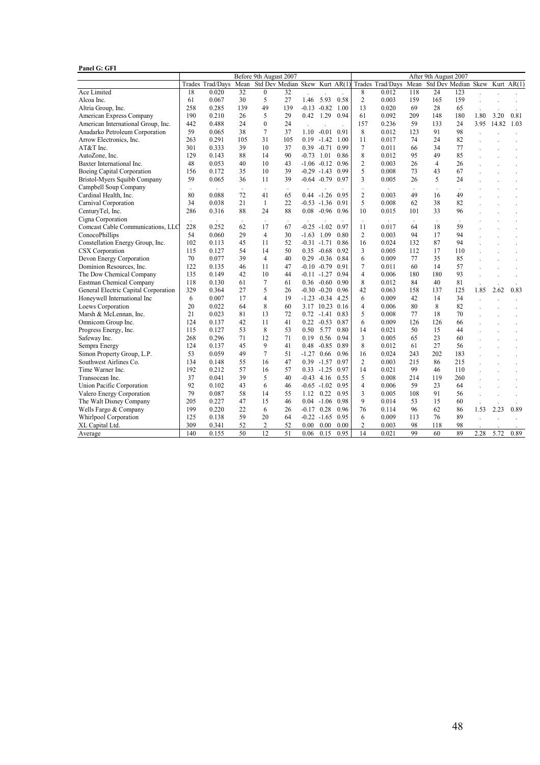#### Panel G: GFI

|                                      | Before 9th August 2007 |                  |      |                      |                                |                |                |      |                      |           |                      | After 9th August 2007 |                      |      |       |              |
|--------------------------------------|------------------------|------------------|------|----------------------|--------------------------------|----------------|----------------|------|----------------------|-----------|----------------------|-----------------------|----------------------|------|-------|--------------|
|                                      |                        | Trades Trad/Days | Mean |                      | Std Dev Median Skew Kurt AR(1) |                |                |      | Trades               | Trad/Days | Mean                 | Std Dev Median Skew   |                      |      |       | Kurt $AR(1)$ |
| Ace Limited                          | 18                     | 0.020            | 32   | $\mathbf{0}$         | 32                             |                |                |      | 8                    | 0.012     | 118                  | 24                    | 123                  |      |       |              |
| Alcoa Inc.                           | 61                     | 0.067            | 30   | 5                    | 27                             | 1.46           | 5.93           | 0.58 | $\overline{c}$       | 0.003     | 159                  | 165                   | 159                  |      |       |              |
| Altria Group, Inc.                   | 258                    | 0.285            | 139  | 49                   | 139                            | $-0.13$        | $-0.82$        | 1.00 | 13                   | 0.020     | 69                   | 28                    | 65                   |      |       |              |
| American Express Company             | 190                    | 0.210            | 26   | 5                    | 29                             | 0.42           | 1.29           | 0.94 | 61                   | 0.092     | 209                  | 148                   | 180                  | 1.80 | 3.20  | 0.81         |
| American International Group, Inc.   | 442                    | 0.488            | 24   | $\theta$             | 24                             |                |                |      | 157                  | 0.236     | 59                   | 133                   | 24                   | 3.95 | 14.82 | 1.03         |
| Anadarko Petroleum Corporation       | 59                     | 0.065            | 38   | 7                    | 37                             | 1.10           | $-0.01$        | 0.91 | 8                    | 0.012     | 123                  | 91                    | 98                   |      |       |              |
| Arrow Electronics, Inc.              | 263                    | 0.291            | 105  | 31                   | 105                            | 0.19           | $-1.42$        | 1.00 | 11                   | 0.017     | 74                   | 24                    | 82                   |      |       |              |
| AT&T Inc.                            | 301                    | 0.333            | 39   | 10                   | 37                             | 0.39           | $-0.71$        | 0.99 | 7                    | 0.011     | 66                   | 34                    | 77                   |      |       |              |
| AutoZone, Inc.                       | 129                    | 0.143            | 88   | 14                   | 90                             | $-0.73$ 1.01   |                | 0.86 | 8                    | 0.012     | 95                   | 49                    | 85                   |      |       |              |
| Baxter International Inc.            | 48                     | 0.053            | 40   | 10                   | 43                             | $-1.06 - 0.12$ |                | 0.96 | $\overline{2}$       | 0.003     | 26                   | $\overline{4}$        | 26                   |      |       |              |
| <b>Boeing Capital Corporation</b>    | 156                    | 0.172            | 35   | 10                   | 39                             | $-0.29$        | $-1.43$        | 0.99 | 5                    | 0.008     | 73                   | 43                    | 67                   |      |       |              |
| Bristol-Myers Squibb Company         | 59                     | 0.065            | 36   | 11                   | 39                             |                | $-0.64 - 0.79$ | 0.97 | $\overline{3}$       | 0.005     | 26                   | 5                     | 24                   |      |       |              |
| Campbell Soup Company                |                        |                  |      |                      |                                |                |                |      |                      |           |                      |                       |                      |      |       |              |
| Cardinal Health, Inc.                | 80                     | 0.088            | 72   | 41                   | 65                             | 0.44           | $-1.26$        | 0.95 | $\overline{2}$       | 0.003     | 49                   | 16                    | 49                   |      |       |              |
| Carnival Corporation                 | 34                     | 0.038            | 21   | $\mathbf{1}$         | 22                             |                | $-0.53 -1.36$  | 0.91 | 5                    | 0.008     | 62                   | 38                    | 82                   |      |       |              |
| CenturyTel, Inc.                     | 286                    | 0.316            | 88   | 24                   | 88                             | 0.08           | $-0.96$ 0.96   |      | 10                   | 0.015     | 101                  | 33                    | 96                   |      |       |              |
| Cigna Corporation                    | $\ddot{\phantom{a}}$   |                  |      | $\ddot{\phantom{a}}$ | $\sim$                         |                |                |      | $\ddot{\phantom{a}}$ |           | $\ddot{\phantom{a}}$ |                       | $\ddot{\phantom{a}}$ |      |       |              |
| Comcast Cable Communications, LLC    | 228                    | 0.252            | 62   | 17                   | 67                             | $-0.25$        | $-1.02$        | 0.97 | 11                   | 0.017     | 64                   | 18                    | 59                   |      |       |              |
| ConocoPhillips                       | 54                     | 0.060            | 29   | $\overline{4}$       | 30                             | $-1.63$        | 1.09           | 0.80 | $\overline{2}$       | 0.003     | 94                   | 17                    | 94                   |      |       |              |
| Constellation Energy Group, Inc.     | 102                    | 0.113            | 45   | 11                   | 52                             |                | $-0.31 -1.71$  | 0.86 | 16                   | 0.024     | 132                  | 87                    | 94                   |      |       |              |
| CSX Corporation                      | 115                    | 0.127            | 54   | 14                   | 50                             | 0.35           | $-0.68$        | 0.92 | $\overline{3}$       | 0.005     | 112                  | 17                    | 110                  |      |       |              |
| Devon Energy Corporation             | 70                     | 0.077            | 39   | $\overline{4}$       | 40                             | 0.29           | $-0.36$        | 0.84 | 6                    | 0.009     | 77                   | 35                    | 85                   |      |       |              |
| Dominion Resources, Inc.             | 122                    | 0.135            | 46   | 11                   | 47                             | $-0.10$        | $-0.79$        | 0.91 | $7\phantom{.0}$      | 0.011     | 60                   | 14                    | 57                   |      |       |              |
| The Dow Chemical Company             | 135                    | 0.149            | 42   | 10                   | 44                             |                | $-0.11 - 1.27$ | 0.94 | $\overline{4}$       | 0.006     | 180                  | 180                   | 93                   |      |       |              |
| Eastman Chemical Company             | 118                    | 0.130            | 61   | 7                    | 61                             | 0.36           | $-0.60$        | 0.90 | 8                    | 0.012     | 84                   | 40                    | 81                   |      |       |              |
| General Electric Capital Corporation | 329                    | 0.364            | 27   | 5                    | 26                             | $-0.30$        | $-0.20$        | 0.96 | 42                   | 0.063     | 158                  | 137                   | 125                  | 1.85 | 2.62  | 0.83         |
| Honeywell International Inc          | 6                      | 0.007            | 17   | $\overline{4}$       | 19                             | $-1.23 -0.34$  |                | 4.25 | 6                    | 0.009     | 42                   | 14                    | 34                   |      |       |              |
| Loews Corporation                    | 20                     | 0.022            | 64   | 8                    | 60                             | 3.17           | 10.23          | 0.16 | $\overline{4}$       | 0.006     | 80                   | 8                     | 82                   |      |       |              |
| Marsh & McLennan, Inc.               | 21                     | 0.023            | 81   | 13                   | 72                             | 0.72           | $-1.41$        | 0.83 | 5                    | 0.008     | 77                   | 18                    | 70                   |      |       |              |
| Omnicom Group Inc.                   | 124                    | 0.137            | 42   | 11                   | 41                             | 0.22           | $-0.53$        | 0.87 | 6                    | 0.009     | 126                  | 126                   | 66                   |      |       |              |
| Progress Energy, Inc.                | 115                    | 0.127            | 53   | 8                    | 53                             | 0.50           | 5.77           | 0.80 | 14                   | 0.021     | 50                   | 15                    | 44                   |      |       |              |
| Safeway Inc.                         | 268                    | 0.296            | 71   | 12                   | 71                             | 0.19           | 0.56           | 0.94 | $\overline{3}$       | 0.005     | 65                   | 23                    | 60                   |      |       |              |
| Sempra Energy                        | 124                    | 0.137            | 45   | 9                    | 41                             | 0.48           | $-0.85$        | 0.89 | 8                    | 0.012     | 61                   | 27                    | 56                   |      |       |              |
| Simon Property Group, L.P.           | 53                     | 0.059            | 49   | $\overline{7}$       | 51                             | $-1.27$        | 0.66           | 0.96 | 16                   | 0.024     | 243                  | 202                   | 183                  |      |       |              |
| Southwest Airlines Co.               | 134                    | 0.148            | 55   | 16                   | 47                             | 0.39           | $-1.57$        | 0.97 | $\overline{2}$       | 0.003     | 215                  | 86                    | 215                  |      |       |              |
| Time Warner Inc.                     | 192                    | 0.212            | 57   | 16                   | 57                             | 0.33           | $-1.25$        | 0.97 | 14                   | 0.021     | 99                   | 46                    | 110                  |      |       |              |
| Transocean Inc.                      | 37                     | 0.041            | 39   | 5                    | 40                             | $-0.43$        | 4.16           | 0.55 | 5                    | 0.008     | 214                  | 119                   | 260                  |      |       |              |
| Union Pacific Corporation            | 92                     | 0.102            | 43   | 6                    | 46                             |                | $-0.65 -1.02$  | 0.95 | $\overline{4}$       | 0.006     | 59                   | 23                    | 64                   |      |       |              |
| Valero Energy Corporation            | 79                     | 0.087            | 58   | 14                   | 55                             | 1.12           | 0.22           | 0.95 | $\overline{3}$       | 0.005     | 108                  | 91                    | 56                   |      |       |              |
| The Walt Disney Company              | 205                    | 0.227            | 47   | 15                   | 46                             | 0.04           | $-1.06$        | 0.98 | 9                    | 0.014     | 53                   | 15                    | 60                   |      |       |              |
| Wells Fargo & Company                | 199                    | 0.220            | 22   | 6                    | 26                             | $-0.17$        | 0.28           | 0.96 | 76                   | 0.114     | 96                   | 62                    | 86                   | 1.53 | 2.23  | 0.89         |
| Whirlpool Corporation                | 125                    | 0.138            | 59   | 20                   | 64                             |                | $-0.22 -1.65$  | 0.95 | 6                    | 0.009     | 113                  | 76                    | 89                   |      |       |              |
| XL Capital Ltd.                      | 309                    | 0.341            | 52   | 2                    | 52                             | 0.00           | 0.00           | 0.00 | $\overline{2}$       | 0.003     | 98                   | 118                   | 98                   |      |       |              |
| Average                              | 140                    | 0.155            | 50   | $\overline{12}$      | 51                             | 0.06           | 0.15           | 0.95 | 14                   | 0.021     | 99                   | 60                    | 89                   | 2.28 | 5.72  | 0.89         |
|                                      |                        |                  |      |                      |                                |                |                |      |                      |           |                      |                       |                      |      |       |              |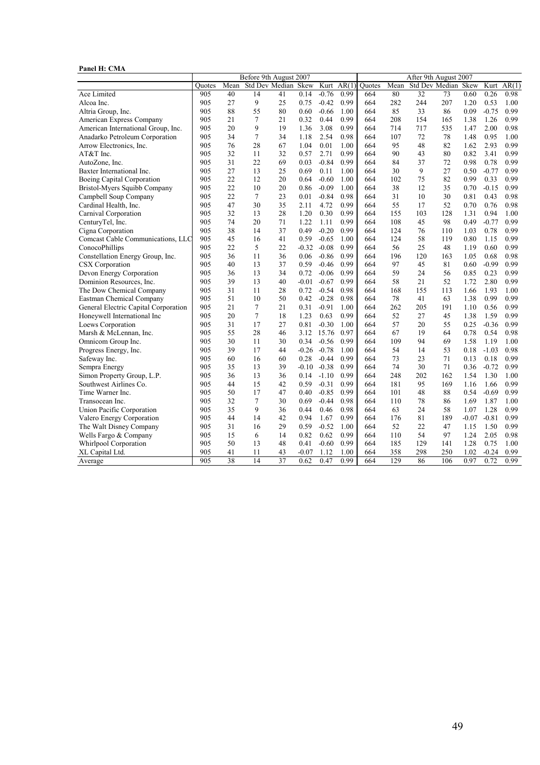#### Panel H: CMA

|                                      | Before 9th August 2007 |      |        |                     |         |         |       |        |      | After 9th August 2007 |                     |         |         |       |
|--------------------------------------|------------------------|------|--------|---------------------|---------|---------|-------|--------|------|-----------------------|---------------------|---------|---------|-------|
|                                      | Ouotes                 | Mean |        | Std Dev Median Skew |         | Kurt    | AR(1) | Ouotes | Mean |                       | Std Dev Median Skew |         | Kurt    | AR(1) |
| Ace Limited                          | 905                    | 40   | 14     | 41                  | 0.14    | $-0.76$ | 0.99  | 664    | 80   | 32                    | 73                  | 0.60    | 0.26    | 0.98  |
| Alcoa Inc.                           | 905                    | 27   | 9      | 25                  | 0.75    | $-0.42$ | 0.99  | 664    | 282  | 244                   | 207                 | 1.20    | 0.53    | 1.00  |
| Altria Group, Inc.                   | 905                    | 88   | 55     | 80                  | 0.60    | $-0.66$ | 1.00  | 664    | 85   | 33                    | 86                  | 0.09    | $-0.75$ | 0.99  |
| American Express Company             | 905                    | 21   | $\tau$ | 21                  | 0.32    | 0.44    | 0.99  | 664    | 208  | 154                   | 165                 | 1.38    | 1.26    | 0.99  |
| American International Group, Inc.   | 905                    | 20   | 9      | 19                  | 1.36    | 3.08    | 0.99  | 664    | 714  | 717                   | 535                 | 1.47    | 2.00    | 0.98  |
| Anadarko Petroleum Corporation       | 905                    | 34   | $\tau$ | 34                  | 1.18    | 2.54    | 0.98  | 664    | 107  | 72                    | 78                  | 1.48    | 0.95    | 1.00  |
| Arrow Electronics, Inc.              | 905                    | 76   | 28     | 67                  | 1.04    | 0.01    | 1.00  | 664    | 95   | 48                    | 82                  | 1.62    | 2.93    | 0.99  |
| AT&T Inc.                            | 905                    | 32   | 11     | 32                  | 0.57    | 2.71    | 0.99  | 664    | 90   | 43                    | 80                  | 0.82    | 3.41    | 0.99  |
| AutoZone, Inc.                       | 905                    | 31   | 22     | 69                  | 0.03    | $-0.84$ | 0.99  | 664    | 84   | 37                    | 72                  | 0.98    | 0.78    | 0.99  |
| Baxter International Inc.            | 905                    | 27   | 13     | 25                  | 0.69    | 0.11    | 1.00  | 664    | 30   | 9                     | 27                  | 0.50    | $-0.77$ | 0.99  |
| Boeing Capital Corporation           | 905                    | 22   | 12     | 20                  | 0.64    | $-0.60$ | 1.00  | 664    | 102  | 75                    | 82                  | 0.99    | 0.33    | 0.99  |
| Bristol-Myers Squibb Company         | 905                    | 22   | 10     | 20                  | 0.86    | $-0.09$ | 1.00  | 664    | 38   | 12                    | 35                  | 0.70    | $-0.15$ | 0.99  |
| Campbell Soup Company                | 905                    | 22   | $\tau$ | 23                  | 0.01    | $-0.84$ | 0.98  | 664    | 31   | 10                    | 30                  | 0.81    | 0.43    | 0.98  |
| Cardinal Health, Inc.                | 905                    | 47   | 30     | 35                  | 2.11    | 4.72    | 0.99  | 664    | 55   | 17                    | 52                  | 0.70    | 0.76    | 0.98  |
| Carnival Corporation                 | 905                    | 32   | 13     | 28                  | 1.20    | 0.30    | 0.99  | 664    | 155  | 103                   | 128                 | 1.31    | 0.94    | 1.00  |
| CenturyTel, Inc.                     | 905                    | 74   | 20     | 71                  | 1.22    | 1.11    | 0.99  | 664    | 108  | 45                    | 98                  | 0.49    | $-0.77$ | 0.99  |
| Cigna Corporation                    | 905                    | 38   | 14     | 37                  | 0.49    | $-0.20$ | 0.99  | 664    | 124  | 76                    | 110                 | 1.03    | 0.78    | 0.99  |
| Comcast Cable Communications, LLC    | 905                    | 45   | 16     | 41                  | 0.59    | $-0.65$ | 1.00  | 664    | 124  | 58                    | 119                 | 0.80    | 1.15    | 0.99  |
| ConocoPhillips                       | 905                    | 22   | 5      | 22                  | $-0.32$ | $-0.08$ | 0.99  | 664    | 56   | 25                    | 48                  | 1.19    | 0.60    | 0.99  |
| Constellation Energy Group, Inc.     | 905                    | 36   | 11     | 36                  | 0.06    | $-0.86$ | 0.99  | 664    | 196  | 120                   | 163                 | 1.05    | 0.68    | 0.98  |
| CSX Corporation                      | 905                    | 40   | 13     | 37                  | 0.59    | $-0.46$ | 0.99  | 664    | 97   | 45                    | 81                  | 0.60    | $-0.99$ | 0.99  |
| Devon Energy Corporation             | 905                    | 36   | 13     | 34                  | 0.72    | $-0.06$ | 0.99  | 664    | 59   | 24                    | 56                  | 0.85    | 0.23    | 0.99  |
| Dominion Resources, Inc.             | 905                    | 39   | 13     | 40                  | $-0.01$ | $-0.67$ | 0.99  | 664    | 58   | 21                    | 52                  | 1.72    | 2.80    | 0.99  |
| The Dow Chemical Company             | 905                    | 31   | 11     | 28                  | 0.72    | $-0.54$ | 0.98  | 664    | 168  | 155                   | 113                 | 1.66    | 1.93    | 1.00  |
| Eastman Chemical Company             | 905                    | 51   | 10     | 50                  | 0.42    | $-0.28$ | 0.98  | 664    | 78   | 41                    | 63                  | 1.38    | 0.99    | 0.99  |
| General Electric Capital Corporation | 905                    | 21   | 7      | 21                  | 0.31    | $-0.91$ | 1.00  | 664    | 262  | 205                   | 191                 | 1.10    | 0.56    | 0.99  |
| Honeywell International Inc          | 905                    | 20   | 7      | 18                  | 1.23    | 0.63    | 0.99  | 664    | 52   | 27                    | 45                  | 1.38    | 1.59    | 0.99  |
| Loews Corporation                    | 905                    | 31   | 17     | 27                  | 0.81    | $-0.30$ | 1.00  | 664    | 57   | 20                    | 55                  | 0.25    | $-0.36$ | 0.99  |
| Marsh & McLennan, Inc.               | 905                    | 55   | 28     | 46                  | 3.12    | 15.76   | 0.97  | 664    | 67   | 19                    | 64                  | 0.78    | 0.54    | 0.98  |
| Omnicom Group Inc.                   | 905                    | 30   | 11     | 30                  | 0.34    | $-0.56$ | 0.99  | 664    | 109  | 94                    | 69                  | 1.58    | 1.19    | 1.00  |
| Progress Energy, Inc.                | 905                    | 39   | 17     | 44                  | $-0.26$ | $-0.78$ | 1.00  | 664    | 54   | 14                    | 53                  | 0.18    | $-1.03$ | 0.98  |
| Safeway Inc.                         | 905                    | 60   | 16     | 60                  | 0.28    | $-0.44$ | 0.99  | 664    | 73   | 23                    | 71                  | 0.13    | 0.18    | 0.99  |
| Sempra Energy                        | 905                    | 35   | 13     | 39                  | $-0.10$ | $-0.38$ | 0.99  | 664    | 74   | 30                    | 71                  | 0.36    | $-0.72$ | 0.99  |
| Simon Property Group, L.P.           | 905                    | 36   | 13     | 36                  | 0.14    | $-1.10$ | 0.99  | 664    | 248  | 202                   | 162                 | 1.54    | 1.30    | 1.00  |
| Southwest Airlines Co.               | 905                    | 44   | 15     | 42                  | 0.59    | $-0.31$ | 0.99  | 664    | 181  | 95                    | 169                 | 1.16    | 1.66    | 0.99  |
| Time Warner Inc.                     | 905                    | 50   | 17     | 47                  | 0.40    | $-0.85$ | 0.99  | 664    | 101  | 48                    | 88                  | 0.54    | $-0.69$ | 0.99  |
| Transocean Inc.                      | 905                    | 32   | 7      | 30                  | 0.69    | $-0.44$ | 0.98  | 664    | 110  | 78                    | 86                  | 1.69    | 1.87    | 1.00  |
| Union Pacific Corporation            | 905                    | 35   | 9      | 36                  | 0.44    | 0.46    | 0.98  | 664    | 63   | 24                    | 58                  | 1.07    | 1.28    | 0.99  |
| Valero Energy Corporation            | 905                    | 44   | 14     | 42                  | 0.94    | 1.67    | 0.99  | 664    | 176  | 81                    | 189                 | $-0.07$ | $-0.81$ | 0.99  |
| The Walt Disney Company              | 905                    | 31   | 16     | 29                  | 0.59    | $-0.52$ | 1.00  | 664    | 52   | 22                    | 47                  | 1.15    | 1.50    | 0.99  |
| Wells Fargo & Company                | 905                    | 15   | 6      | 14                  | 0.82    | 0.62    | 0.99  | 664    | 110  | 54                    | 97                  | 1.24    | 2.05    | 0.98  |
| Whirlpool Corporation                | 905                    | 50   | 13     | 48                  | 0.41    | $-0.60$ | 0.99  | 664    | 185  | 129                   | 141                 | 1.28    | 0.75    | 1.00  |
| XL Capital Ltd.                      | 905                    | 41   | 11     | 43                  | $-0.07$ | 1.12    | 1.00  | 664    | 358  | 298                   | 250                 | 1.02    | $-0.24$ | 0.99  |
| Average                              | 905                    | 38   | 14     | $\overline{37}$     | 0.62    | 0.47    | 0.99  | 664    | 129  | 86                    | 106                 | 0.97    | 0.72    | 0.99  |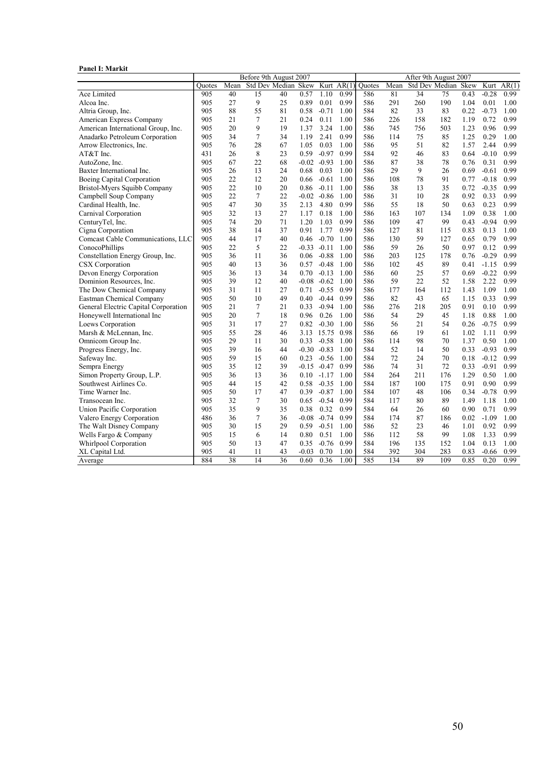#### Panel I: Markit

| Std Dev Median Skew<br>AR(1)<br>Std Dev Median Skew<br>AR(1)<br>Mean<br>Kurt<br>Ouotes<br>Mean<br>Kurt<br>Ouotes<br>40<br>$\overline{15}$<br>40<br>586<br>81<br>34<br>75<br>Ace Limited<br>905<br>0.57<br>1.10<br>0.99<br>0.43<br>$-0.28$<br>0.99<br>0.99<br>190<br>905<br>27<br>9<br>25<br>0.89<br>0.01<br>586<br>291<br>260<br>1.04<br>0.01<br>1.00<br>Alcoa Inc.<br>88<br>905<br>55<br>81<br>0.58<br>$-0.71$<br>584<br>82<br>33<br>83<br>0.22<br>$-0.73$<br>1.00<br>Altria Group, Inc.<br>1.00<br>182<br>0.99<br>American Express Company<br>905<br>21<br>7<br>21<br>0.24<br>0.11<br>1.00<br>586<br>226<br>158<br>1.19<br>0.72<br>20<br>9<br>19<br>3.24<br>756<br>503<br>0.99<br>American International Group, Inc.<br>905<br>1.37<br>1.00<br>586<br>745<br>1.23<br>0.96<br>34<br>0.99<br>Anadarko Petroleum Corporation<br>905<br>34<br>7<br>1.19<br>2.41<br>586<br>114<br>75<br>85<br>1.25<br>0.29<br>1.00<br>905<br>76<br>28<br>67<br>0.03<br>1.00<br>586<br>95<br>51<br>82<br>2.44<br>0.99<br>Arrow Electronics, Inc.<br>1.57<br>1.05<br>8<br>$-0.97$<br>0.99<br>584<br>92<br>0.99<br>AT&T Inc.<br>431<br>26<br>23<br>0.59<br>46<br>83<br>0.64<br>$-0.10$<br>68<br>AutoZone, Inc.<br>905<br>67<br>22<br>$-0.02$<br>$-0.93$<br>1.00<br>586<br>87<br>38<br>78<br>0.31<br>0.99<br>0.76<br>9<br>Baxter International Inc.<br>905<br>26<br>13<br>24<br>0.68<br>0.03<br>1.00<br>586<br>29<br>0.69<br>$-0.61$<br>0.99<br>26<br>$-0.61$<br>78<br>0.99<br>Boeing Capital Corporation<br>905<br>22<br>12<br>20<br>1.00<br>586<br>108<br>91<br>$-0.18$<br>0.66<br>0.77<br>Bristol-Myers Squibb Company<br>905<br>22<br>10<br>20<br>0.86<br>$-0.11$<br>1.00<br>586<br>38<br>13<br>35<br>0.72<br>$-0.35$<br>0.99<br>22<br>$\tau$<br>22<br>31<br>28<br>0.99<br>Campbell Soup Company<br>905<br>$-0.02 -0.86$<br>1.00<br>586<br>10<br>0.92<br>0.33<br>Cardinal Health, Inc.<br>55<br>18<br>905<br>47<br>30<br>35<br>2.13<br>4.80<br>0.99<br>586<br>50<br>0.63<br>0.23<br>0.99 |
|-----------------------------------------------------------------------------------------------------------------------------------------------------------------------------------------------------------------------------------------------------------------------------------------------------------------------------------------------------------------------------------------------------------------------------------------------------------------------------------------------------------------------------------------------------------------------------------------------------------------------------------------------------------------------------------------------------------------------------------------------------------------------------------------------------------------------------------------------------------------------------------------------------------------------------------------------------------------------------------------------------------------------------------------------------------------------------------------------------------------------------------------------------------------------------------------------------------------------------------------------------------------------------------------------------------------------------------------------------------------------------------------------------------------------------------------------------------------------------------------------------------------------------------------------------------------------------------------------------------------------------------------------------------------------------------------------------------------------------------------------------------------------------------------------------------------------------------------------------------------------------------------------------------------------------------------------------------------------|
|                                                                                                                                                                                                                                                                                                                                                                                                                                                                                                                                                                                                                                                                                                                                                                                                                                                                                                                                                                                                                                                                                                                                                                                                                                                                                                                                                                                                                                                                                                                                                                                                                                                                                                                                                                                                                                                                                                                                                                       |
|                                                                                                                                                                                                                                                                                                                                                                                                                                                                                                                                                                                                                                                                                                                                                                                                                                                                                                                                                                                                                                                                                                                                                                                                                                                                                                                                                                                                                                                                                                                                                                                                                                                                                                                                                                                                                                                                                                                                                                       |
|                                                                                                                                                                                                                                                                                                                                                                                                                                                                                                                                                                                                                                                                                                                                                                                                                                                                                                                                                                                                                                                                                                                                                                                                                                                                                                                                                                                                                                                                                                                                                                                                                                                                                                                                                                                                                                                                                                                                                                       |
|                                                                                                                                                                                                                                                                                                                                                                                                                                                                                                                                                                                                                                                                                                                                                                                                                                                                                                                                                                                                                                                                                                                                                                                                                                                                                                                                                                                                                                                                                                                                                                                                                                                                                                                                                                                                                                                                                                                                                                       |
|                                                                                                                                                                                                                                                                                                                                                                                                                                                                                                                                                                                                                                                                                                                                                                                                                                                                                                                                                                                                                                                                                                                                                                                                                                                                                                                                                                                                                                                                                                                                                                                                                                                                                                                                                                                                                                                                                                                                                                       |
|                                                                                                                                                                                                                                                                                                                                                                                                                                                                                                                                                                                                                                                                                                                                                                                                                                                                                                                                                                                                                                                                                                                                                                                                                                                                                                                                                                                                                                                                                                                                                                                                                                                                                                                                                                                                                                                                                                                                                                       |
|                                                                                                                                                                                                                                                                                                                                                                                                                                                                                                                                                                                                                                                                                                                                                                                                                                                                                                                                                                                                                                                                                                                                                                                                                                                                                                                                                                                                                                                                                                                                                                                                                                                                                                                                                                                                                                                                                                                                                                       |
|                                                                                                                                                                                                                                                                                                                                                                                                                                                                                                                                                                                                                                                                                                                                                                                                                                                                                                                                                                                                                                                                                                                                                                                                                                                                                                                                                                                                                                                                                                                                                                                                                                                                                                                                                                                                                                                                                                                                                                       |
|                                                                                                                                                                                                                                                                                                                                                                                                                                                                                                                                                                                                                                                                                                                                                                                                                                                                                                                                                                                                                                                                                                                                                                                                                                                                                                                                                                                                                                                                                                                                                                                                                                                                                                                                                                                                                                                                                                                                                                       |
|                                                                                                                                                                                                                                                                                                                                                                                                                                                                                                                                                                                                                                                                                                                                                                                                                                                                                                                                                                                                                                                                                                                                                                                                                                                                                                                                                                                                                                                                                                                                                                                                                                                                                                                                                                                                                                                                                                                                                                       |
|                                                                                                                                                                                                                                                                                                                                                                                                                                                                                                                                                                                                                                                                                                                                                                                                                                                                                                                                                                                                                                                                                                                                                                                                                                                                                                                                                                                                                                                                                                                                                                                                                                                                                                                                                                                                                                                                                                                                                                       |
|                                                                                                                                                                                                                                                                                                                                                                                                                                                                                                                                                                                                                                                                                                                                                                                                                                                                                                                                                                                                                                                                                                                                                                                                                                                                                                                                                                                                                                                                                                                                                                                                                                                                                                                                                                                                                                                                                                                                                                       |
|                                                                                                                                                                                                                                                                                                                                                                                                                                                                                                                                                                                                                                                                                                                                                                                                                                                                                                                                                                                                                                                                                                                                                                                                                                                                                                                                                                                                                                                                                                                                                                                                                                                                                                                                                                                                                                                                                                                                                                       |
|                                                                                                                                                                                                                                                                                                                                                                                                                                                                                                                                                                                                                                                                                                                                                                                                                                                                                                                                                                                                                                                                                                                                                                                                                                                                                                                                                                                                                                                                                                                                                                                                                                                                                                                                                                                                                                                                                                                                                                       |
|                                                                                                                                                                                                                                                                                                                                                                                                                                                                                                                                                                                                                                                                                                                                                                                                                                                                                                                                                                                                                                                                                                                                                                                                                                                                                                                                                                                                                                                                                                                                                                                                                                                                                                                                                                                                                                                                                                                                                                       |
| 32<br>13<br>27<br>0.18<br>107<br>134<br>0.38<br>Carnival Corporation<br>905<br>1.17<br>1.00<br>586<br>163<br>1.09<br>1.00                                                                                                                                                                                                                                                                                                                                                                                                                                                                                                                                                                                                                                                                                                                                                                                                                                                                                                                                                                                                                                                                                                                                                                                                                                                                                                                                                                                                                                                                                                                                                                                                                                                                                                                                                                                                                                             |
| 71<br>0.99<br>99<br>0.99<br>CenturyTel, Inc.<br>905<br>74<br>20<br>1.20<br>1.03<br>586<br>109<br>47<br>0.43<br>$-0.94$                                                                                                                                                                                                                                                                                                                                                                                                                                                                                                                                                                                                                                                                                                                                                                                                                                                                                                                                                                                                                                                                                                                                                                                                                                                                                                                                                                                                                                                                                                                                                                                                                                                                                                                                                                                                                                                |
| 905<br>38<br>37<br>1.77<br>0.99<br>586<br>127<br>0.83<br>1.00<br>Cigna Corporation<br>14<br>0.91<br>81<br>115<br>0.13                                                                                                                                                                                                                                                                                                                                                                                                                                                                                                                                                                                                                                                                                                                                                                                                                                                                                                                                                                                                                                                                                                                                                                                                                                                                                                                                                                                                                                                                                                                                                                                                                                                                                                                                                                                                                                                 |
| Comcast Cable Communications, LLC<br>44<br>17<br>40<br>$-0.70$<br>59<br>0.65<br>0.79<br>0.99<br>905<br>0.46<br>1.00<br>586<br>130<br>127                                                                                                                                                                                                                                                                                                                                                                                                                                                                                                                                                                                                                                                                                                                                                                                                                                                                                                                                                                                                                                                                                                                                                                                                                                                                                                                                                                                                                                                                                                                                                                                                                                                                                                                                                                                                                              |
| ConocoPhillips<br>905<br>22<br>5<br>22<br>$-0.33 -0.11$<br>1.00<br>586<br>59<br>26<br>50<br>0.97<br>0.12<br>0.99                                                                                                                                                                                                                                                                                                                                                                                                                                                                                                                                                                                                                                                                                                                                                                                                                                                                                                                                                                                                                                                                                                                                                                                                                                                                                                                                                                                                                                                                                                                                                                                                                                                                                                                                                                                                                                                      |
| Constellation Energy Group, Inc.<br>905<br>36<br>11<br>36<br>$-0.88$<br>1.00<br>586<br>203<br>125<br>178<br>$-0.29$<br>0.99<br>0.06<br>0.76                                                                                                                                                                                                                                                                                                                                                                                                                                                                                                                                                                                                                                                                                                                                                                                                                                                                                                                                                                                                                                                                                                                                                                                                                                                                                                                                                                                                                                                                                                                                                                                                                                                                                                                                                                                                                           |
| 89<br>CSX Corporation<br>905<br>40<br>13<br>36<br>0.57<br>$-0.48$<br>1.00<br>586<br>102<br>45<br>$-1.15$<br>0.99<br>0.41                                                                                                                                                                                                                                                                                                                                                                                                                                                                                                                                                                                                                                                                                                                                                                                                                                                                                                                                                                                                                                                                                                                                                                                                                                                                                                                                                                                                                                                                                                                                                                                                                                                                                                                                                                                                                                              |
| 13<br>$-0.22$<br>0.99<br>Devon Energy Corporation<br>905<br>36<br>34<br>0.70<br>$-0.13$<br>1.00<br>586<br>60<br>25<br>57<br>0.69                                                                                                                                                                                                                                                                                                                                                                                                                                                                                                                                                                                                                                                                                                                                                                                                                                                                                                                                                                                                                                                                                                                                                                                                                                                                                                                                                                                                                                                                                                                                                                                                                                                                                                                                                                                                                                      |
| 905<br>39<br>12<br>40<br>$-0.62$<br>59<br>22<br>52<br>1.58<br>2.22<br>0.99<br>Dominion Resources, Inc.<br>$-0.08$<br>1.00<br>586                                                                                                                                                                                                                                                                                                                                                                                                                                                                                                                                                                                                                                                                                                                                                                                                                                                                                                                                                                                                                                                                                                                                                                                                                                                                                                                                                                                                                                                                                                                                                                                                                                                                                                                                                                                                                                      |
| $-0.55$<br>0.99<br>177<br>The Dow Chemical Company<br>905<br>31<br>11<br>27<br>0.71<br>586<br>164<br>112<br>1.43<br>1.09<br>1.00                                                                                                                                                                                                                                                                                                                                                                                                                                                                                                                                                                                                                                                                                                                                                                                                                                                                                                                                                                                                                                                                                                                                                                                                                                                                                                                                                                                                                                                                                                                                                                                                                                                                                                                                                                                                                                      |
| 905<br>50<br>49<br>$-0.44$<br>0.99<br>82<br>0.99<br>Eastman Chemical Company<br>10<br>0.40<br>586<br>43<br>65<br>1.15<br>0.33                                                                                                                                                                                                                                                                                                                                                                                                                                                                                                                                                                                                                                                                                                                                                                                                                                                                                                                                                                                                                                                                                                                                                                                                                                                                                                                                                                                                                                                                                                                                                                                                                                                                                                                                                                                                                                         |
| 905<br>21<br>$\tau$<br>$-0.94$<br>1.00<br>276<br>218<br>205<br>0.91<br>0.99<br>General Electric Capital Corporation<br>21<br>0.33<br>586<br>0.10                                                                                                                                                                                                                                                                                                                                                                                                                                                                                                                                                                                                                                                                                                                                                                                                                                                                                                                                                                                                                                                                                                                                                                                                                                                                                                                                                                                                                                                                                                                                                                                                                                                                                                                                                                                                                      |
| Honeywell International Inc<br>905<br>20<br>18<br>0.26<br>1.00<br>586<br>54<br>29<br>1.00<br>7<br>0.96<br>45<br>1.18<br>0.88                                                                                                                                                                                                                                                                                                                                                                                                                                                                                                                                                                                                                                                                                                                                                                                                                                                                                                                                                                                                                                                                                                                                                                                                                                                                                                                                                                                                                                                                                                                                                                                                                                                                                                                                                                                                                                          |
| Loews Corporation<br>905<br>31<br>17<br>27<br>$-0.30$<br>1.00<br>586<br>56<br>21<br>54<br>$-0.75$<br>0.99<br>0.82<br>0.26                                                                                                                                                                                                                                                                                                                                                                                                                                                                                                                                                                                                                                                                                                                                                                                                                                                                                                                                                                                                                                                                                                                                                                                                                                                                                                                                                                                                                                                                                                                                                                                                                                                                                                                                                                                                                                             |
| Marsh & McLennan, Inc.<br>905<br>55<br>28<br>15.75<br>0.98<br>586<br>19<br>1.02<br>1.11<br>0.99<br>46<br>3.13<br>66<br>61                                                                                                                                                                                                                                                                                                                                                                                                                                                                                                                                                                                                                                                                                                                                                                                                                                                                                                                                                                                                                                                                                                                                                                                                                                                                                                                                                                                                                                                                                                                                                                                                                                                                                                                                                                                                                                             |
| $-0.58$<br>586<br>98<br>Omnicom Group Inc.<br>905<br>29<br>11<br>30<br>1.00<br>114<br>70<br>1.37<br>0.50<br>1.00<br>0.33                                                                                                                                                                                                                                                                                                                                                                                                                                                                                                                                                                                                                                                                                                                                                                                                                                                                                                                                                                                                                                                                                                                                                                                                                                                                                                                                                                                                                                                                                                                                                                                                                                                                                                                                                                                                                                              |
| 39<br>$-0.30 - 0.83$<br>52<br>50<br>0.99<br>Progress Energy, Inc.<br>905<br>16<br>44<br>1.00<br>584<br>14<br>0.33<br>$-0.93$                                                                                                                                                                                                                                                                                                                                                                                                                                                                                                                                                                                                                                                                                                                                                                                                                                                                                                                                                                                                                                                                                                                                                                                                                                                                                                                                                                                                                                                                                                                                                                                                                                                                                                                                                                                                                                          |
| 59<br>15<br>584<br>72<br>24<br>70<br>$-0.12$<br>0.99<br>Safeway Inc.<br>905<br>60<br>0.23<br>$-0.56$<br>1.00<br>0.18                                                                                                                                                                                                                                                                                                                                                                                                                                                                                                                                                                                                                                                                                                                                                                                                                                                                                                                                                                                                                                                                                                                                                                                                                                                                                                                                                                                                                                                                                                                                                                                                                                                                                                                                                                                                                                                  |
| 35<br>12<br>0.99<br>586<br>74<br>31<br>72<br>$-0.91$<br>0.99<br>Sempra Energy<br>905<br>39<br>$-0.15 - 0.47$<br>0.33                                                                                                                                                                                                                                                                                                                                                                                                                                                                                                                                                                                                                                                                                                                                                                                                                                                                                                                                                                                                                                                                                                                                                                                                                                                                                                                                                                                                                                                                                                                                                                                                                                                                                                                                                                                                                                                  |
| Simon Property Group, L.P.<br>905<br>36<br>13<br>584<br>264<br>211<br>176<br>1.29<br>0.50<br>36<br>0.10<br>$-1.17$<br>1.00<br>1.00                                                                                                                                                                                                                                                                                                                                                                                                                                                                                                                                                                                                                                                                                                                                                                                                                                                                                                                                                                                                                                                                                                                                                                                                                                                                                                                                                                                                                                                                                                                                                                                                                                                                                                                                                                                                                                    |
| Southwest Airlines Co.<br>15<br>$-0.35$<br>584<br>187<br>175<br>0.91<br>0.90<br>0.99<br>905<br>44<br>42<br>0.58<br>1.00<br>100                                                                                                                                                                                                                                                                                                                                                                                                                                                                                                                                                                                                                                                                                                                                                                                                                                                                                                                                                                                                                                                                                                                                                                                                                                                                                                                                                                                                                                                                                                                                                                                                                                                                                                                                                                                                                                        |
| 50<br>Time Warner Inc.<br>905<br>17<br>47<br>0.39<br>$-0.87$<br>1.00<br>584<br>107<br>48<br>106<br>$-0.78$<br>0.99<br>0.34                                                                                                                                                                                                                                                                                                                                                                                                                                                                                                                                                                                                                                                                                                                                                                                                                                                                                                                                                                                                                                                                                                                                                                                                                                                                                                                                                                                                                                                                                                                                                                                                                                                                                                                                                                                                                                            |
| 905<br>32<br>$-0.54$<br>0.99<br>584<br>89<br>Transocean Inc.<br>7<br>30<br>0.65<br>117<br>80<br>1.49<br>1.18<br>1.00                                                                                                                                                                                                                                                                                                                                                                                                                                                                                                                                                                                                                                                                                                                                                                                                                                                                                                                                                                                                                                                                                                                                                                                                                                                                                                                                                                                                                                                                                                                                                                                                                                                                                                                                                                                                                                                  |
| 0.99<br>Union Pacific Corporation<br>905<br>35<br>9<br>35<br>0.38<br>0.32<br>584<br>64<br>26<br>60<br>0.90<br>0.71<br>0.99                                                                                                                                                                                                                                                                                                                                                                                                                                                                                                                                                                                                                                                                                                                                                                                                                                                                                                                                                                                                                                                                                                                                                                                                                                                                                                                                                                                                                                                                                                                                                                                                                                                                                                                                                                                                                                            |
| $-0.74$<br>0.99<br>87<br>Valero Energy Corporation<br>486<br>36<br>36<br>$-0.08$<br>584<br>174<br>186<br>0.02<br>$-1.09$<br>1.00<br>7                                                                                                                                                                                                                                                                                                                                                                                                                                                                                                                                                                                                                                                                                                                                                                                                                                                                                                                                                                                                                                                                                                                                                                                                                                                                                                                                                                                                                                                                                                                                                                                                                                                                                                                                                                                                                                 |
| 15<br>29<br>$-0.51$<br>52<br>0.99<br>The Walt Disney Company<br>905<br>30<br>0.59<br>1.00<br>586<br>23<br>46<br>1.01<br>0.92                                                                                                                                                                                                                                                                                                                                                                                                                                                                                                                                                                                                                                                                                                                                                                                                                                                                                                                                                                                                                                                                                                                                                                                                                                                                                                                                                                                                                                                                                                                                                                                                                                                                                                                                                                                                                                          |
| 6<br>0.51<br>58<br>0.99<br>Wells Fargo & Company<br>905<br>15<br>14<br>0.80<br>1.00<br>586<br>112<br>99<br>1.08<br>1.33                                                                                                                                                                                                                                                                                                                                                                                                                                                                                                                                                                                                                                                                                                                                                                                                                                                                                                                                                                                                                                                                                                                                                                                                                                                                                                                                                                                                                                                                                                                                                                                                                                                                                                                                                                                                                                               |
| Whirlpool Corporation<br>50<br>$-0.76$<br>0.99<br>905<br>13<br>47<br>0.35<br>584<br>196<br>135<br>152<br>1.04<br>0.13<br>1.00                                                                                                                                                                                                                                                                                                                                                                                                                                                                                                                                                                                                                                                                                                                                                                                                                                                                                                                                                                                                                                                                                                                                                                                                                                                                                                                                                                                                                                                                                                                                                                                                                                                                                                                                                                                                                                         |
| 905<br>0.70<br>1.00<br>584<br>392<br>304<br>283<br>0.83<br>$-0.66$<br>0.99<br>XL Capital Ltd.<br>41<br>11<br>43<br>$-0.03$                                                                                                                                                                                                                                                                                                                                                                                                                                                                                                                                                                                                                                                                                                                                                                                                                                                                                                                                                                                                                                                                                                                                                                                                                                                                                                                                                                                                                                                                                                                                                                                                                                                                                                                                                                                                                                            |
| 884<br>38<br>36<br>585<br>89<br>109<br>0.20<br>14<br>0.60<br>0.36<br>$1.\overline{00}$<br>134<br>0.85<br>0.99<br>Average                                                                                                                                                                                                                                                                                                                                                                                                                                                                                                                                                                                                                                                                                                                                                                                                                                                                                                                                                                                                                                                                                                                                                                                                                                                                                                                                                                                                                                                                                                                                                                                                                                                                                                                                                                                                                                              |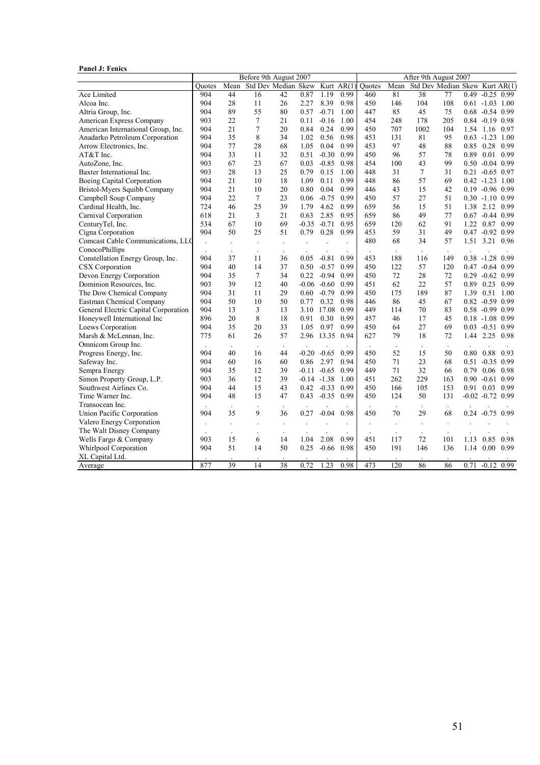#### Panel J: Fenics

|                                      |        |                      | Before 9th August 2007 |                          |         |                |       |        |                      | After 9th August 2007          |                          |      |                      |      |
|--------------------------------------|--------|----------------------|------------------------|--------------------------|---------|----------------|-------|--------|----------------------|--------------------------------|--------------------------|------|----------------------|------|
|                                      | Quotes | Mean                 |                        | Std Dev Median Skew      |         | Kurt           | AR(1) | Ouotes | Mean                 | Std Dev Median Skew Kurt AR(1) |                          |      |                      |      |
| Ace Limited                          | 904    | 44                   | 16                     | 42                       | 0.87    | 1.19           | 0.99  | 460    | 81                   | 38                             | 77                       |      | $0.49 -0.25 0.99$    |      |
| Alcoa Inc.                           | 904    | 28                   | 11                     | 26                       | 2.27    | 8.39           | 0.98  | 450    | 146                  | 104                            | 108                      |      | $0.61 - 1.03$ 1.00   |      |
| Altria Group, Inc.                   | 904    | 89                   | 55                     | 80                       | 0.57    | $-0.71$        | 1.00  | 447    | 85                   | 45                             | 75                       |      | $0.68 - 0.54 0.99$   |      |
| American Express Company             | 903    | 22                   | 7                      | 21                       | 0.11    | $-0.16$        | 1.00  | 454    | 248                  | 178                            | 205                      |      | $0.84 - 0.19$        | 0.98 |
| American International Group, Inc.   | 904    | 21                   | 7                      | 20                       | 0.84    | 0.24           | 0.99  | 450    | 707                  | 1002                           | 104                      |      | 1.54 1.16            | 0.97 |
| Anadarko Petroleum Corporation       | 904    | 35                   | 8                      | 34                       | 1.02    | 0.56           | 0.98  | 453    | 131                  | 81                             | 95                       |      | $0.63 - 1.23$ 1.00   |      |
| Arrow Electronics, Inc.              | 904    | 77                   | 28                     | 68                       | 1.05    | 0.04           | 0.99  | 453    | 97                   | 48                             | 88                       |      | 0.85 0.28            | 0.99 |
| $AT&T$ Inc.                          | 904    | 33                   | 11                     | 32                       | 0.51    | $-0.30$        | 0.99  | 450    | 96                   | 57                             | 78                       |      | 0.89 0.01 0.99       |      |
| AutoZone, Inc.                       | 903    | 67                   | 23                     | 67                       | 0.03    | $-0.85$        | 0.98  | 454    | 100                  | 43                             | 99                       |      | $0.50 - 0.04 0.99$   |      |
| Baxter International Inc.            | 903    | 28                   | 13                     | 25                       | 0.79    | 0.15           | 1.00  | 448    | 31                   | $\tau$                         | 31                       |      | $0.21 - 0.65 0.97$   |      |
| Boeing Capital Corporation           | 904    | 21                   | 10                     | 18                       | 1.09    | 0.11           | 0.99  | 448    | 86                   | 57                             | 69                       |      | $0.42 -1.23$ 1.00    |      |
| Bristol-Myers Squibb Company         | 904    | 21                   | 10                     | 20                       | 0.80    | 0.04           | 0.99  | 446    | 43                   | 15                             | 42                       |      | $0.19 - 0.96 0.99$   |      |
| Campbell Soup Company                | 904    | 22                   | 7                      | 23                       | 0.06    | $-0.75$        | 0.99  | 450    | 57                   | 27                             | 51                       |      | $0.30 -1.10 0.99$    |      |
| Cardinal Health, Inc.                | 724    | 46                   | 25                     | 39                       | 1.79    | 4.62           | 0.99  | 659    | 56                   | 15                             | 51                       |      | 1.38 2.12 0.99       |      |
| Carnival Corporation                 | 618    | 21                   | 3                      | 21                       | 0.63    | 2.85           | 0.95  | 659    | 86                   | 49                             | 77                       |      | $0.67 - 0.44 0.99$   |      |
| CenturyTel, Inc.                     | 534    | 67                   | 10                     | 69                       | $-0.35$ | $-0.71$        | 0.95  | 659    | 120                  | 62                             | 91                       |      | 1.22 0.87 0.99       |      |
| Cigna Corporation                    | 904    | 50                   | 25                     | 51                       | 0.79    | 0.28           | 0.99  | 453    | 59                   | 31                             | 49                       |      | $0.47 - 0.92 0.99$   |      |
| Comcast Cable Communications, LLC    |        |                      |                        |                          |         |                |       | 480    | 68                   | 34                             | 57                       |      | $1.51$ 3.21          | 0.96 |
| ConocoPhillips                       |        | $\ddot{\phantom{a}}$ | $\ddot{\phantom{a}}$   | $\ddot{\phantom{a}}$     |         |                |       |        |                      | $\ddot{\phantom{a}}$           | $\ddot{\phantom{a}}$     |      |                      |      |
| Constellation Energy Group, Inc.     | 904    | 37                   | 11                     | 36                       | 0.05    | $-0.81$        | 0.99  | 453    | 188                  | 116                            | 149                      | 0.38 | $-1.28$              | 0.99 |
| CSX Corporation                      | 904    | 40                   | 14                     | 37                       | 0.50    | $-0.57$        | 0.99  | 450    | 122                  | 57                             | 120                      |      | $0.47 - 0.64$        | 0.99 |
| Devon Energy Corporation             | 904    | 35                   | $\tau$                 | 34                       | 0.22    | $-0.94$        | 0.99  | 450    | 72                   | 28                             | 72                       |      | $0.29 - 0.62 0.99$   |      |
| Dominion Resources, Inc.             | 903    | 39                   | 12                     | 40                       |         | $-0.06 - 0.60$ | 0.99  | 451    | 62                   | 22                             | 57                       | 0.89 | 0.23                 | 0.99 |
| The Dow Chemical Company             | 904    | 31                   | 11                     | 29                       | 0.60    | $-0.79$        | 0.99  | 450    | 175                  | 189                            | 87                       |      | 1.39 0.51 1.00       |      |
| Eastman Chemical Company             | 904    | 50                   | 10                     | 50                       | 0.77    | 0.32           | 0.98  | 446    | 86                   | 45                             | 67                       |      | $0.82 - 0.59 0.99$   |      |
| General Electric Capital Corporation | 904    | 13                   | 3                      | 13                       | 3.10    | 17.08          | 0.99  | 449    | 114                  | 70                             | 83                       |      | $0.58 - 0.99 0.99$   |      |
| Honeywell International Inc          | 896    | 20                   | 8                      | 18                       | 0.91    | 0.30           | 0.99  | 457    | 46                   | 17                             | 45                       |      | $0.18 - 1.08 0.99$   |      |
| Loews Corporation                    | 904    | 35                   | 20                     | 33                       | 1.05    | 0.97           | 0.99  | 450    | 64                   | 27                             | 69                       |      | $0.03 - 0.51$        | 0.99 |
| Marsh & McLennan, Inc.               | 775    | 61                   | 26                     | 57                       | 2.96    | 13.35          | 0.94  | 627    | 79                   | 18                             | 72                       |      | 1.44 2.25 0.98       |      |
| Omnicom Group Inc.                   |        |                      |                        |                          |         |                |       |        |                      |                                |                          |      |                      |      |
| Progress Energy, Inc.                | 904    | 40                   | 16                     | 44                       | $-0.20$ | $-0.65$        | 0.99  | 450    | 52                   | 15                             | 50                       | 0.80 | 0.88                 | 0.93 |
| Safeway Inc.                         | 904    | 60                   | 16                     | 60                       | 0.86    | 2.97           | 0.94  | 450    | 71                   | 23                             | 68                       |      | $0.51 - 0.35 0.99$   |      |
| Sempra Energy                        | 904    | 35                   | 12                     | 39                       | $-0.11$ | $-0.65$        | 0.99  | 449    | 71                   | 32                             | 66                       | 0.79 | 0.06                 | 0.98 |
| Simon Property Group, L.P.           | 903    | 36                   | 12                     | 39                       |         | $-0.14 - 1.38$ | 1.00  | 451    | 262                  | 229                            | 163                      |      | $0.90 - 0.61$        | 0.99 |
| Southwest Airlines Co.               | 904    | 44                   | 15                     | 43                       | 0.42    | $-0.33$        | 0.99  | 450    | 166                  | 105                            | 153                      |      | 0.91 0.03            | 0.99 |
| Time Warner Inc.                     | 904    | 48                   | 15                     | 47                       | 0.43    | $-0.35$        | 0.99  | 450    | 124                  | 50                             | 131                      |      | $-0.02$ $-0.72$ 0.99 |      |
| Transocean Inc.                      |        |                      |                        |                          |         |                |       |        |                      |                                | $\ddot{\phantom{a}}$     |      |                      |      |
| Union Pacific Corporation            | 904    | 35                   | 9                      | 36                       | 0.27    | $-0.04$        | 0.98  | 450    | 70                   | 29                             | 68                       |      | 0.24 -0.75 0.99      |      |
| Valero Energy Corporation            |        | $\ddot{\phantom{0}}$ |                        |                          |         |                |       |        | $\ddot{\phantom{a}}$ | $\ddot{\phantom{0}}$           | $\ddot{\phantom{a}}$     |      |                      |      |
| The Walt Disney Company              |        | $\overline{a}$       | $\ddot{\phantom{0}}$   | $\overline{\phantom{a}}$ |         |                |       |        | $\overline{a}$       | $\ddot{\phantom{a}}$           | $\overline{\phantom{a}}$ |      |                      |      |
| Wells Fargo & Company                | 903    | 15                   | 6                      | 14                       | 1.04    | 2.08           | 0.99  | 451    | 117                  | 72                             | 101                      | 1.13 | 0.85                 | 0.98 |
| Whirlpool Corporation                | 904    | 51                   | 14                     | 50                       | 0.25    | $-0.66$        | 0.98  | 450    | 191                  | 146                            | 136                      | 1.14 | 0.00                 | 0.99 |
| XL Capital Ltd.                      |        |                      |                        |                          |         |                |       |        |                      |                                |                          |      |                      |      |
| Average                              | 877    | 39                   | 14                     | 38                       | 0.72    | 1.23           | 0.98  | 473    | 120                  | 86                             | 86                       | 0.71 | $-0.12$              | 0.99 |
|                                      |        |                      |                        |                          |         |                |       |        |                      |                                |                          |      |                      |      |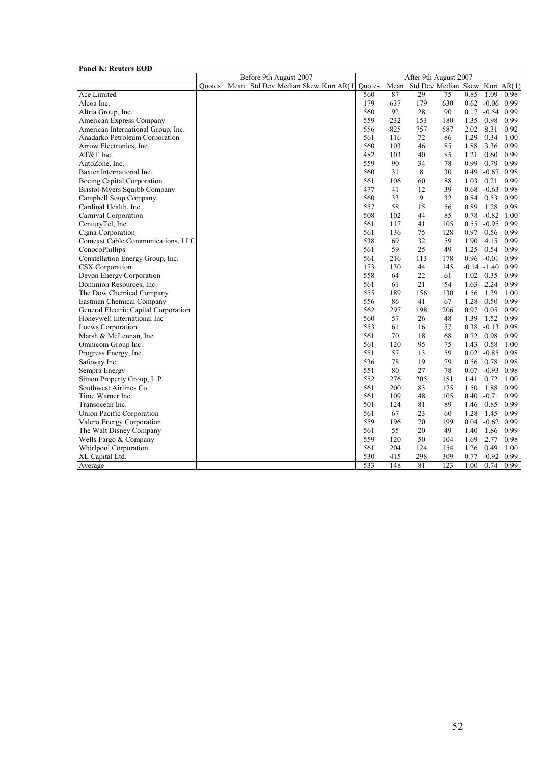#### Panel K: Reuters EOD

|                                      |        |  | Before 9th August 2007 |                                     |        |      | After 9th August 2007 |                     |      |                |              |
|--------------------------------------|--------|--|------------------------|-------------------------------------|--------|------|-----------------------|---------------------|------|----------------|--------------|
|                                      | Quotes |  |                        | Mean Std Dev Median Skew Kurt AR(1) | Ouotes | Mean |                       | Std Dev Median Skew |      |                | Kurt $AR(1)$ |
| Ace Limited                          |        |  |                        |                                     | 560    | 87   | 29                    | 75                  | 0.85 | 1.09           | 0.98         |
| Alcoa Inc.                           |        |  |                        |                                     | 179    | 637  | 179                   | 630                 |      | $0.62 - 0.06$  | 0.99         |
| Altria Group, Inc.                   |        |  |                        |                                     | 560    | 92   | 28                    | 90                  | 0.17 | $-0.54$        | 0.99         |
| American Express Company             |        |  |                        |                                     | 559    | 232  | 153                   | 180                 | 1.35 | 0.98           | 0.99         |
| American International Group, Inc.   |        |  |                        |                                     | 556    | 825  | 757                   | 587                 | 2.02 | 8.31           | 0.92         |
| Anadarko Petroleum Corporation       |        |  |                        |                                     | 561    | 116  | 72                    | 86                  | 1.29 | 0.34           | 1.00         |
| Arrow Electronics, Inc.              |        |  |                        |                                     | 560    | 103  | 46                    | 85                  | 1.88 | 3.36           | 0.99         |
| AT&T Inc.                            |        |  |                        |                                     | 482    | 103  | 40                    | 85                  | 1.21 | 0.60           | 0.99         |
| AutoZone, Inc.                       |        |  |                        |                                     | 559    | 90   | 34                    | 78                  | 0.99 | 0.79           | 0.99         |
| Baxter International Inc.            |        |  |                        |                                     | 560    | 31   | 8                     | 30                  | 0.49 | $-0.67$        | 0.98         |
| Boeing Capital Corporation           |        |  |                        |                                     | 561    | 106  | 60                    | 88                  | 1.03 | 0.21           | 0.99         |
| Bristol-Myers Squibb Company         |        |  |                        |                                     | 477    | 41   | 12                    | 39                  | 0.68 | $-0.63$        | 0.98         |
| Campbell Soup Company                |        |  |                        |                                     | 560    | 33   | 9                     | 32                  | 0.84 | 0.53           | 0.99         |
| Cardinal Health, Inc.                |        |  |                        |                                     | 557    | 58   | 15                    | 56                  | 0.89 | 1.28           | 0.98         |
| Carnival Corporation                 |        |  |                        |                                     | 508    | 102  | 44                    | 85                  | 0.78 | $-0.82$        | 1.00         |
| CenturyTel, Inc.                     |        |  |                        |                                     | 561    | 117  | 41                    | 105                 | 0.55 | $-0.95$        | 0.99         |
| Cigna Corporation                    |        |  |                        |                                     | 561    | 136  | 75                    | 128                 | 0.97 | 0.56           | 0.99         |
| Comcast Cable Communications, LLC    |        |  |                        |                                     | 538    | 69   | 32                    | 59                  | 1.90 | 4.15           | 0.99         |
| ConocoPhillips                       |        |  |                        |                                     | 561    | 59   | 25                    | 49                  | 1.25 | 0.54           | 0.99         |
| Constellation Energy Group, Inc.     |        |  |                        |                                     | 561    | 216  | 113                   | 178                 | 0.96 | $-0.01$        | 0.99         |
| CSX Corporation                      |        |  |                        |                                     | 173    | 130  | 44                    | 145                 |      | $-0.14 - 1.40$ | 0.99         |
| Devon Energy Corporation             |        |  |                        |                                     | 558    | 64   | 22                    | 61                  | 1.02 | 0.35           | 0.99         |
| Dominion Resources, Inc.             |        |  |                        |                                     | 561    | 61   | 21                    | 54                  | 1.63 | 2.24           | 0.99         |
| The Dow Chemical Company             |        |  |                        |                                     | 555    | 189  | 156                   | 130                 | 1.56 | 1.39           | 1.00         |
| Eastman Chemical Company             |        |  |                        |                                     | 556    | 86   | 41                    | 67                  | 1.28 | 0.50           | 0.99         |
| General Electric Capital Corporation |        |  |                        |                                     | 562    | 297  | 198                   | 206                 | 0.97 | 0.05           | 0.99         |
| Honeywell International Inc          |        |  |                        |                                     | 560    | 57   | 26                    | 48                  | 1.39 | 1.52           | 0.99         |
| Loews Corporation                    |        |  |                        |                                     | 553    | 61   | 16                    | 57                  | 0.38 | $-0.13$        | 0.98         |
| Marsh & McLennan, Inc.               |        |  |                        |                                     | 561    | 70   | 18                    | 68                  | 0.72 | 0.98           | 0.99         |
| Omnicom Group Inc.                   |        |  |                        |                                     | 561    | 120  | 95                    | 75                  | 1.43 | 0.58           | 1.00         |
| Progress Energy, Inc.                |        |  |                        |                                     | 551    | 57   | 13                    | 59                  | 0.02 | $-0.85$        | 0.98         |
| Safeway Inc.                         |        |  |                        |                                     | 536    | 78   | 19                    | 79                  | 0.56 | 0.78           | 0.98         |
| Sempra Energy                        |        |  |                        |                                     | 551    | 80   | 27                    | 78                  | 0.07 | $-0.93$        | 0.98         |
| Simon Property Group, L.P.           |        |  |                        |                                     | 552    | 276  | 205                   | 181                 | 1.41 | 0.72           | 1.00         |
| Southwest Airlines Co.               |        |  |                        |                                     | 561    | 200  | 83                    | 175                 | 1.50 | 1.88           | 0.99         |
| Time Warner Inc.                     |        |  |                        |                                     | 561    | 109  | 48                    | 105                 | 0.40 | $-0.71$        | 0.99         |
| Transocean Inc.                      |        |  |                        |                                     | 501    | 124  | 81                    | 89                  | 1.46 | 0.85           | 0.99         |
| Union Pacific Corporation            |        |  |                        |                                     | 561    | 67   | 23                    | 60                  | 1.28 | 1.45           | 0.99         |
| Valero Energy Corporation            |        |  |                        |                                     | 559    | 196  | 70                    | 199                 | 0.04 | $-0.62$        | 0.99         |
| The Walt Disney Company              |        |  |                        |                                     | 561    | 55   | 20                    | 49                  | 1.40 | 1.86           | 0.99         |
| Wells Fargo & Company                |        |  |                        |                                     | 559    | 120  | 50                    | 104                 | 1.69 | 2.77           | 0.98         |
| Whirlpool Corporation                |        |  |                        |                                     | 561    | 204  | 124                   | 154                 | 1.26 | 0.49           | 1.00         |
| XL Capital Ltd.                      |        |  |                        |                                     | 530    | 415  | 298                   | 309                 | 0.77 | $-0.92$        | 0.99         |
| Average                              |        |  |                        |                                     | 533    | 148  | 81                    | 123                 | 1.00 | 0.74           | 0.99         |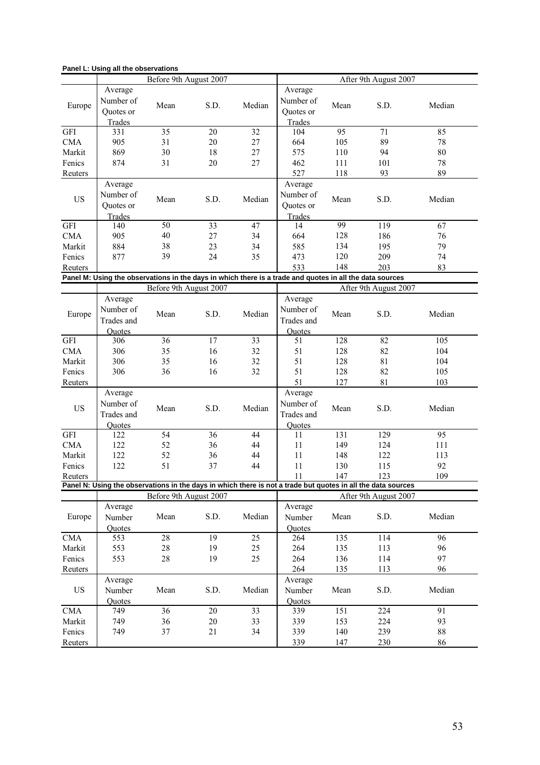|            |            | Before 9th August 2007 |        |        |                                                                                                              |      | After 9th August 2007 |        |
|------------|------------|------------------------|--------|--------|--------------------------------------------------------------------------------------------------------------|------|-----------------------|--------|
|            | Average    |                        |        |        | Average                                                                                                      |      |                       |        |
|            |            |                        |        |        | Number of                                                                                                    |      |                       |        |
| Europe     | Number of  | Mean                   | S.D.   | Median |                                                                                                              | Mean | S.D.                  | Median |
|            | Quotes or  |                        |        |        | Quotes or                                                                                                    |      |                       |        |
|            | Trades     |                        |        |        | Trades                                                                                                       |      |                       |        |
| GFI        | 331        | 35                     | 20     | 32     | 104                                                                                                          | 95   | 71                    | 85     |
| CMA        | 905        | 31                     | 20     | 27     | 664                                                                                                          | 105  | 89                    | $78\,$ |
| Markit     | 869        | 30                     | 18     | 27     | 575                                                                                                          | 110  | 94                    | 80     |
| Fenics     | 874        | 31                     | 20     | 27     | 462                                                                                                          | 111  | 101                   | 78     |
| Reuters    |            |                        |        |        | 527                                                                                                          | 118  | 93                    | 89     |
|            | Average    |                        |        |        | Average                                                                                                      |      |                       |        |
|            | Number of  |                        |        |        | Number of                                                                                                    |      |                       |        |
| <b>US</b>  | Quotes or  | Mean                   | S.D.   | Median | Quotes or                                                                                                    | Mean | S.D.                  | Median |
|            | Trades     |                        |        |        | Trades                                                                                                       |      |                       |        |
| GFI        | 140        | 50                     | 33     | 47     | 14                                                                                                           | 99   | 119                   | 67     |
| <b>CMA</b> | 905        | 40                     | 27     | 34     | 664                                                                                                          | 128  | 186                   | 76     |
| Markit     | 884        | 38                     | 23     | 34     | 585                                                                                                          | 134  | 195                   | 79     |
|            |            | 39                     | 24     | 35     |                                                                                                              | 120  | 209                   |        |
| Fenics     | 877        |                        |        |        | 473                                                                                                          | 148  |                       | 74     |
| Reuters    |            |                        |        |        | 533                                                                                                          |      | 203                   | 83     |
|            |            |                        |        |        | Panel M: Using the observations in the days in which there is a trade and quotes in all the data sources     |      |                       |        |
|            |            | Before 9th August 2007 |        |        |                                                                                                              |      | After 9th August 2007 |        |
|            | Average    |                        |        |        | Average                                                                                                      |      |                       |        |
| Europe     | Number of  | Mean                   | S.D.   | Median | Number of                                                                                                    | Mean | S.D.                  | Median |
|            | Trades and |                        |        |        | Trades and                                                                                                   |      |                       |        |
|            | Quotes     |                        |        |        | <b>Quotes</b>                                                                                                |      |                       |        |
| <b>GFI</b> | 306        | 36                     | 17     | 33     | 51                                                                                                           | 128  | 82                    | 105    |
| <b>CMA</b> | 306        | 35                     | 16     | 32     | 51                                                                                                           | 128  | 82                    | 104    |
| Markit     | 306        | 35                     | 16     | 32     | 51                                                                                                           | 128  | 81                    | 104    |
| Fenics     | 306        | 36                     | 16     | 32     | 51                                                                                                           | 128  | 82                    | 105    |
| Reuters    |            |                        |        |        | 51                                                                                                           | 127  | 81                    | 103    |
|            |            |                        |        |        |                                                                                                              |      |                       |        |
|            | Average    |                        |        |        | Average                                                                                                      |      |                       |        |
| US         | Number of  | Mean                   | S.D.   | Median | Number of                                                                                                    | Mean | S.D.                  | Median |
|            | Trades and |                        |        |        | Trades and                                                                                                   |      |                       |        |
|            | Quotes     |                        |        |        | <b>Quotes</b>                                                                                                |      |                       |        |
| GFI        | 122        | 54                     | 36     | 44     | 11                                                                                                           | 131  | 129                   | 95     |
| <b>CMA</b> | 122        | 52                     | 36     | 44     | 11                                                                                                           | 149  | 124                   | 111    |
| Markit     | 122        | 52                     | 36     | 44     | 11                                                                                                           | 148  | 122                   | 113    |
| Fenics     | 122        | 51                     | 37     | 44     | 11                                                                                                           | 130  | 115                   | 92     |
| Reuters    |            |                        |        |        | 11                                                                                                           | 147  | 123                   | 109    |
|            |            |                        |        |        | Panel N: Using the observations in the days in which there is not a trade but quotes in all the data sources |      |                       |        |
|            |            | Before 9th August 2007 |        |        |                                                                                                              |      | After 9th August 2007 |        |
|            | Average    |                        |        |        | Average                                                                                                      |      |                       |        |
| Europe     | Number     | Mean                   | S.D.   | Median | Number                                                                                                       | Mean | S.D.                  | Median |
|            | Quotes     |                        |        |        | Quotes                                                                                                       |      |                       |        |
| CMA        | 553        | 28                     | 19     | 25     | 264                                                                                                          | 135  | 114                   | 96     |
| Markit     | 553        | 28                     | 19     | 25     | 264                                                                                                          | 135  | 113                   | 96     |
| Fenics     |            | 28                     | 19     | 25     | 264                                                                                                          |      |                       | 97     |
|            | 553        |                        |        |        |                                                                                                              | 136  | 114                   |        |
| Reuters    |            |                        |        |        | 264                                                                                                          | 135  | 113                   | 96     |
|            | Average    |                        |        |        | Average                                                                                                      |      |                       |        |
| US         | Number     | Mean                   | S.D.   | Median | Number                                                                                                       | Mean | S.D.                  | Median |
|            | Quotes     |                        |        |        | Quotes                                                                                                       |      |                       |        |
| $\rm CMA$  | 749        | 36                     | 20     | 33     | 339                                                                                                          | 151  | 224                   | 91     |
| Markit     | 749        | 36                     | $20\,$ | 33     | 339                                                                                                          | 153  | 224                   | 93     |
| Fenics     | 749        | 37                     | 21     | 34     | 339                                                                                                          | 140  | 239                   | $88\,$ |
| Reuters    |            |                        |        |        | 339                                                                                                          | 147  | 230                   | 86     |
|            |            |                        |        |        |                                                                                                              |      |                       |        |

### **Panel L: Using all the observations**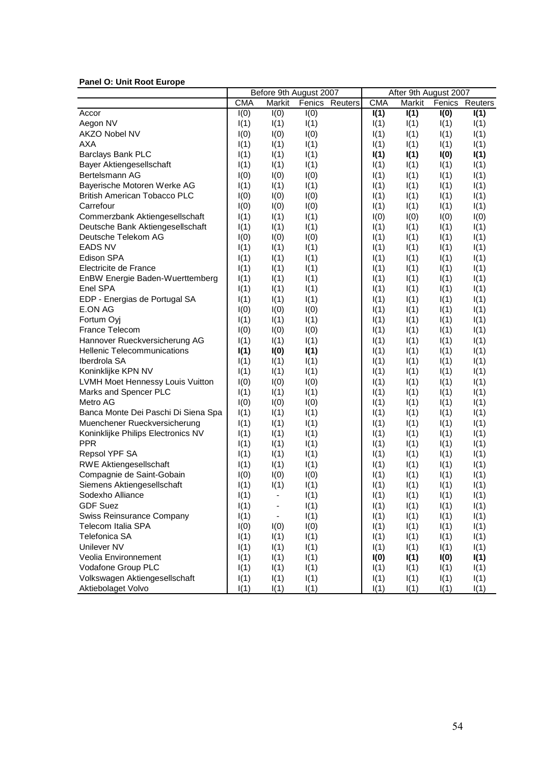### **Panel O: Unit Root Europe**

|                                     | Before 9th August 2007 |        | After 9th August 2007 |         |            |        |      |                |
|-------------------------------------|------------------------|--------|-----------------------|---------|------------|--------|------|----------------|
|                                     | <b>CMA</b>             | Markit | Fenics                | Reuters | <b>CMA</b> | Markit |      | Fenics Reuters |
| Accor                               | I(0)                   | I(0)   | I(0)                  |         | I(1)       | I(1)   | I(0) | I(1)           |
| Aegon NV                            | I(1)                   | I(1)   | I(1)                  |         | I(1)       | I(1)   | I(1) | I(1)           |
| AKZO Nobel NV                       | I(0)                   | I(0)   | I(0)                  |         | I(1)       | I(1)   | I(1) | I(1)           |
| <b>AXA</b>                          | I(1)                   | I(1)   | I(1)                  |         | I(1)       | I(1)   | I(1) | I(1)           |
| Barclays Bank PLC                   | I(1)                   | I(1)   | I(1)                  |         | I(1)       | I(1)   | I(0) | I(1)           |
| Bayer Aktiengesellschaft            | I(1)                   | I(1)   | I(1)                  |         | I(1)       | I(1)   | I(1) | I(1)           |
| Bertelsmann AG                      | I(0)                   | I(0)   | I(0)                  |         | I(1)       | I(1)   | I(1) | I(1)           |
| Bayerische Motoren Werke AG         | I(1)                   | I(1)   | I(1)                  |         | I(1)       | I(1)   | I(1) | I(1)           |
| <b>British American Tobacco PLC</b> | I(0)                   | I(0)   | I(0)                  |         | I(1)       | I(1)   | I(1) | I(1)           |
| Carrefour                           | I(0)                   | I(0)   | I(0)                  |         | I(1)       | I(1)   | I(1) | I(1)           |
| Commerzbank Aktiengesellschaft      | I(1)                   | I(1)   | I(1)                  |         | I(0)       | I(0)   | I(0) | I(0)           |
| Deutsche Bank Aktiengesellschaft    | I(1)                   | I(1)   | I(1)                  |         | I(1)       | I(1)   | I(1) | I(1)           |
| Deutsche Telekom AG                 | I(0)                   | I(0)   | I(0)                  |         | I(1)       | I(1)   | I(1) | I(1)           |
| <b>EADS NV</b>                      | I(1)                   | I(1)   | I(1)                  |         | I(1)       | I(1)   | I(1) | I(1)           |
| Edison SPA                          | I(1)                   | I(1)   | I(1)                  |         | I(1)       | I(1)   | I(1) | I(1)           |
| Electricite de France               | I(1)                   | I(1)   | I(1)                  |         | I(1)       | I(1)   | I(1) | I(1)           |
| EnBW Energie Baden-Wuerttemberg     | I(1)                   | I(1)   | I(1)                  |         | I(1)       | I(1)   | I(1) | I(1)           |
| Enel SPA                            | I(1)                   | I(1)   | I(1)                  |         | I(1)       | I(1)   | I(1) | I(1)           |
| EDP - Energias de Portugal SA       | I(1)                   | I(1)   | I(1)                  |         | I(1)       | I(1)   | I(1) | I(1)           |
| E.ON AG                             | I(0)                   | I(0)   | I(0)                  |         | I(1)       | I(1)   | I(1) | I(1)           |
| Fortum Oyj                          | I(1)                   | I(1)   | I(1)                  |         | I(1)       | I(1)   | I(1) | I(1)           |
| France Telecom                      | I(0)                   | I(0)   | I(0)                  |         | I(1)       | I(1)   | I(1) | I(1)           |
| Hannover Rueckversicherung AG       | I(1)                   | I(1)   | I(1)                  |         | I(1)       | I(1)   | I(1) | I(1)           |
| <b>Hellenic Telecommunications</b>  | I(1)                   | I(0)   | I(1)                  |         | I(1)       | I(1)   | I(1) | I(1)           |
| Iberdrola SA                        | I(1)                   | I(1)   | I(1)                  |         | I(1)       | I(1)   | I(1) | I(1)           |
| Koninklijke KPN NV                  | I(1)                   | I(1)   | I(1)                  |         | I(1)       | I(1)   | I(1) | I(1)           |
| LVMH Moet Hennessy Louis Vuitton    | I(0)                   | I(0)   | I(0)                  |         | I(1)       | I(1)   | I(1) | I(1)           |
| Marks and Spencer PLC               | I(1)                   | I(1)   | I(1)                  |         | I(1)       | I(1)   | I(1) | I(1)           |
| Metro AG                            | I(0)                   | I(0)   | I(0)                  |         | I(1)       | I(1)   | I(1) | I(1)           |
| Banca Monte Dei Paschi Di Siena Spa | I(1)                   | I(1)   | I(1)                  |         | I(1)       | I(1)   | I(1) | I(1)           |
| Muenchener Rueckversicherung        | I(1)                   | I(1)   | I(1)                  |         | I(1)       | I(1)   | I(1) | I(1)           |
| Koninklijke Philips Electronics NV  | I(1)                   | I(1)   | I(1)                  |         | I(1)       | I(1)   | I(1) | I(1)           |
| <b>PPR</b>                          | I(1)                   | I(1)   | I(1)                  |         | I(1)       | I(1)   | I(1) | I(1)           |
| Repsol YPF SA                       | I(1)                   | I(1)   | I(1)                  |         | I(1)       | I(1)   | I(1) | I(1)           |
| <b>RWE Aktiengesellschaft</b>       | I(1)                   | I(1)   | I(1)                  |         | I(1)       | I(1)   | I(1) | I(1)           |
| Compagnie de Saint-Gobain           | I(0)                   | I(0)   | I(0)                  |         | I(1)       | I(1)   | I(1) | I(1)           |
| Siemens Aktiengesellschaft          | I(1)                   | I(1)   | I(1)                  |         | I(1)       | I(1)   | I(1) | I(1)           |
| Sodexho Alliance                    | I(1)                   |        | I(1)                  |         | I(1)       | I(1)   | I(1) | I(1)           |
| <b>GDF Suez</b>                     | I(1)                   |        | I(1)                  |         | I(1)       | I(1)   | I(1) | I(1)           |
| Swiss Reinsurance Company           | I(1)                   | -      | I(1)                  |         | I(1)       | I(1)   | I(1) | I(1)           |
| Telecom Italia SPA                  | I(0)                   | I(0)   | I(0)                  |         | I(1)       | I(1)   | I(1) | I(1)           |
| Telefonica SA                       | I(1)                   | I(1)   | I(1)                  |         | I(1)       | I(1)   | I(1) | I(1)           |
| Unilever NV                         | I(1)                   | I(1)   | I(1)                  |         | I(1)       | I(1)   | I(1) | I(1)           |
| Veolia Environnement                | I(1)                   | I(1)   | I(1)                  |         | I(0)       | I(1)   | I(0) | I(1)           |
| Vodafone Group PLC                  | I(1)                   | I(1)   | I(1)                  |         | I(1)       | I(1)   | I(1) | I(1)           |
| Volkswagen Aktiengesellschaft       | I(1)                   | I(1)   | I(1)                  |         | I(1)       | I(1)   | I(1) | I(1)           |
| Aktiebolaget Volvo                  | I(1)                   | I(1)   | I(1)                  |         | I(1)       | I(1)   | I(1) |                |
|                                     |                        |        |                       |         |            |        |      | I(1)           |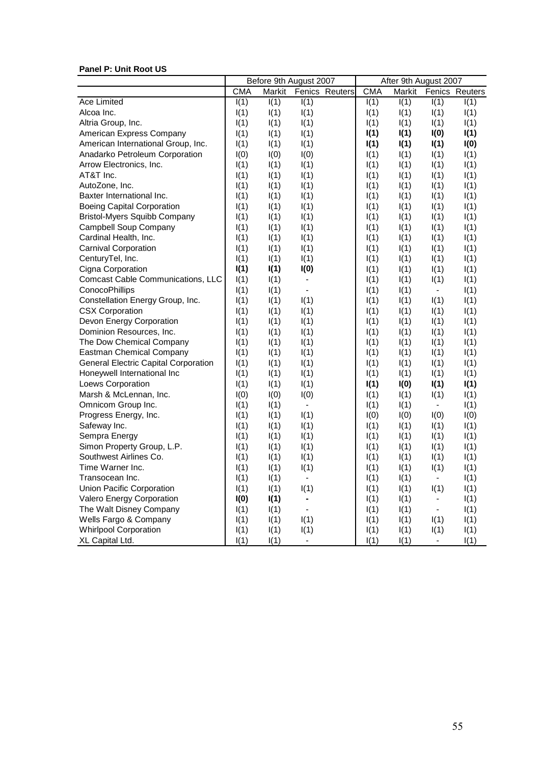### **Panel P: Unit Root US**

|                                             | Before 9th August 2007 |        | After 9th August 2007 |                |            |        |                              |                |
|---------------------------------------------|------------------------|--------|-----------------------|----------------|------------|--------|------------------------------|----------------|
|                                             | <b>CMA</b>             | Markit |                       | Fenics Reuters | <b>CMA</b> | Markit |                              | Fenics Reuters |
| <b>Ace Limited</b>                          | I(1)                   | I(1)   | I(1)                  |                | I(1)       | I(1)   | I(1)                         | I(1)           |
| Alcoa Inc.                                  | I(1)                   | I(1)   | I(1)                  |                | I(1)       | I(1)   | I(1)                         | I(1)           |
| Altria Group, Inc.                          | I(1)                   | I(1)   | I(1)                  |                | I(1)       | I(1)   | I(1)                         | I(1)           |
| American Express Company                    | I(1)                   | I(1)   | I(1)                  |                | I(1)       | I(1)   | I(0)                         | I(1)           |
| American International Group, Inc.          | I(1)                   | I(1)   | I(1)                  |                | I(1)       | I(1)   | I(1)                         | I(0)           |
| Anadarko Petroleum Corporation              | I(0)                   | I(0)   | I(0)                  |                | I(1)       | I(1)   | I(1)                         | I(1)           |
| Arrow Electronics, Inc.                     | I(1)                   | I(1)   | I(1)                  |                | I(1)       | I(1)   | I(1)                         | I(1)           |
| AT&T Inc.                                   | I(1)                   | I(1)   | I(1)                  |                | I(1)       | I(1)   | I(1)                         | I(1)           |
| AutoZone, Inc.                              | I(1)                   | I(1)   | I(1)                  |                | I(1)       | I(1)   | I(1)                         | I(1)           |
| Baxter International Inc.                   | I(1)                   | I(1)   | I(1)                  |                | I(1)       | I(1)   | I(1)                         | I(1)           |
| <b>Boeing Capital Corporation</b>           | I(1)                   | I(1)   | I(1)                  |                | I(1)       | I(1)   | I(1)                         | I(1)           |
| <b>Bristol-Myers Squibb Company</b>         | I(1)                   | I(1)   | I(1)                  |                | I(1)       | I(1)   | I(1)                         | I(1)           |
| <b>Campbell Soup Company</b>                | I(1)                   | I(1)   | I(1)                  |                | I(1)       | I(1)   | I(1)                         | I(1)           |
| Cardinal Health, Inc.                       | I(1)                   | I(1)   | I(1)                  |                | I(1)       | I(1)   | I(1)                         | I(1)           |
| <b>Carnival Corporation</b>                 | I(1)                   | I(1)   | I(1)                  |                | I(1)       | I(1)   | I(1)                         | I(1)           |
| CenturyTel, Inc.                            | I(1)                   | I(1)   | I(1)                  |                | I(1)       | I(1)   | I(1)                         | I(1)           |
| Cigna Corporation                           | I(1)                   | I(1)   | I(0)                  |                | I(1)       | I(1)   | I(1)                         | I(1)           |
| Comcast Cable Communications, LLC           | I(1)                   | I(1)   | $\blacksquare$        |                | I(1)       | I(1)   | I(1)                         | I(1)           |
| ConocoPhillips                              | I(1)                   | I(1)   | $\blacksquare$        |                | I(1)       | I(1)   | $\blacksquare$               | I(1)           |
| Constellation Energy Group, Inc.            | I(1)                   | I(1)   | I(1)                  |                | I(1)       | I(1)   | I(1)                         | I(1)           |
| <b>CSX Corporation</b>                      | I(1)                   | I(1)   | I(1)                  |                | I(1)       | I(1)   | I(1)                         | I(1)           |
| Devon Energy Corporation                    | I(1)                   | I(1)   | I(1)                  |                | I(1)       | I(1)   | I(1)                         | I(1)           |
| Dominion Resources, Inc.                    | I(1)                   | I(1)   | I(1)                  |                | I(1)       | I(1)   | I(1)                         | I(1)           |
| The Dow Chemical Company                    | I(1)                   | I(1)   | I(1)                  |                | I(1)       | I(1)   | I(1)                         | I(1)           |
| <b>Eastman Chemical Company</b>             | I(1)                   | I(1)   | I(1)                  |                | I(1)       | I(1)   | I(1)                         | I(1)           |
| <b>General Electric Capital Corporation</b> | I(1)                   | I(1)   | I(1)                  |                | I(1)       | I(1)   | I(1)                         | I(1)           |
| Honeywell International Inc                 | I(1)                   | I(1)   | I(1)                  |                | I(1)       | I(1)   | I(1)                         | I(1)           |
| Loews Corporation                           | I(1)                   | I(1)   | I(1)                  |                | I(1)       | I(0)   | I(1)                         | I(1)           |
| Marsh & McLennan, Inc.                      | I(0)                   | I(0)   | I(0)                  |                | I(1)       | I(1)   | I(1)                         | I(1)           |
| Omnicom Group Inc.                          | I(1)                   | I(1)   | $\blacksquare$        |                | I(1)       | I(1)   | $\qquad \qquad \blacksquare$ | I(1)           |
| Progress Energy, Inc.                       | I(1)                   | I(1)   | I(1)                  |                | I(0)       | I(0)   | I(0)                         | I(0)           |
| Safeway Inc.                                | I(1)                   | I(1)   | I(1)                  |                | I(1)       | I(1)   | I(1)                         | I(1)           |
| Sempra Energy                               | I(1)                   | I(1)   | I(1)                  |                | I(1)       | I(1)   | I(1)                         | I(1)           |
| Simon Property Group, L.P.                  | I(1)                   | I(1)   | I(1)                  |                | I(1)       | I(1)   | I(1)                         | I(1)           |
| Southwest Airlines Co.                      | I(1)                   | I(1)   | I(1)                  |                | I(1)       | I(1)   | I(1)                         | I(1)           |
| Time Warner Inc.                            | I(1)                   | I(1)   | I(1)                  |                | I(1)       | I(1)   | I(1)                         | I(1)           |
| Transocean Inc.                             | I(1)                   | I(1)   | $\blacksquare$        |                | I(1)       | I(1)   | $\qquad \qquad \blacksquare$ | I(1)           |
| Union Pacific Corporation                   | I(1)                   | I(1)   | I(1)                  |                | I(1)       | I(1)   | I(1)                         | I(1)           |
| Valero Energy Corporation                   | I(0)                   | I(1)   |                       |                | I(1)       | I(1)   | $\overline{\phantom{a}}$     | I(1)           |
| The Walt Disney Company                     | I(1)                   | I(1)   |                       |                | I(1)       | I(1)   | $\qquad \qquad \blacksquare$ | I(1)           |
| Wells Fargo & Company                       | I(1)                   | I(1)   | I(1)                  |                | I(1)       | I(1)   | I(1)                         | I(1)           |
| <b>Whirlpool Corporation</b>                | I(1)                   | I(1)   | I(1)                  |                | I(1)       | I(1)   | I(1)                         | I(1)           |
| XL Capital Ltd.                             | I(1)                   | I(1)   |                       |                | I(1)       | I(1)   |                              | I(1)           |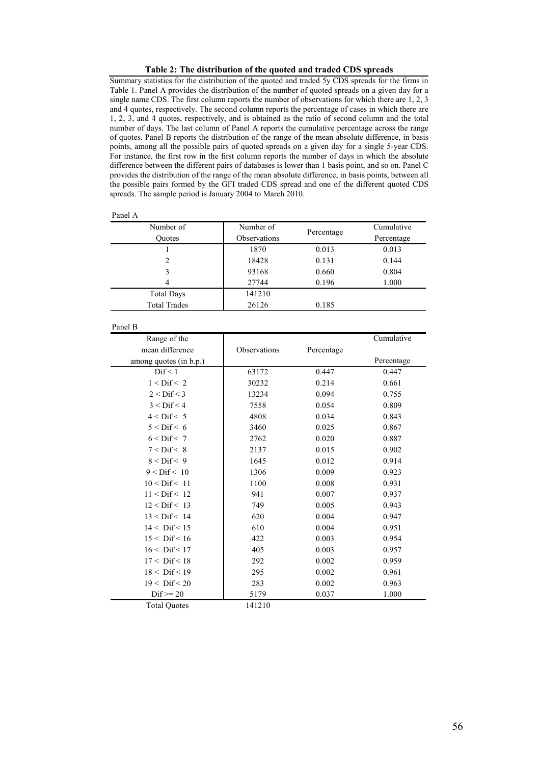### Table 2: The distribution of the quoted and traded CDS spreads

Summary statistics for the distribution of the quoted and traded 5y CDS spreads for the firms in Table 1. Panel A provides the distribution of the number of quoted spreads on a given day for a single name CDS. The first column reports the number of observations for which there are 1, 2, 3 and 4 quotes, respectively. The second column reports the percentage of cases in which there are 1, 2, 3, and 4 quotes, respectively, and is obtained as the ratio of second column and the total number of days. The last column of Panel A reports the cumulative percentage across the range of quotes. Panel B reports the distribution of the range of the mean absolute difference, in basis points, among all the possible pairs of quoted spreads on a given day for a single 5-year CDS. For instance, the first row in the first column reports the number of days in which the absolute difference between the different pairs of databases is lower than 1 basis point, and so on. Panel C provides the distribution of the range of the mean absolute difference, in basis points, between all the possible pairs formed by the GFI traded CDS spread and one of the different quoted CDS spreads. The sample period is January 2004 to March 2010.

| r |  |
|---|--|
|---|--|

| Number of           | Number of    |            |            |
|---------------------|--------------|------------|------------|
| Ouotes              | Observations | Percentage | Percentage |
|                     | 1870         | 0.013      | 0.013      |
| $\overline{c}$      | 18428        | 0.131      | 0.144      |
|                     | 93168        | 0.660      | 0.804      |
| 4                   | 27744        | 0.196      | 1.000      |
| <b>Total Days</b>   | 141210       |            |            |
| <b>Total Trades</b> | 26126        | 0.185      |            |

#### Panel B

| Range of the           |              |            | Cumulative |
|------------------------|--------------|------------|------------|
| mean difference        | Observations | Percentage |            |
| among quotes (in b.p.) |              |            | Percentage |
| $\text{Dif} \leq 1$    | 63172        | 0.447      | 0.447      |
| $1 <$ Dif $< 2$        | 30232        | 0.214      | 0.661      |
| $2 <$ Dif $<$ 3        | 13234        | 0.094      | 0.755      |
| $3 <$ Dif $<$ 4        | 7558         | 0.054      | 0.809      |
| $4 <$ Dif $< 5$        | 4808         | 0.034      | 0.843      |
| $5 <$ Dif $< 6$        | 3460         | 0.025      | 0.867      |
| $6 <$ Dif $< 7$        | 2762         | 0.020      | 0.887      |
| $7 <$ Dif $< 8$        | 2137         | 0.015      | 0.902      |
| $8 <$ Dif $< 9$        | 1645         | 0.012      | 0.914      |
| $9 <$ Dif $< 10$       | 1306         | 0.009      | 0.923      |
| $10 <$ Dif $< 11$      | 1100         | 0.008      | 0.931      |
| $11 <$ Dif $< 12$      | 941          | 0.007      | 0.937      |
| $12 <$ Dif $< 13$      | 749          | 0.005      | 0.943      |
| $13 <$ Dif $< 14$      | 620          | 0.004      | 0.947      |
| $14 <$ Dif $< 15$      | 610          | 0.004      | 0.951      |
| $15 <$ Dif $< 16$      | 422          | 0.003      | 0.954      |
| $16 <$ Dif $< 17$      | 405          | 0.003      | 0.957      |
| $17 <$ Dif $< 18$      | 292          | 0.002      | 0.959      |
| $18 <$ Dif $< 19$      | 295          | 0.002      | 0.961      |
| $19 <$ Dif < 20        | 283          | 0.002      | 0.963      |
| $\text{Dif} \geq 20$   | 5179         | 0.037      | 1.000      |
| <b>Total Ouotes</b>    | 141210       |            |            |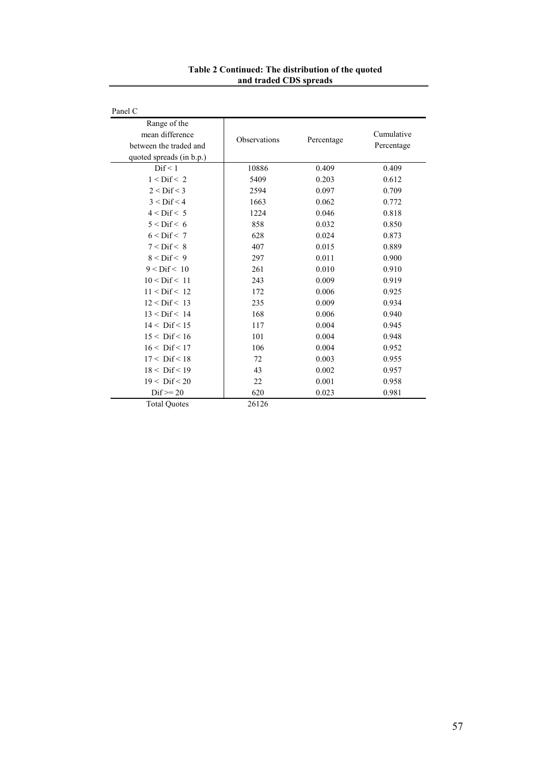| Panel C                                                                               |              |            |                          |
|---------------------------------------------------------------------------------------|--------------|------------|--------------------------|
| Range of the<br>mean difference<br>between the traded and<br>quoted spreads (in b.p.) | Observations | Percentage | Cumulative<br>Percentage |
| Dif < 1                                                                               | 10886        | 0.409      | 0.409                    |
| $1 <$ Dif $< 2$                                                                       | 5409         | 0.203      | 0.612                    |
| $2 <$ Dif $<$ 3                                                                       | 2594         | 0.097      | 0.709                    |
| $3 <$ Dif $<$ 4                                                                       | 1663         | 0.062      | 0.772                    |
| $4 <$ Dif $< 5$                                                                       | 1224         | 0.046      | 0.818                    |
| $5 <$ Dif $< 6$                                                                       | 858          | 0.032      | 0.850                    |
| $6 <$ Dif $< 7$                                                                       | 628          | 0.024      | 0.873                    |
| $7 <$ Dif $< 8$                                                                       | 407          | 0.015      | 0.889                    |
| $8 <$ Dif $< 9$                                                                       | 297          | 0.011      | 0.900                    |
| $9 <$ Dif $< 10$                                                                      | 261          | 0.010      | 0.910                    |
| $10 <$ Dif $< 11$                                                                     | 243          | 0.009      | 0.919                    |
| $11 <$ Dif $< 12$                                                                     | 172          | 0.006      | 0.925                    |
| $12 <$ Dif $< 13$                                                                     | 235          | 0.009      | 0.934                    |
| $13 <$ Dif $< 14$                                                                     | 168          | 0.006      | 0.940                    |
| $14 <$ Dif < 15                                                                       | 117          | 0.004      | 0.945                    |
| $15 <$ Dif $< 16$                                                                     | 101          | 0.004      | 0.948                    |
| $16 <$ Dif $< 17$                                                                     | 106          | 0.004      | 0.952                    |
| $17 <$ Dif $< 18$                                                                     | 72           | 0.003      | 0.955                    |
| $18 <$ Dif $< 19$                                                                     | 43           | 0.002      | 0.957                    |
| $19 <$ Dif $< 20$                                                                     | 22           | 0.001      | 0.958                    |
| $\text{Dif} \geq 20$                                                                  | 620          | 0.023      | 0.981                    |
| <b>Total Ouotes</b>                                                                   | 26126        |            |                          |

#### Table 2 Continued: The distribution of the quoted and traded CDS spreads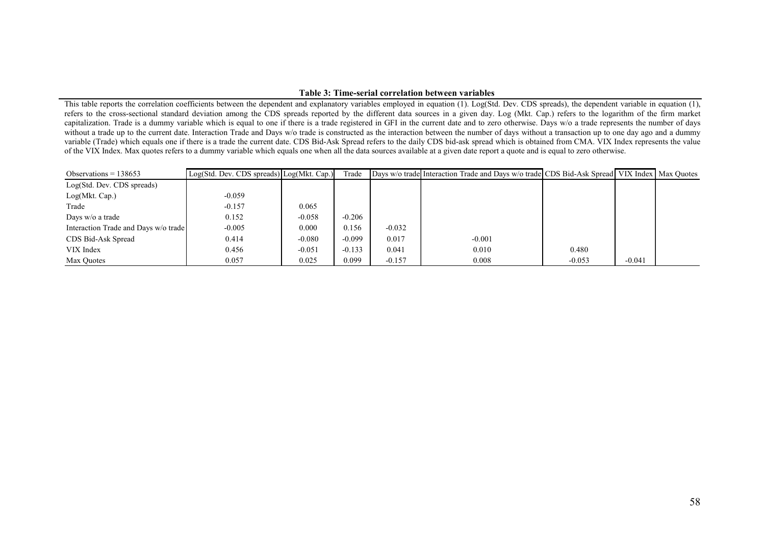#### Table 3: Time-serial correlation between variables

This table reports the correlation coefficients between the dependent and explanatory variables employed in equation (1). Log(Std. Dev. CDS spreads), the dependent variable in equation (1), refers to the cross-sectional standard deviation among the CDS spreads reported by the different data sources in a given day. Log (Mkt. Cap.) refers to the logarithm of the firm market capitalization. Trade is a dummy variable which is equal to one if there is a trade registered in GFI in the current date and to zero otherwise. Days w/o a trade represents the number of days without a trade up to the current date. Interaction Trade and Days w/o trade is constructed as the interaction between the number of days without a transaction up to one day ago and a dummy variable (Trade) which equals one if there is a trade the current date. CDS Bid-Ask Spread refers to the daily CDS bid-ask spread which is obtained from CMA. VIX Index represents the value of the VIX Index. Max quotes refers to a dummy variable which equals one when all the data sources available at a given date report a quote and is equal to zero otherwise.

| Observations $= 138653$              | Log(Std. Dev. CDS spreads) Log(Mkt. Cap.) |          | Trade    |          | Days w/o trade Interaction Trade and Days w/o trade CDS Bid-Ask Spread VIX Index Max Quotes |          |          |  |
|--------------------------------------|-------------------------------------------|----------|----------|----------|---------------------------------------------------------------------------------------------|----------|----------|--|
| Log(Std. Dev. CDS spreads)           |                                           |          |          |          |                                                                                             |          |          |  |
| Log(Mkt. Cap.)                       | $-0.059$                                  |          |          |          |                                                                                             |          |          |  |
| Trade                                | $-0.157$                                  | 0.065    |          |          |                                                                                             |          |          |  |
| Days w/o a trade                     | 0.152                                     | $-0.058$ | $-0.206$ |          |                                                                                             |          |          |  |
| Interaction Trade and Days w/o trade | $-0.005$                                  | 0.000    | 0.156    | $-0.032$ |                                                                                             |          |          |  |
| CDS Bid-Ask Spread                   | 0.414                                     | $-0.080$ | $-0.099$ | 0.017    | $-0.001$                                                                                    |          |          |  |
| VIX Index                            | 0.456                                     | $-0.051$ | $-0.133$ | 0.041    | 0.010                                                                                       | 0.480    |          |  |
| Max Ouotes                           | 0.057                                     | 0.025    | 0.099    | $-0.157$ | 0.008                                                                                       | $-0.053$ | $-0.041$ |  |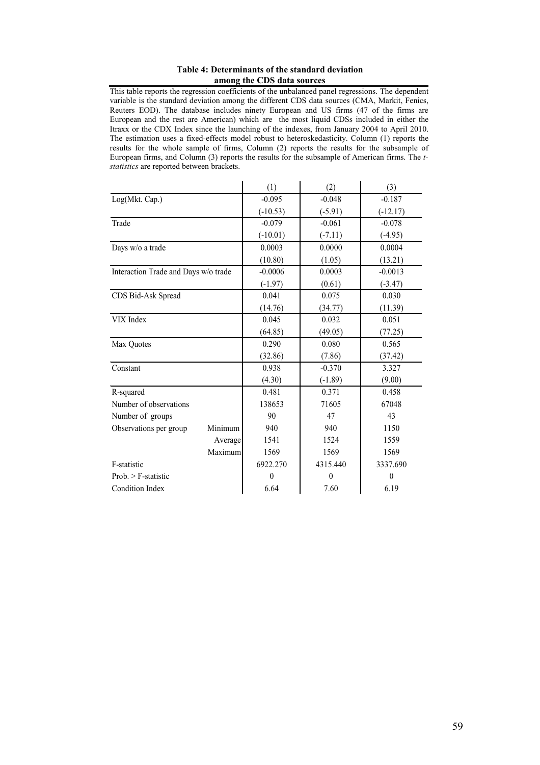Table 4: Determinants of the standard deviation among the CDS data sources

This table reports the regression coefficients of the unbalanced panel regressions. The dependent variable is the standard deviation among the different CDS data sources (CMA, Markit, Fenics, Reuters EOD). The database includes ninety European and US firms (47 of the firms are European and the rest are American) which are the most liquid CDSs included in either the Itraxx or the CDX Index since the launching of the indexes, from January 2004 to April 2010. The estimation uses a fixed-effects model robust to heteroskedasticity. Column (1) reports the results for the whole sample of firms, Column (2) reports the results for the subsample of European firms, and Column (3) reports the results for the subsample of American firms. The tstatistics are reported between brackets.

|                                      | (1)        | (2)       | (3)        |
|--------------------------------------|------------|-----------|------------|
| Log(Mkt. Cap.)                       | $-0.095$   | $-0.048$  | $-0.187$   |
|                                      | $(-10.53)$ | $(-5.91)$ | $(-12.17)$ |
| Trade                                | $-0.079$   | $-0.061$  | $-0.078$   |
|                                      | $(-10.01)$ | $(-7.11)$ | $(-4.95)$  |
| Days w/o a trade                     | 0.0003     | 0.0000    | 0.0004     |
|                                      | (10.80)    | (1.05)    | (13.21)    |
| Interaction Trade and Days w/o trade | $-0.0006$  | 0.0003    | $-0.0013$  |
|                                      | $(-1.97)$  | (0.61)    | $(-3.47)$  |
| CDS Bid-Ask Spread                   | 0.041      | 0.075     | 0.030      |
|                                      | (14.76)    | (34.77)   | (11.39)    |
| VIX Index                            | 0.045      | 0.032     | 0.051      |
|                                      | (64.85)    | (49.05)   | (77.25)    |
| Max Quotes                           | 0.290      | 0.080     | 0.565      |
|                                      | (32.86)    | (7.86)    | (37.42)    |
| Constant                             | 0.938      | $-0.370$  | 3.327      |
|                                      | (4.30)     | $(-1.89)$ | (9.00)     |
| R-squared                            | 0.481      | 0.371     | 0.458      |
| Number of observations               | 138653     | 71605     | 67048      |
| Number of groups                     | 90         | 47        | 43         |
| Minimum<br>Observations per group    | 940        | 940       | 1150       |
| Average                              | 1541       | 1524      | 1559       |
| Maximum                              | 1569       | 1569      | 1569       |
| F-statistic                          | 6922.270   | 4315.440  | 3337.690   |
| $Prob. > F-statistic$                | $\theta$   | $\theta$  | $\theta$   |
| <b>Condition Index</b>               | 6.64       | 7.60      | 6.19       |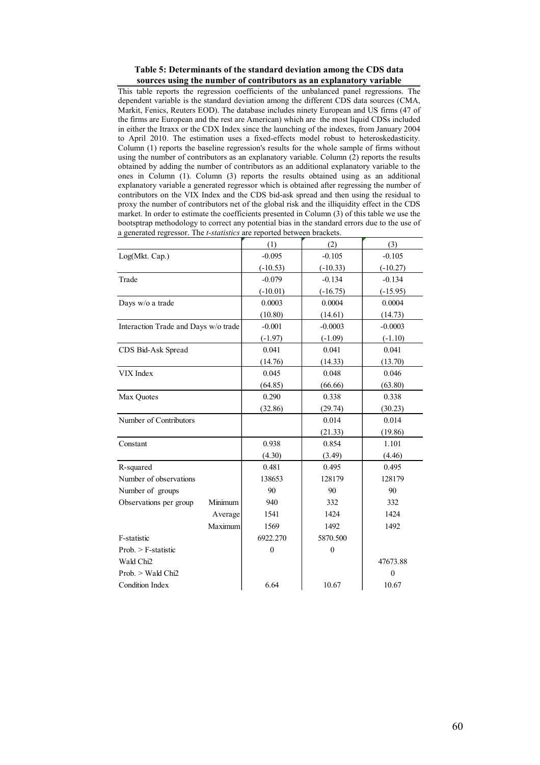#### Table 5: Determinants of the standard deviation among the CDS data sources using the number of contributors as an explanatory variable

This table reports the regression coefficients of the unbalanced panel regressions. The dependent variable is the standard deviation among the different CDS data sources (CMA, Markit, Fenics, Reuters EOD). The database includes ninety European and US firms (47 of the firms are European and the rest are American) which are the most liquid CDSs included in either the Itraxx or the CDX Index since the launching of the indexes, from January 2004 to April 2010. The estimation uses a fixed-effects model robust to heteroskedasticity. Column (1) reports the baseline regression's results for the whole sample of firms without using the number of contributors as an explanatory variable. Column (2) reports the results obtained by adding the number of contributors as an additional explanatory variable to the ones in Column (1). Column (3) reports the results obtained using as an additional explanatory variable a generated regressor which is obtained after regressing the number of contributors on the VIX Index and the CDS bid-ask spread and then using the residual to proxy the number of contributors net of the global risk and the illiquidity effect in the CDS market. In order to estimate the coefficients presented in Column  $(3)$  of this table we use the bootsptrap methodology to correct any potential bias in the standard errors due to the use of a generated regressor. The t-statistics are reported between brackets.

|                                      |         | (1)          | (2)          | (3)            |
|--------------------------------------|---------|--------------|--------------|----------------|
| Log(Mkt. Cap.)                       |         | $-0.095$     | $-0.105$     | $-0.105$       |
|                                      |         | $(-10.53)$   | $(-10.33)$   | $(-10.27)$     |
| Trade                                |         | $-0.079$     | $-0.134$     | $-0.134$       |
|                                      |         | $(-10.01)$   | $(-16.75)$   | $(-15.95)$     |
| Days w/o a trade                     |         | 0.0003       | 0.0004       | 0.0004         |
|                                      |         | (10.80)      | (14.61)      | (14.73)        |
| Interaction Trade and Days w/o trade |         | $-0.001$     | $-0.0003$    | $-0.0003$      |
|                                      |         | $(-1.97)$    | $(-1.09)$    | $(-1.10)$      |
| CDS Bid-Ask Spread                   |         | 0.041        | 0.041        | 0.041          |
|                                      |         | (14.76)      | (14.33)      | (13.70)        |
| VIX Index                            |         | 0.045        | 0.048        | 0.046          |
|                                      |         | (64.85)      | (66.66)      | (63.80)        |
| Max Quotes                           |         | 0.290        | 0.338        | 0.338          |
|                                      |         | (32.86)      | (29.74)      | (30.23)        |
| Number of Contributors               |         |              | 0.014        | 0.014          |
|                                      |         |              | (21.33)      | (19.86)        |
| Constant                             |         | 0.938        | 0.854        | 1.101          |
|                                      |         | (4.30)       | (3.49)       | (4.46)         |
| R-squared                            |         | 0.481        | 0.495        | 0.495          |
| Number of observations               |         | 138653       | 128179       | 128179         |
| Number of groups                     |         | 90           | 90           | 90             |
| Observations per group               | Minimum | 940          | 332          | 332            |
|                                      | Average | 1541         | 1424         | 1424           |
|                                      | Maximum | 1569         | 1492         | 1492           |
| F-statistic                          |         | 6922.270     | 5870.500     |                |
| $Prob. > F-statistic$                |         | $\mathbf{0}$ | $\mathbf{0}$ |                |
| Wald Chi2                            |         |              |              | 47673.88       |
| Prob. > Wald Chi2                    |         |              |              | $\overline{0}$ |
| <b>Condition Index</b>               |         | 6.64         | 10.67        | 10.67          |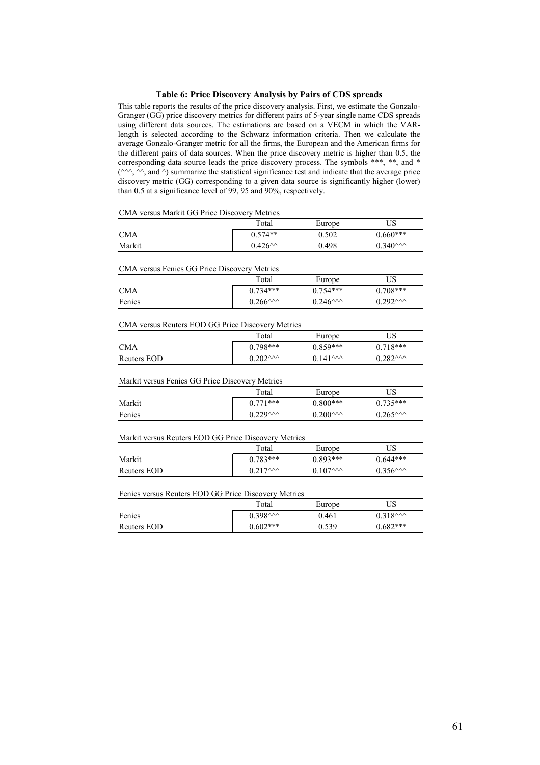#### Table 6: Price Discovery Analysis by Pairs of CDS spreads

This table reports the results of the price discovery analysis. First, we estimate the Gonzalo-Granger (GG) price discovery metrics for different pairs of 5-year single name CDS spreads using different data sources. The estimations are based on a VECM in which the VARlength is selected according to the Schwarz information criteria. Then we calculate the average Gonzalo-Granger metric for all the firms, the European and the American firms for the different pairs of data sources. When the price discovery metric is higher than 0.5, the corresponding data source leads the price discovery process. The symbols \*\*\*, \*\*, and \*  $(^{\wedge\wedge\wedge}, \wedge,$  and  $\wedge$ ) summarize the statistical significance test and indicate that the average price discovery metric (GG) corresponding to a given data source is significantly higher (lower) than 0.5 at a significance level of 99, 95 and 90%, respectively.

| CMA versus Markit GG Price Discovery Metrics |
|----------------------------------------------|
|----------------------------------------------|

|            | Total                  | Europe | US                           |
|------------|------------------------|--------|------------------------------|
| <b>CMA</b> | $0.574**$              | 0.502  | $0.660***$                   |
| Markit     | $0.426^{\wedge\wedge}$ | 0.498  | $0.340^{\wedge\wedge\wedge}$ |

CMA versus Fenics GG Price Discovery Metrics

|        | Total                        | Europe                       | US                           |
|--------|------------------------------|------------------------------|------------------------------|
| CMA    | $0.734***$                   | $0.754***$                   | $0.708***$                   |
| Fenics | $0.266^{\wedge\wedge\wedge}$ | $0.246^{\wedge\wedge\wedge}$ | $0.292^{\wedge\wedge\wedge}$ |

#### CMA versus Reuters EOD GG Price Discovery Metrics

|             | Total                        | Europe                       |                              |
|-------------|------------------------------|------------------------------|------------------------------|
| <b>CMA</b>  | $0.798***$                   | $0.859***$                   | $0.718***$                   |
| Reuters EOD | $0.202^{\wedge\wedge\wedge}$ | $0.141^{\wedge\wedge\wedge}$ | $0.282^{\wedge\wedge\wedge}$ |

#### Markit versus Fenics GG Price Discovery Metrics

|        | Total                        | Europe                       | US                           |
|--------|------------------------------|------------------------------|------------------------------|
| Markit | $0.771***$                   | $0.800***$                   | $0.735***$                   |
| Fenics | $0.229^{\wedge\wedge\wedge}$ | $0.200^{\wedge\wedge\wedge}$ | $0.265^{\wedge\wedge\wedge}$ |

Markit versus Reuters EOD GG Price Discovery Metrics

|             | Total<br>Europe              |                              | US                           |
|-------------|------------------------------|------------------------------|------------------------------|
| Markit      | $0.783***$                   | $0.893***$                   | $0.644***$                   |
| Reuters EOD | $0.217^{\wedge\wedge\wedge}$ | $0.107^{\wedge\wedge\wedge}$ | $0.356^{\wedge\wedge\wedge}$ |

#### Fenics versus Reuters EOD GG Price Discovery Metrics

|             | Total                        | Europe | IJS                          |
|-------------|------------------------------|--------|------------------------------|
| Fenics      | $0.398^{\wedge\wedge\wedge}$ | 0.461  | $0.318^{\wedge\wedge\wedge}$ |
| Reuters EOD | $0.602***$                   | 0.539  | $0.682***$                   |
|             |                              |        |                              |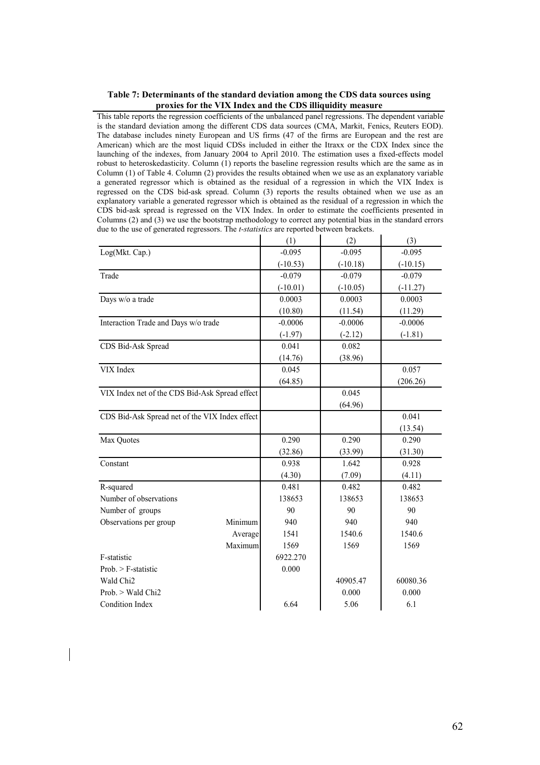#### Table 7: Determinants of the standard deviation among the CDS data sources using proxies for the VIX Index and the CDS illiquidity measure

This table reports the regression coefficients of the unbalanced panel regressions. The dependent variable is the standard deviation among the different CDS data sources (CMA, Markit, Fenics, Reuters EOD). The database includes ninety European and US firms (47 of the firms are European and the rest are American) which are the most liquid CDSs included in either the Itraxx or the CDX Index since the launching of the indexes, from January 2004 to April 2010. The estimation uses a fixed-effects model robust to heteroskedasticity. Column (1) reports the baseline regression results which are the same as in Column (1) of Table 4. Column (2) provides the results obtained when we use as an explanatory variable a generated regressor which is obtained as the residual of a regression in which the VIX Index is regressed on the CDS bid-ask spread. Column (3) reports the results obtained when we use as an explanatory variable a generated regressor which is obtained as the residual of a regression in which the CDS bid-ask spread is regressed on the VIX Index. In order to estimate the coefficients presented in Columns (2) and (3) we use the bootstrap methodology to correct any potential bias in the standard errors due to the use of generated regressors. The *t*-statistics are reported between brackets.

|                                                |         | (1)        | (2)        | (3)        |
|------------------------------------------------|---------|------------|------------|------------|
| Log(Mkt. Cap.)                                 |         | $-0.095$   | $-0.095$   | $-0.095$   |
|                                                |         | $(-10.53)$ | $(-10.18)$ | $(-10.15)$ |
| Trade                                          |         | $-0.079$   | $-0.079$   | $-0.079$   |
|                                                |         | $(-10.01)$ | $(-10.05)$ | $(-11.27)$ |
| Days w/o a trade                               |         | 0.0003     | 0.0003     | 0.0003     |
|                                                |         | (10.80)    | (11.54)    | (11.29)    |
| Interaction Trade and Days w/o trade           |         | $-0.0006$  | $-0.0006$  | $-0.0006$  |
|                                                |         | $(-1.97)$  | $(-2.12)$  | $(-1.81)$  |
| CDS Bid-Ask Spread                             |         | 0.041      | 0.082      |            |
|                                                |         | (14.76)    | (38.96)    |            |
| VIX Index                                      |         | 0.045      |            | 0.057      |
|                                                |         | (64.85)    |            | (206.26)   |
| VIX Index net of the CDS Bid-Ask Spread effect |         |            | 0.045      |            |
|                                                |         |            | (64.96)    |            |
| CDS Bid-Ask Spread net of the VIX Index effect |         |            |            | 0.041      |
|                                                |         |            |            | (13.54)    |
| Max Quotes                                     |         | 0.290      | 0.290      | 0.290      |
|                                                |         | (32.86)    | (33.99)    | (31.30)    |
| Constant                                       |         | 0.938      | 1.642      | 0.928      |
|                                                |         | (4.30)     | (7.09)     | (4.11)     |
| R-squared                                      |         | 0.481      | 0.482      | 0.482      |
| Number of observations                         |         | 138653     | 138653     | 138653     |
| Number of groups                               |         | 90         | 90         | 90         |
| Observations per group                         | Minimum | 940        | 940        | 940        |
|                                                | Average | 1541       | 1540.6     | 1540.6     |
|                                                | Maximum | 1569       | 1569       | 1569       |
| F-statistic                                    |         | 6922.270   |            |            |
| $Prob. > F-statistic$                          |         | 0.000      |            |            |
| Wald Chi <sub>2</sub>                          |         |            | 40905.47   | 60080.36   |
| Prob. > Wald Chi2                              |         |            | 0.000      | 0.000      |
| Condition Index                                |         | 6.64       | 5.06       | 6.1        |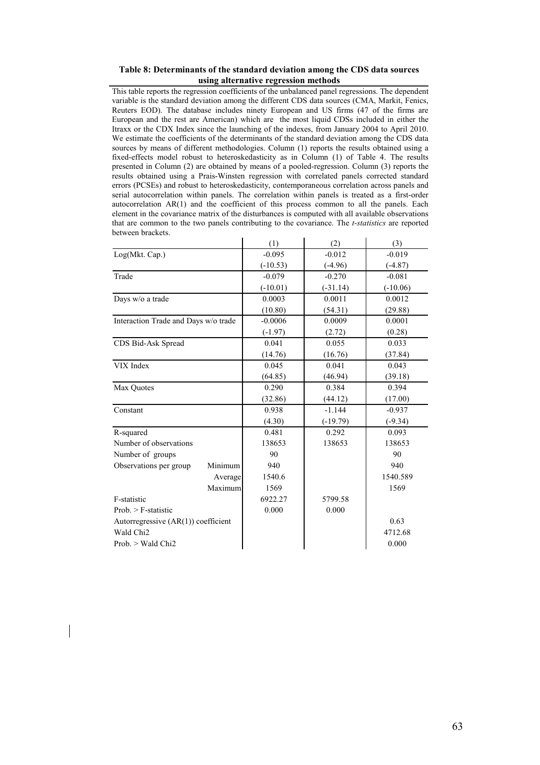### Table 8: Determinants of the standard deviation among the CDS data sources using alternative regression methods

This table reports the regression coefficients of the unbalanced panel regressions. The dependent variable is the standard deviation among the different CDS data sources (CMA, Markit, Fenics, Reuters EOD). The database includes ninety European and US firms (47 of the firms are European and the rest are American) which are the most liquid CDSs included in either the Itraxx or the CDX Index since the launching of the indexes, from January 2004 to April 2010. We estimate the coefficients of the determinants of the standard deviation among the CDS data sources by means of different methodologies. Column (1) reports the results obtained using a fixed-effects model robust to heteroskedasticity as in Column (1) of Table 4. The results presented in Column (2) are obtained by means of a pooled-regression. Column (3) reports the results obtained using a Prais-Winsten regression with correlated panels corrected standard errors (PCSEs) and robust to heteroskedasticity, contemporaneous correlation across panels and serial autocorrelation within panels. The correlation within panels is treated as a first-order autocorrelation AR(1) and the coefficient of this process common to all the panels. Each element in the covariance matrix of the disturbances is computed with all available observations that are common to the two panels contributing to the covariance. The *t-statistics* are reported between brackets.  $\mathbf{r}$ 

|                                       | (1)        | (2)        | (3)        |
|---------------------------------------|------------|------------|------------|
| Log(Mkt. Cap.)                        | $-0.095$   | $-0.012$   | $-0.019$   |
|                                       | $(-10.53)$ | $(-4.96)$  | $(-4.87)$  |
| Trade                                 | $-0.079$   | $-0.270$   | $-0.081$   |
|                                       | $(-10.01)$ | $(-31.14)$ | $(-10.06)$ |
| Days w/o a trade                      | 0.0003     | 0.0011     | 0.0012     |
|                                       | (10.80)    | (54.31)    | (29.88)    |
| Interaction Trade and Days w/o trade  | $-0.0006$  | 0.0009     | 0.0001     |
|                                       | $(-1.97)$  | (2.72)     | (0.28)     |
| CDS Bid-Ask Spread                    | 0.041      | 0.055      | 0.033      |
|                                       | (14.76)    | (16.76)    | (37.84)    |
| VIX Index                             | 0.045      | 0.041      | 0.043      |
|                                       | (64.85)    | (46.94)    | (39.18)    |
| Max Quotes                            | 0.290      | 0.384      | 0.394      |
|                                       | (32.86)    | (44.12)    | (17.00)    |
| Constant                              | 0.938      | $-1.144$   | $-0.937$   |
|                                       | (4.30)     | $(-19.79)$ | $(-9.34)$  |
| R-squared                             | 0.481      | 0.292      | 0.093      |
| Number of observations                | 138653     | 138653     | 138653     |
| Number of groups                      | 90         |            | 90         |
| Observations per group<br>Minimum     | 940        |            | 940        |
| Average                               | 1540.6     |            | 1540.589   |
| Maximum                               | 1569       |            | 1569       |
| F-statistic                           | 6922.27    | 5799.58    |            |
| $Prob. > F-statistic$                 | 0.000      | 0.000      |            |
| Autorregressive $(AR(1))$ coefficient |            |            | 0.63       |
| Wald Chi <sub>2</sub>                 |            |            | 4712.68    |
| Prob. > Wald Chi2                     |            |            | 0.000      |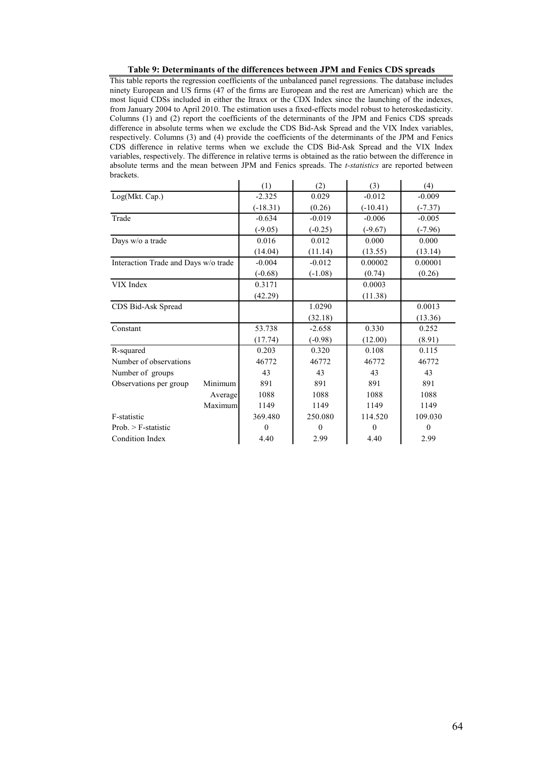#### Table 9: Determinants of the differences between JPM and Fenics CDS spreads

This table reports the regression coefficients of the unbalanced panel regressions. The database includes ninety European and US firms (47 of the firms are European and the rest are American) which are the most liquid CDSs included in either the Itraxx or the CDX Index since the launching of the indexes, from January 2004 to April 2010. The estimation uses a fixed-effects model robust to heteroskedasticity. Columns (1) and (2) report the coefficients of the determinants of the JPM and Fenics CDS spreads difference in absolute terms when we exclude the CDS Bid-Ask Spread and the VIX Index variables, respectively. Columns (3) and (4) provide the coefficients of the determinants of the JPM and Fenics CDS difference in relative terms when we exclude the CDS Bid-Ask Spread and the VIX Index variables, respectively. The difference in relative terms is obtained as the ratio between the difference in absolute terms and the mean between JPM and Fenics spreads. The *t-statistics* are reported between brackets.

|                                      | (1)        | (2)          | (3)        | (4)       |
|--------------------------------------|------------|--------------|------------|-----------|
| Log(Mkt. Cap.)                       | $-2.325$   | 0.029        | $-0.012$   | $-0.009$  |
|                                      | $(-18.31)$ | (0.26)       | $(-10.41)$ | $(-7.37)$ |
| Trade                                | $-0.634$   | $-0.019$     | $-0.006$   | $-0.005$  |
|                                      | $(-9.05)$  | $(-0.25)$    | $(-9.67)$  | $(-7.96)$ |
| Days w/o a trade                     | 0.016      | 0.012        | 0.000      | 0.000     |
|                                      | (14.04)    | (11.14)      | (13.55)    | (13.14)   |
| Interaction Trade and Days w/o trade | $-0.004$   | $-0.012$     | 0.00002    | 0.00001   |
|                                      | $(-0.68)$  | $(-1.08)$    | (0.74)     | (0.26)    |
| VIX Index                            | 0.3171     |              | 0.0003     |           |
|                                      | (42.29)    |              | (11.38)    |           |
| CDS Bid-Ask Spread                   |            | 1.0290       |            | 0.0013    |
|                                      |            | (32.18)      |            | (13.36)   |
| Constant                             | 53.738     | $-2.658$     | 0.330      | 0.252     |
|                                      | (17.74)    | $(-0.98)$    | (12.00)    | (8.91)    |
| R-squared                            | 0.203      | 0.320        | 0.108      | 0.115     |
| Number of observations               | 46772      | 46772        | 46772      | 46772     |
| Number of groups                     | 43         | 43           | 43         | 43        |
| Minimum<br>Observations per group    | 891        | 891          | 891        | 891       |
| Average                              | 1088       | 1088         | 1088       | 1088      |
| Maximum                              | 1149       | 1149         | 1149       | 1149      |
| F-statistic                          | 369.480    | 250.080      | 114.520    | 109.030   |
| $Prob. > F-statistic$                | $\theta$   | $\mathbf{0}$ | $\theta$   | $\theta$  |
| Condition Index                      | 4.40       | 2.99         | 4.40       | 2.99      |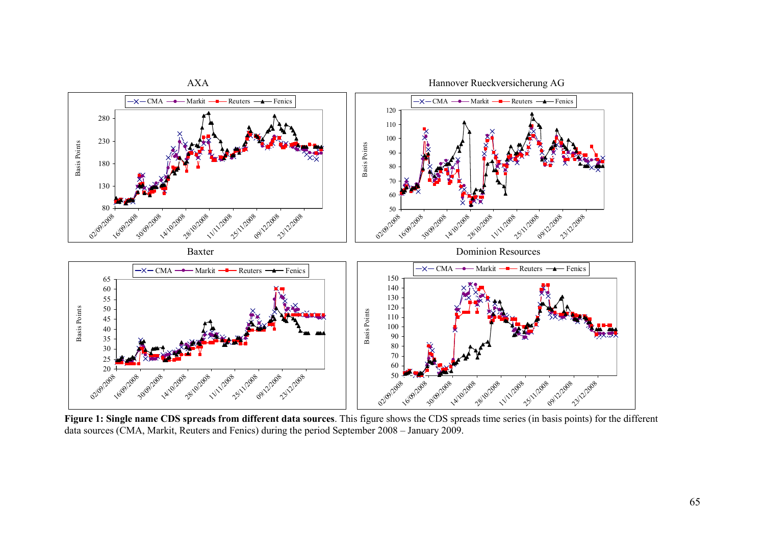

Figure 1: Single name CDS spreads from different data sources. This figure shows the CDS spreads time series (in basis points) for the different data sources (CMA, Markit, Reuters and Fenics) during the period September 2008 – January 2009.